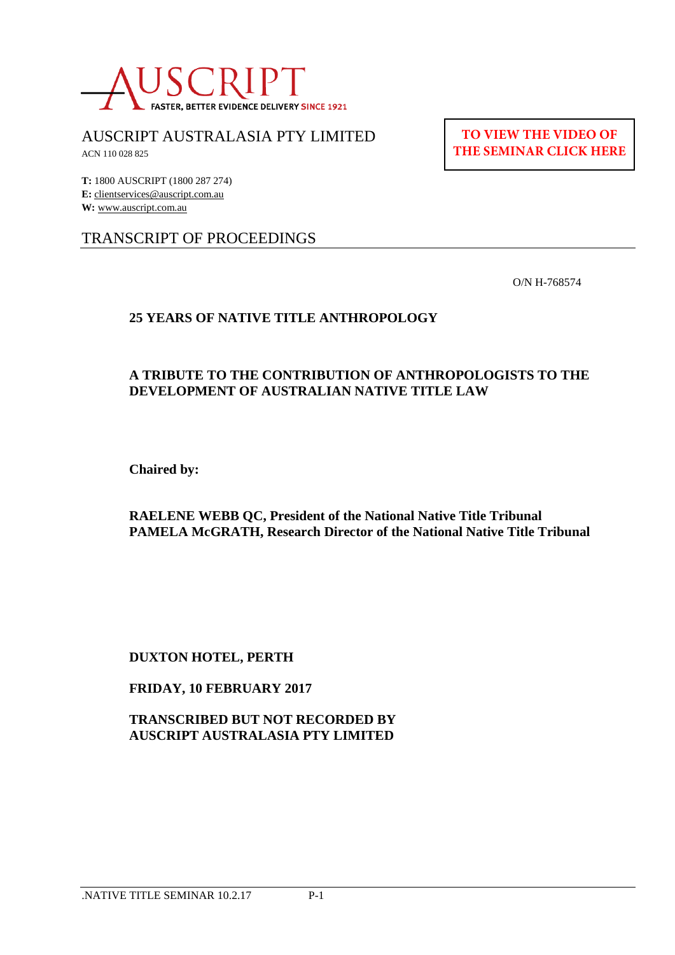

AUSCRIPT AUSTRALASIA PTY LIMITED

ACN 110 028 825

**TO VIEW THE VIDEO OF [THE SEMINAR CLICK HERE](https://www.youtube.com/watch?v=08oveKt3atU&t=640s)**

**T:** 1800 AUSCRIPT (1800 287 274) **E:** clientservices@auscript.com.au **W:** www.auscript.com.au

# TRANSCRIPT OF PROCEEDINGS

O/N H-768574

## **25 YEARS OF NATIVE TITLE ANTHROPOLOGY**

## **A TRIBUTE TO THE CONTRIBUTION OF ANTHROPOLOGISTS TO THE DEVELOPMENT OF AUSTRALIAN NATIVE TITLE LAW**

**Chaired by:**

**RAELENE WEBB QC, President of the National Native Title Tribunal PAMELA McGRATH, Research Director of the National Native Title Tribunal**

**DUXTON HOTEL, PERTH**

#### **FRIDAY, 10 FEBRUARY 2017**

**TRANSCRIBED BUT NOT RECORDED BY AUSCRIPT AUSTRALASIA PTY LIMITED**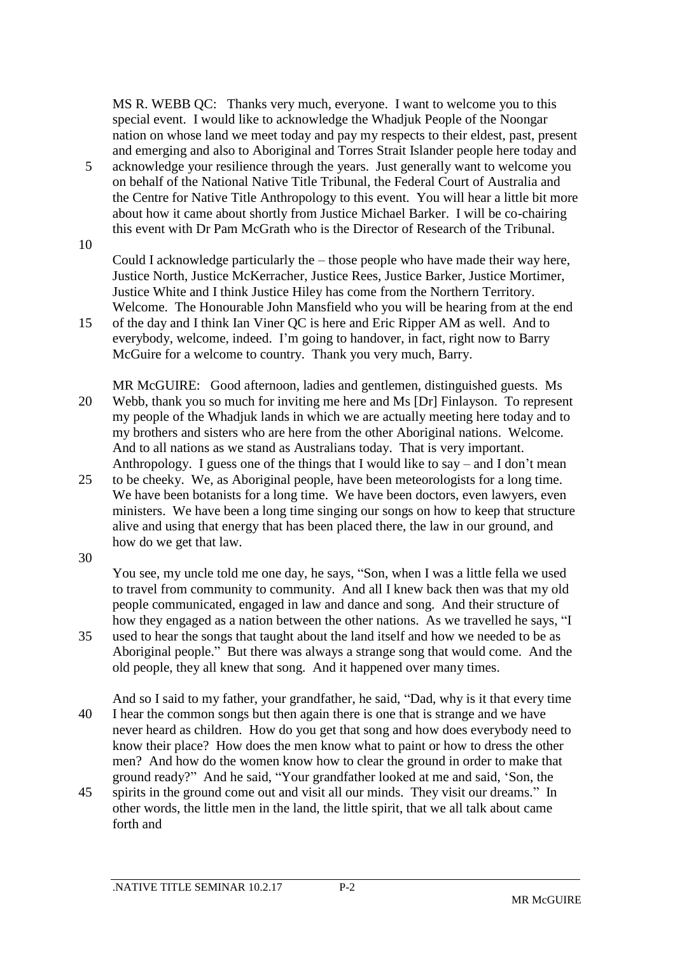MS R. WEBB QC: Thanks very much, everyone. I want to welcome you to this special event. I would like to acknowledge the Whadjuk People of the Noongar nation on whose land we meet today and pay my respects to their eldest, past, present and emerging and also to Aboriginal and Torres Strait Islander people here today and

5 acknowledge your resilience through the years. Just generally want to welcome you on behalf of the National Native Title Tribunal, the Federal Court of Australia and the Centre for Native Title Anthropology to this event. You will hear a little bit more about how it came about shortly from Justice Michael Barker. I will be co-chairing this event with Dr Pam McGrath who is the Director of Research of the Tribunal.

10

Could I acknowledge particularly the – those people who have made their way here, Justice North, Justice McKerracher, Justice Rees, Justice Barker, Justice Mortimer, Justice White and I think Justice Hiley has come from the Northern Territory. Welcome. The Honourable John Mansfield who you will be hearing from at the end

15 of the day and I think Ian Viner QC is here and Eric Ripper AM as well. And to everybody, welcome, indeed. I'm going to handover, in fact, right now to Barry McGuire for a welcome to country. Thank you very much, Barry.

MR McGUIRE: Good afternoon, ladies and gentlemen, distinguished guests. Ms 20 Webb, thank you so much for inviting me here and Ms [Dr] Finlayson. To represent my people of the Whadjuk lands in which we are actually meeting here today and to my brothers and sisters who are here from the other Aboriginal nations. Welcome. And to all nations as we stand as Australians today. That is very important. Anthropology. I guess one of the things that I would like to say – and I don't mean

25 to be cheeky. We, as Aboriginal people, have been meteorologists for a long time. We have been botanists for a long time. We have been doctors, even lawyers, even ministers. We have been a long time singing our songs on how to keep that structure alive and using that energy that has been placed there, the law in our ground, and how do we get that law.

30

You see, my uncle told me one day, he says, "Son, when I was a little fella we used to travel from community to community. And all I knew back then was that my old people communicated, engaged in law and dance and song. And their structure of how they engaged as a nation between the other nations. As we travelled he says, "I

- 35 used to hear the songs that taught about the land itself and how we needed to be as Aboriginal people." But there was always a strange song that would come. And the old people, they all knew that song. And it happened over many times.
- And so I said to my father, your grandfather, he said, "Dad, why is it that every time 40 I hear the common songs but then again there is one that is strange and we have never heard as children. How do you get that song and how does everybody need to know their place? How does the men know what to paint or how to dress the other men? And how do the women know how to clear the ground in order to make that ground ready?" And he said, "Your grandfather looked at me and said, 'Son, the
- 45 spirits in the ground come out and visit all our minds. They visit our dreams." In other words, the little men in the land, the little spirit, that we all talk about came forth and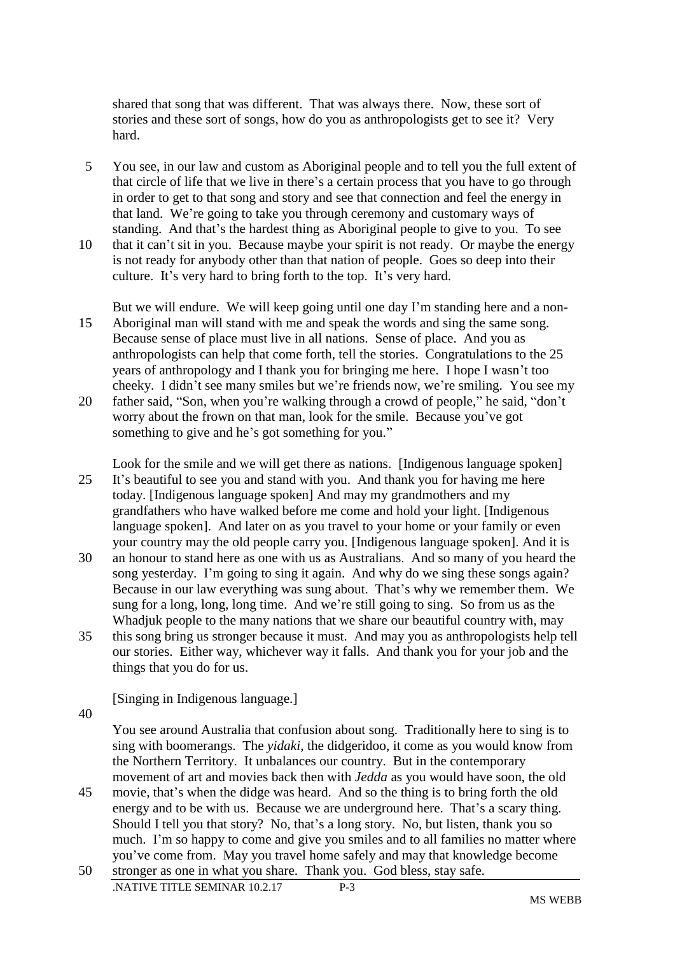shared that song that was different. That was always there. Now, these sort of stories and these sort of songs, how do you as anthropologists get to see it? Very hard.

- 5 You see, in our law and custom as Aboriginal people and to tell you the full extent of that circle of life that we live in there's a certain process that you have to go through in order to get to that song and story and see that connection and feel the energy in that land. We're going to take you through ceremony and customary ways of standing. And that's the hardest thing as Aboriginal people to give to you. To see
- 10 that it can't sit in you. Because maybe your spirit is not ready. Or maybe the energy is not ready for anybody other than that nation of people. Goes so deep into their culture. It's very hard to bring forth to the top. It's very hard.

But we will endure. We will keep going until one day I'm standing here and a non-15 Aboriginal man will stand with me and speak the words and sing the same song. Because sense of place must live in all nations. Sense of place. And you as anthropologists can help that come forth, tell the stories. Congratulations to the 25 years of anthropology and I thank you for bringing me here. I hope I wasn't too cheeky. I didn't see many smiles but we're friends now, we're smiling. You see my 20 father said, "Son, when you're walking through a crowd of people," he said, "don't

worry about the frown on that man, look for the smile. Because you've got something to give and he's got something for you."

Look for the smile and we will get there as nations. [Indigenous language spoken] 25 It's beautiful to see you and stand with you. And thank you for having me here today. [Indigenous language spoken] And may my grandmothers and my grandfathers who have walked before me come and hold your light. [Indigenous language spoken]. And later on as you travel to your home or your family or even your country may the old people carry you. [Indigenous language spoken]. And it is

- 30 an honour to stand here as one with us as Australians. And so many of you heard the song yesterday. I'm going to sing it again. And why do we sing these songs again? Because in our law everything was sung about. That's why we remember them. We sung for a long, long, long time. And we're still going to sing. So from us as the Whadjuk people to the many nations that we share our beautiful country with, may
- 35 this song bring us stronger because it must. And may you as anthropologists help tell our stories. Either way, whichever way it falls. And thank you for your job and the things that you do for us.

[Singing in Indigenous language.]

40

You see around Australia that confusion about song. Traditionally here to sing is to sing with boomerangs. The *yidaki*, the didgeridoo, it come as you would know from the Northern Territory. It unbalances our country. But in the contemporary movement of art and movies back then with *Jedda* as you would have soon, the old

45 movie, that's when the didge was heard. And so the thing is to bring forth the old energy and to be with us. Because we are underground here. That's a scary thing. Should I tell you that story? No, that's a long story. No, but listen, thank you so much. I'm so happy to come and give you smiles and to all families no matter where you've come from. May you travel home safely and may that knowledge become 50 stronger as one in what you share. Thank you. God bless, stay safe.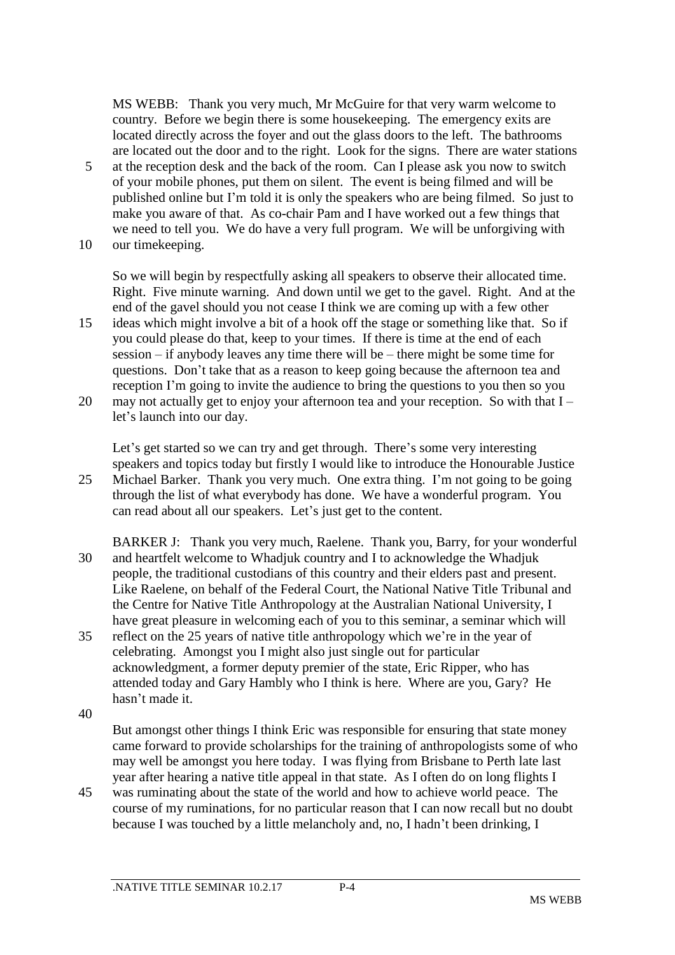MS WEBB: Thank you very much, Mr McGuire for that very warm welcome to country. Before we begin there is some housekeeping. The emergency exits are located directly across the foyer and out the glass doors to the left. The bathrooms are located out the door and to the right. Look for the signs. There are water stations

5 at the reception desk and the back of the room. Can I please ask you now to switch of your mobile phones, put them on silent. The event is being filmed and will be published online but I'm told it is only the speakers who are being filmed. So just to make you aware of that. As co-chair Pam and I have worked out a few things that we need to tell you. We do have a very full program. We will be unforgiving with 10 our timekeeping.

So we will begin by respectfully asking all speakers to observe their allocated time. Right. Five minute warning. And down until we get to the gavel. Right. And at the end of the gavel should you not cease I think we are coming up with a few other

- 15 ideas which might involve a bit of a hook off the stage or something like that. So if you could please do that, keep to your times. If there is time at the end of each session – if anybody leaves any time there will be – there might be some time for questions. Don't take that as a reason to keep going because the afternoon tea and reception I'm going to invite the audience to bring the questions to you then so you
- 20 may not actually get to enjoy your afternoon tea and your reception. So with that I let's launch into our day.

Let's get started so we can try and get through. There's some very interesting speakers and topics today but firstly I would like to introduce the Honourable Justice 25 Michael Barker. Thank you very much. One extra thing. I'm not going to be going through the list of what everybody has done. We have a wonderful program. You can read about all our speakers. Let's just get to the content.

- BARKER J: Thank you very much, Raelene. Thank you, Barry, for your wonderful 30 and heartfelt welcome to Whadjuk country and I to acknowledge the Whadjuk people, the traditional custodians of this country and their elders past and present. Like Raelene, on behalf of the Federal Court, the National Native Title Tribunal and the Centre for Native Title Anthropology at the Australian National University, I have great pleasure in welcoming each of you to this seminar, a seminar which will
- 35 reflect on the 25 years of native title anthropology which we're in the year of celebrating. Amongst you I might also just single out for particular acknowledgment, a former deputy premier of the state, Eric Ripper, who has attended today and Gary Hambly who I think is here. Where are you, Gary? He hasn't made it.

40

But amongst other things I think Eric was responsible for ensuring that state money came forward to provide scholarships for the training of anthropologists some of who may well be amongst you here today. I was flying from Brisbane to Perth late last year after hearing a native title appeal in that state. As I often do on long flights I

45 was ruminating about the state of the world and how to achieve world peace. The course of my ruminations, for no particular reason that I can now recall but no doubt because I was touched by a little melancholy and, no, I hadn't been drinking, I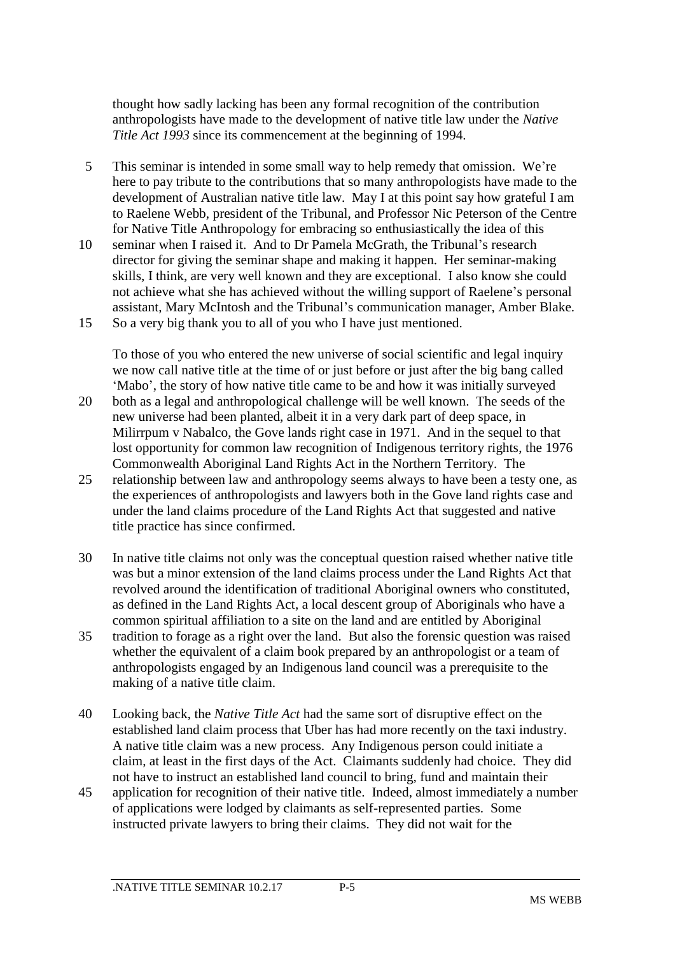thought how sadly lacking has been any formal recognition of the contribution anthropologists have made to the development of native title law under the *Native Title Act 1993* since its commencement at the beginning of 1994.

- 5 This seminar is intended in some small way to help remedy that omission. We're here to pay tribute to the contributions that so many anthropologists have made to the development of Australian native title law. May I at this point say how grateful I am to Raelene Webb, president of the Tribunal, and Professor Nic Peterson of the Centre for Native Title Anthropology for embracing so enthusiastically the idea of this
- 10 seminar when I raised it. And to Dr Pamela McGrath, the Tribunal's research director for giving the seminar shape and making it happen. Her seminar-making skills, I think, are very well known and they are exceptional. I also know she could not achieve what she has achieved without the willing support of Raelene's personal assistant, Mary McIntosh and the Tribunal's communication manager, Amber Blake. 15 So a very big thank you to all of you who I have just mentioned.

To those of you who entered the new universe of social scientific and legal inquiry we now call native title at the time of or just before or just after the big bang called 'Mabo', the story of how native title came to be and how it was initially surveyed

- 20 both as a legal and anthropological challenge will be well known. The seeds of the new universe had been planted, albeit it in a very dark part of deep space, in Milirrpum v Nabalco, the Gove lands right case in 1971. And in the sequel to that lost opportunity for common law recognition of Indigenous territory rights, the 1976 Commonwealth Aboriginal Land Rights Act in the Northern Territory. The
- 25 relationship between law and anthropology seems always to have been a testy one, as the experiences of anthropologists and lawyers both in the Gove land rights case and under the land claims procedure of the Land Rights Act that suggested and native title practice has since confirmed.
- 30 In native title claims not only was the conceptual question raised whether native title was but a minor extension of the land claims process under the Land Rights Act that revolved around the identification of traditional Aboriginal owners who constituted, as defined in the Land Rights Act, a local descent group of Aboriginals who have a common spiritual affiliation to a site on the land and are entitled by Aboriginal
- 35 tradition to forage as a right over the land. But also the forensic question was raised whether the equivalent of a claim book prepared by an anthropologist or a team of anthropologists engaged by an Indigenous land council was a prerequisite to the making of a native title claim.
- 40 Looking back, the *Native Title Act* had the same sort of disruptive effect on the established land claim process that Uber has had more recently on the taxi industry. A native title claim was a new process. Any Indigenous person could initiate a claim, at least in the first days of the Act. Claimants suddenly had choice. They did not have to instruct an established land council to bring, fund and maintain their
- 45 application for recognition of their native title. Indeed, almost immediately a number of applications were lodged by claimants as self-represented parties. Some instructed private lawyers to bring their claims. They did not wait for the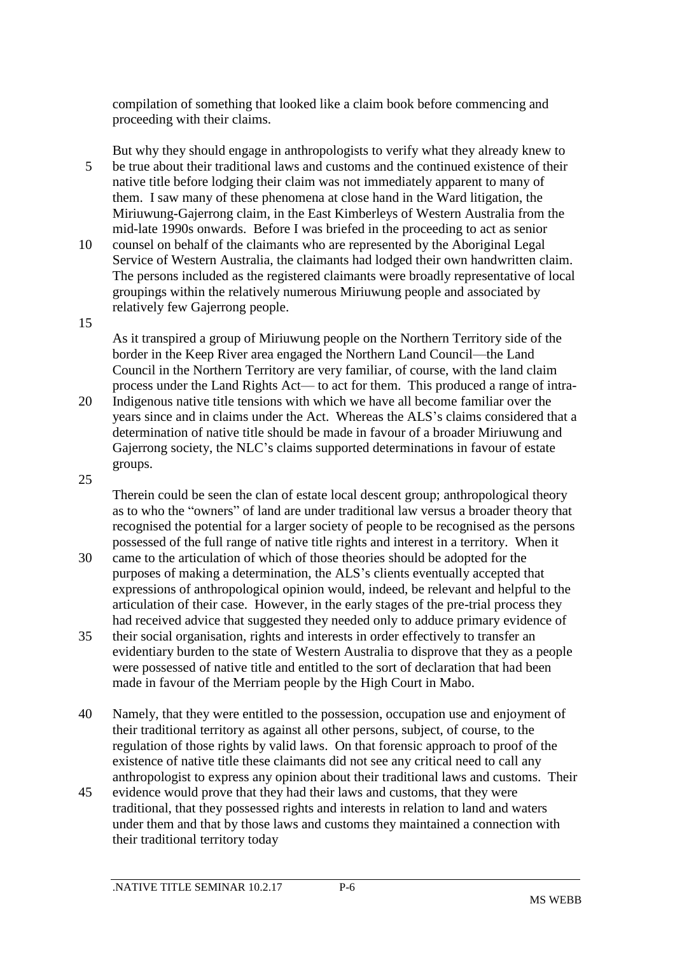compilation of something that looked like a claim book before commencing and proceeding with their claims.

But why they should engage in anthropologists to verify what they already knew to 5 be true about their traditional laws and customs and the continued existence of their native title before lodging their claim was not immediately apparent to many of them. I saw many of these phenomena at close hand in the Ward litigation, the Miriuwung-Gajerrong claim, in the East Kimberleys of Western Australia from the mid-late 1990s onwards. Before I was briefed in the proceeding to act as senior

- 10 counsel on behalf of the claimants who are represented by the Aboriginal Legal Service of Western Australia, the claimants had lodged their own handwritten claim. The persons included as the registered claimants were broadly representative of local groupings within the relatively numerous Miriuwung people and associated by relatively few Gajerrong people.
- 15

As it transpired a group of Miriuwung people on the Northern Territory side of the border in the Keep River area engaged the Northern Land Council—the Land Council in the Northern Territory are very familiar, of course, with the land claim process under the Land Rights Act— to act for them. This produced a range of intra-

- 20 Indigenous native title tensions with which we have all become familiar over the years since and in claims under the Act. Whereas the ALS's claims considered that a determination of native title should be made in favour of a broader Miriuwung and Gajerrong society, the NLC's claims supported determinations in favour of estate groups.
- 25

Therein could be seen the clan of estate local descent group; anthropological theory as to who the "owners" of land are under traditional law versus a broader theory that recognised the potential for a larger society of people to be recognised as the persons possessed of the full range of native title rights and interest in a territory. When it

- 30 came to the articulation of which of those theories should be adopted for the purposes of making a determination, the ALS's clients eventually accepted that expressions of anthropological opinion would, indeed, be relevant and helpful to the articulation of their case. However, in the early stages of the pre-trial process they had received advice that suggested they needed only to adduce primary evidence of
- 35 their social organisation, rights and interests in order effectively to transfer an evidentiary burden to the state of Western Australia to disprove that they as a people were possessed of native title and entitled to the sort of declaration that had been made in favour of the Merriam people by the High Court in Mabo.
- 40 Namely, that they were entitled to the possession, occupation use and enjoyment of their traditional territory as against all other persons, subject, of course, to the regulation of those rights by valid laws. On that forensic approach to proof of the existence of native title these claimants did not see any critical need to call any anthropologist to express any opinion about their traditional laws and customs. Their
- 45 evidence would prove that they had their laws and customs, that they were traditional, that they possessed rights and interests in relation to land and waters under them and that by those laws and customs they maintained a connection with their traditional territory today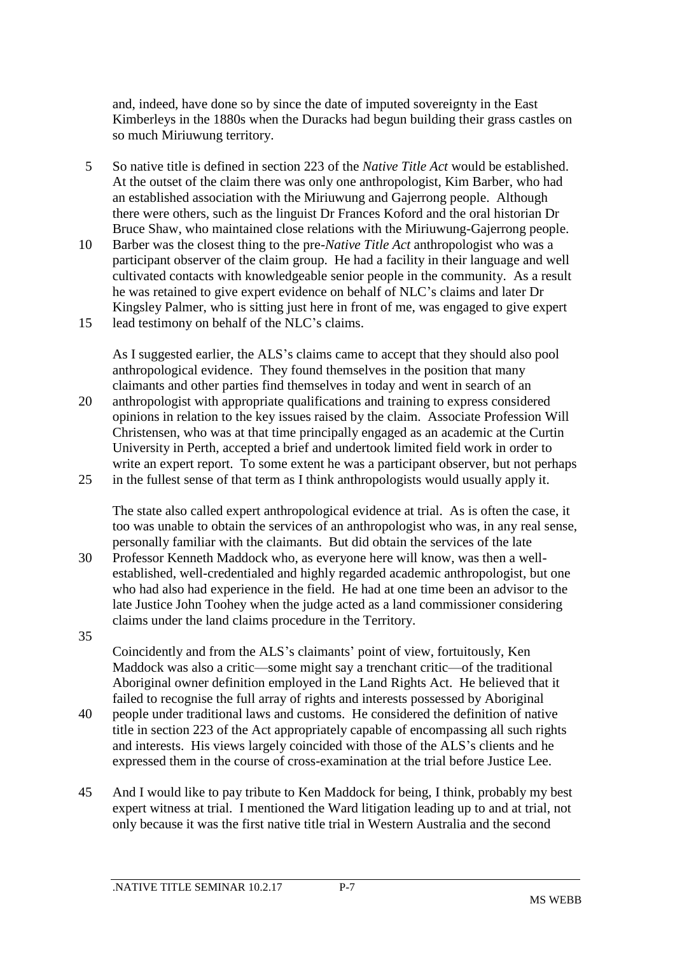and, indeed, have done so by since the date of imputed sovereignty in the East Kimberleys in the 1880s when the Duracks had begun building their grass castles on so much Miriuwung territory.

- 5 So native title is defined in section 223 of the *Native Title Act* would be established. At the outset of the claim there was only one anthropologist, Kim Barber, who had an established association with the Miriuwung and Gajerrong people. Although there were others, such as the linguist Dr Frances Koford and the oral historian Dr Bruce Shaw, who maintained close relations with the Miriuwung-Gajerrong people.
- 10 Barber was the closest thing to the pre-*Native Title Act* anthropologist who was a participant observer of the claim group. He had a facility in their language and well cultivated contacts with knowledgeable senior people in the community. As a result he was retained to give expert evidence on behalf of NLC's claims and later Dr Kingsley Palmer, who is sitting just here in front of me, was engaged to give expert 15 lead testimony on behalf of the NLC's claims.

As I suggested earlier, the ALS's claims came to accept that they should also pool anthropological evidence. They found themselves in the position that many claimants and other parties find themselves in today and went in search of an

20 anthropologist with appropriate qualifications and training to express considered opinions in relation to the key issues raised by the claim. Associate Profession Will Christensen, who was at that time principally engaged as an academic at the Curtin University in Perth, accepted a brief and undertook limited field work in order to write an expert report. To some extent he was a participant observer, but not perhaps 25 in the fullest sense of that term as I think anthropologists would usually apply it.

The state also called expert anthropological evidence at trial. As is often the case, it too was unable to obtain the services of an anthropologist who was, in any real sense, personally familiar with the claimants. But did obtain the services of the late

- 30 Professor Kenneth Maddock who, as everyone here will know, was then a wellestablished, well-credentialed and highly regarded academic anthropologist, but one who had also had experience in the field. He had at one time been an advisor to the late Justice John Toohey when the judge acted as a land commissioner considering claims under the land claims procedure in the Territory. 35
	- Coincidently and from the ALS's claimants' point of view, fortuitously, Ken Maddock was also a critic—some might say a trenchant critic—of the traditional Aboriginal owner definition employed in the Land Rights Act. He believed that it failed to recognise the full array of rights and interests possessed by Aboriginal
- 40 people under traditional laws and customs. He considered the definition of native title in section 223 of the Act appropriately capable of encompassing all such rights and interests. His views largely coincided with those of the ALS's clients and he expressed them in the course of cross-examination at the trial before Justice Lee.
- 45 And I would like to pay tribute to Ken Maddock for being, I think, probably my best expert witness at trial. I mentioned the Ward litigation leading up to and at trial, not only because it was the first native title trial in Western Australia and the second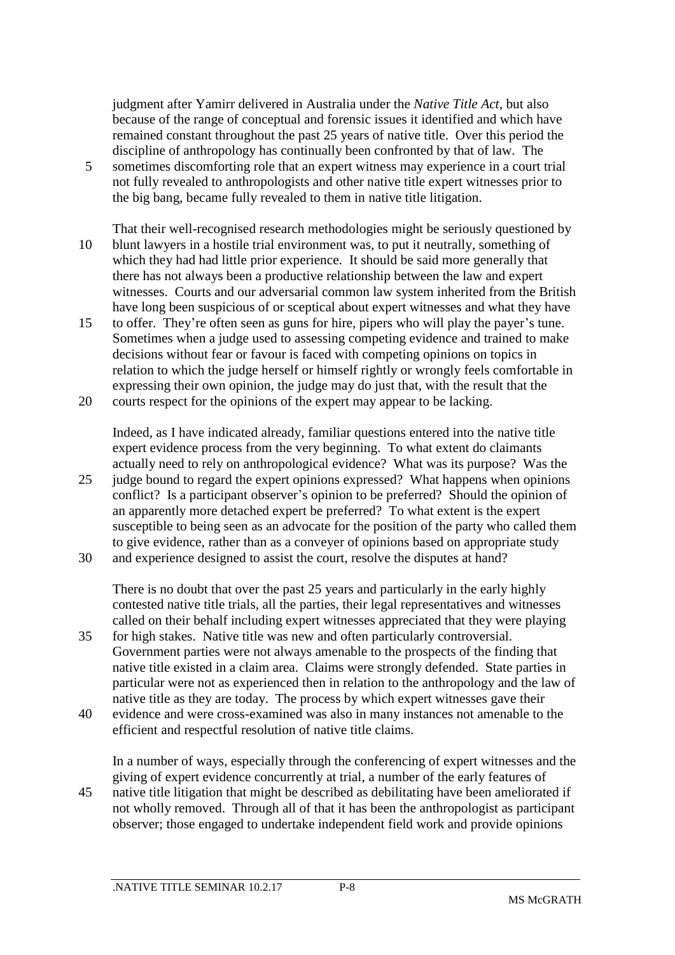judgment after Yamirr delivered in Australia under the *Native Title Act*, but also because of the range of conceptual and forensic issues it identified and which have remained constant throughout the past 25 years of native title. Over this period the discipline of anthropology has continually been confronted by that of law. The

- 5 sometimes discomforting role that an expert witness may experience in a court trial not fully revealed to anthropologists and other native title expert witnesses prior to the big bang, became fully revealed to them in native title litigation.
- That their well-recognised research methodologies might be seriously questioned by 10 blunt lawyers in a hostile trial environment was, to put it neutrally, something of which they had had little prior experience. It should be said more generally that there has not always been a productive relationship between the law and expert witnesses. Courts and our adversarial common law system inherited from the British have long been suspicious of or sceptical about expert witnesses and what they have
- 15 to offer. They're often seen as guns for hire, pipers who will play the payer's tune. Sometimes when a judge used to assessing competing evidence and trained to make decisions without fear or favour is faced with competing opinions on topics in relation to which the judge herself or himself rightly or wrongly feels comfortable in expressing their own opinion, the judge may do just that, with the result that the
- 20 courts respect for the opinions of the expert may appear to be lacking.

Indeed, as I have indicated already, familiar questions entered into the native title expert evidence process from the very beginning. To what extent do claimants actually need to rely on anthropological evidence? What was its purpose? Was the

- 25 judge bound to regard the expert opinions expressed? What happens when opinions conflict? Is a participant observer's opinion to be preferred? Should the opinion of an apparently more detached expert be preferred? To what extent is the expert susceptible to being seen as an advocate for the position of the party who called them to give evidence, rather than as a conveyer of opinions based on appropriate study
- 30 and experience designed to assist the court, resolve the disputes at hand?

There is no doubt that over the past 25 years and particularly in the early highly contested native title trials, all the parties, their legal representatives and witnesses called on their behalf including expert witnesses appreciated that they were playing

- 35 for high stakes. Native title was new and often particularly controversial. Government parties were not always amenable to the prospects of the finding that native title existed in a claim area. Claims were strongly defended. State parties in particular were not as experienced then in relation to the anthropology and the law of native title as they are today. The process by which expert witnesses gave their
- 40 evidence and were cross-examined was also in many instances not amenable to the efficient and respectful resolution of native title claims.

In a number of ways, especially through the conferencing of expert witnesses and the giving of expert evidence concurrently at trial, a number of the early features of

45 native title litigation that might be described as debilitating have been ameliorated if not wholly removed. Through all of that it has been the anthropologist as participant observer; those engaged to undertake independent field work and provide opinions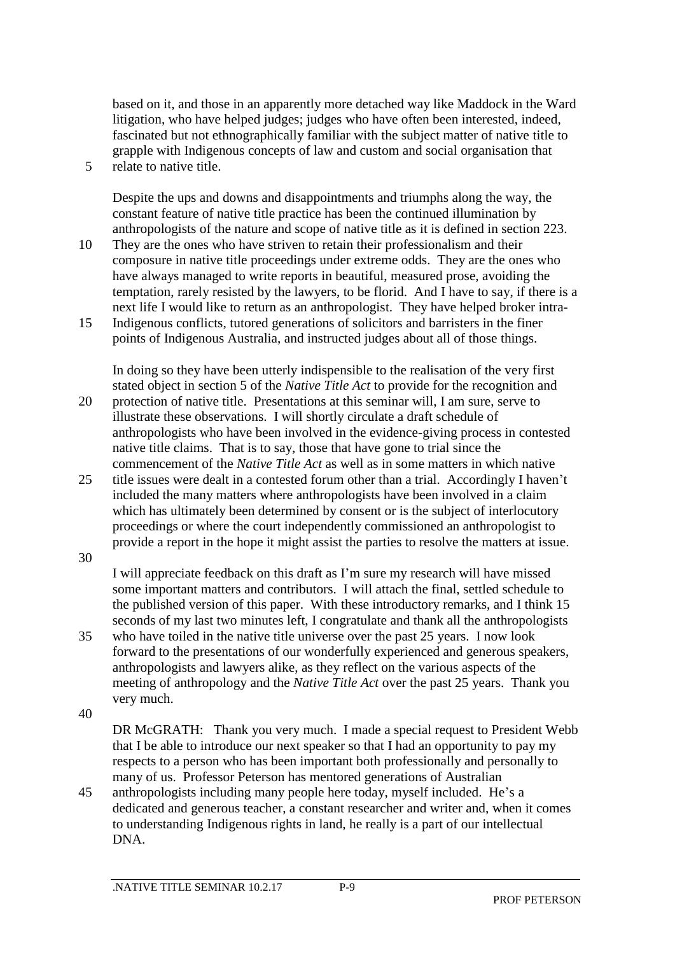based on it, and those in an apparently more detached way like Maddock in the Ward litigation, who have helped judges; judges who have often been interested, indeed, fascinated but not ethnographically familiar with the subject matter of native title to grapple with Indigenous concepts of law and custom and social organisation that 5 relate to native title.

Despite the ups and downs and disappointments and triumphs along the way, the constant feature of native title practice has been the continued illumination by anthropologists of the nature and scope of native title as it is defined in section 223.

- 10 They are the ones who have striven to retain their professionalism and their composure in native title proceedings under extreme odds. They are the ones who have always managed to write reports in beautiful, measured prose, avoiding the temptation, rarely resisted by the lawyers, to be florid. And I have to say, if there is a next life I would like to return as an anthropologist. They have helped broker intra-
- 15 Indigenous conflicts, tutored generations of solicitors and barristers in the finer points of Indigenous Australia, and instructed judges about all of those things.

In doing so they have been utterly indispensible to the realisation of the very first stated object in section 5 of the *Native Title Act* to provide for the recognition and 20 protection of native title. Presentations at this seminar will, I am sure, serve to illustrate these observations. I will shortly circulate a draft schedule of anthropologists who have been involved in the evidence-giving process in contested native title claims. That is to say, those that have gone to trial since the

commencement of the *Native Title Act* as well as in some matters in which native 25 title issues were dealt in a contested forum other than a trial. Accordingly I haven't included the many matters where anthropologists have been involved in a claim which has ultimately been determined by consent or is the subject of interlocutory proceedings or where the court independently commissioned an anthropologist to

30

I will appreciate feedback on this draft as I'm sure my research will have missed some important matters and contributors. I will attach the final, settled schedule to the published version of this paper. With these introductory remarks, and I think 15 seconds of my last two minutes left, I congratulate and thank all the anthropologists

provide a report in the hope it might assist the parties to resolve the matters at issue.

- 35 who have toiled in the native title universe over the past 25 years. I now look forward to the presentations of our wonderfully experienced and generous speakers, anthropologists and lawyers alike, as they reflect on the various aspects of the meeting of anthropology and the *Native Title Act* over the past 25 years. Thank you very much.
- 40

DR McGRATH: Thank you very much. I made a special request to President Webb that I be able to introduce our next speaker so that I had an opportunity to pay my respects to a person who has been important both professionally and personally to many of us. Professor Peterson has mentored generations of Australian

45 anthropologists including many people here today, myself included. He's a dedicated and generous teacher, a constant researcher and writer and, when it comes to understanding Indigenous rights in land, he really is a part of our intellectual DNA.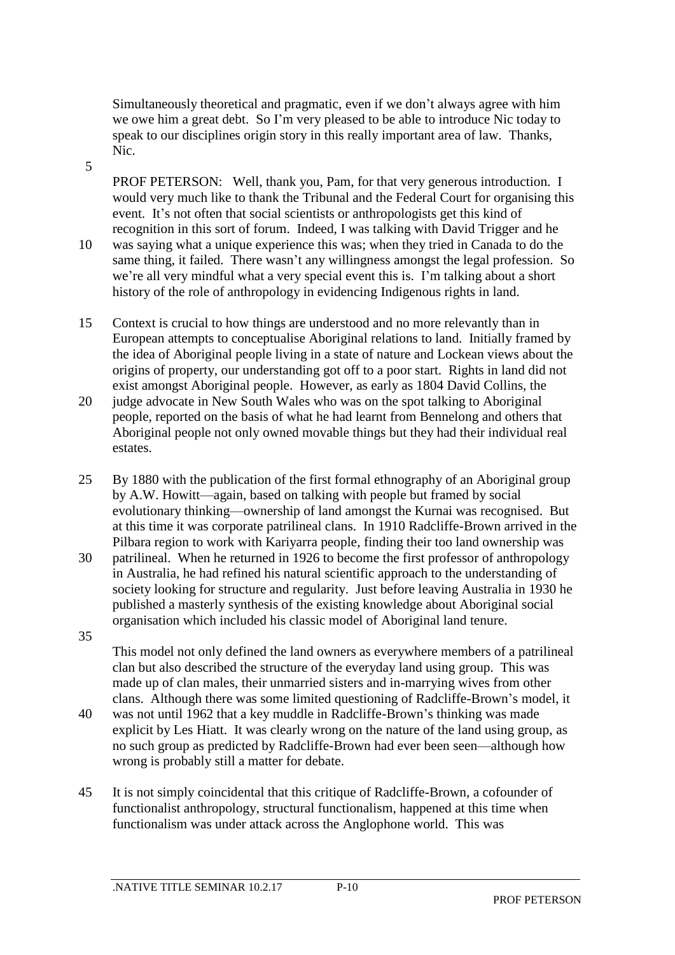Simultaneously theoretical and pragmatic, even if we don't always agree with him we owe him a great debt. So I'm very pleased to be able to introduce Nic today to speak to our disciplines origin story in this really important area of law. Thanks, Nic.

5

PROF PETERSON: Well, thank you, Pam, for that very generous introduction. I would very much like to thank the Tribunal and the Federal Court for organising this event. It's not often that social scientists or anthropologists get this kind of recognition in this sort of forum. Indeed, I was talking with David Trigger and he 10 was saying what a unique experience this was; when they tried in Canada to do the

- same thing, it failed. There wasn't any willingness amongst the legal profession. So we're all very mindful what a very special event this is. I'm talking about a short history of the role of anthropology in evidencing Indigenous rights in land.
- 15 Context is crucial to how things are understood and no more relevantly than in European attempts to conceptualise Aboriginal relations to land. Initially framed by the idea of Aboriginal people living in a state of nature and Lockean views about the origins of property, our understanding got off to a poor start. Rights in land did not exist amongst Aboriginal people. However, as early as 1804 David Collins, the
- 20 judge advocate in New South Wales who was on the spot talking to Aboriginal people, reported on the basis of what he had learnt from Bennelong and others that Aboriginal people not only owned movable things but they had their individual real estates.
- 25 By 1880 with the publication of the first formal ethnography of an Aboriginal group by A.W. Howitt—again, based on talking with people but framed by social evolutionary thinking—ownership of land amongst the Kurnai was recognised. But at this time it was corporate patrilineal clans. In 1910 Radcliffe-Brown arrived in the Pilbara region to work with Kariyarra people, finding their too land ownership was
- 30 patrilineal. When he returned in 1926 to become the first professor of anthropology in Australia, he had refined his natural scientific approach to the understanding of society looking for structure and regularity. Just before leaving Australia in 1930 he published a masterly synthesis of the existing knowledge about Aboriginal social organisation which included his classic model of Aboriginal land tenure. 35
	- This model not only defined the land owners as everywhere members of a patrilineal clan but also described the structure of the everyday land using group. This was made up of clan males, their unmarried sisters and in-marrying wives from other clans. Although there was some limited questioning of Radcliffe-Brown's model, it
- 40 was not until 1962 that a key muddle in Radcliffe-Brown's thinking was made explicit by Les Hiatt. It was clearly wrong on the nature of the land using group, as no such group as predicted by Radcliffe-Brown had ever been seen—although how wrong is probably still a matter for debate.
- 45 It is not simply coincidental that this critique of Radcliffe-Brown, a cofounder of functionalist anthropology, structural functionalism, happened at this time when functionalism was under attack across the Anglophone world. This was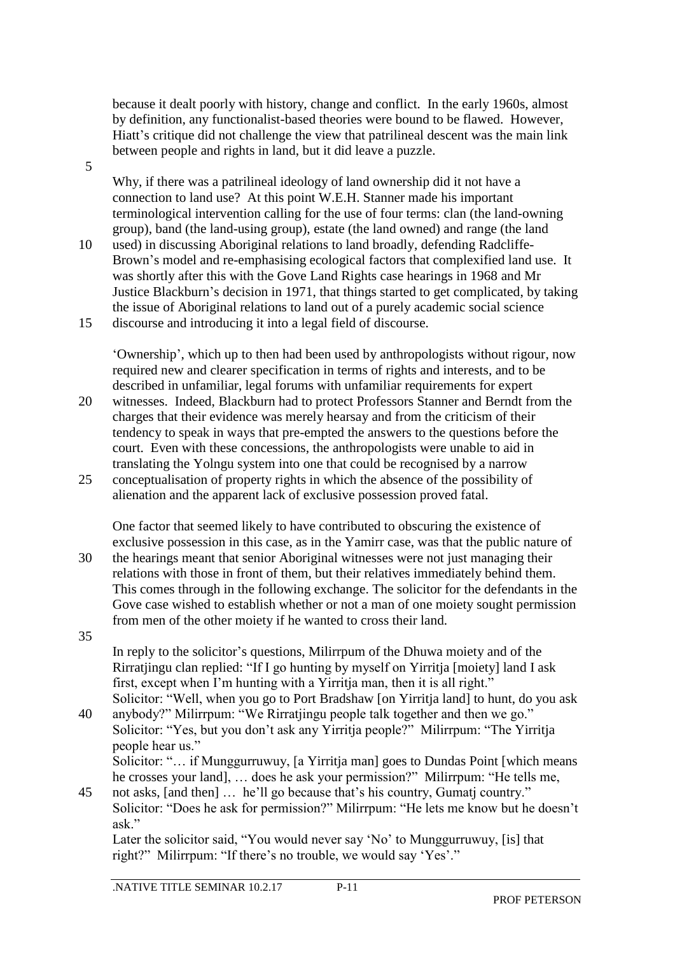because it dealt poorly with history, change and conflict. In the early 1960s, almost by definition, any functionalist-based theories were bound to be flawed. However, Hiatt's critique did not challenge the view that patrilineal descent was the main link between people and rights in land, but it did leave a puzzle.

5

Why, if there was a patrilineal ideology of land ownership did it not have a connection to land use? At this point W.E.H. Stanner made his important terminological intervention calling for the use of four terms: clan (the land-owning group), band (the land-using group), estate (the land owned) and range (the land

10 used) in discussing Aboriginal relations to land broadly, defending Radcliffe-Brown's model and re-emphasising ecological factors that complexified land use. It was shortly after this with the Gove Land Rights case hearings in 1968 and Mr Justice Blackburn's decision in 1971, that things started to get complicated, by taking the issue of Aboriginal relations to land out of a purely academic social science 15 discourse and introducing it into a legal field of discourse.

'Ownership', which up to then had been used by anthropologists without rigour, now required new and clearer specification in terms of rights and interests, and to be described in unfamiliar, legal forums with unfamiliar requirements for expert

- 20 witnesses. Indeed, Blackburn had to protect Professors Stanner and Berndt from the charges that their evidence was merely hearsay and from the criticism of their tendency to speak in ways that pre-empted the answers to the questions before the court. Even with these concessions, the anthropologists were unable to aid in translating the Yolngu system into one that could be recognised by a narrow
- 25 conceptualisation of property rights in which the absence of the possibility of alienation and the apparent lack of exclusive possession proved fatal.

One factor that seemed likely to have contributed to obscuring the existence of exclusive possession in this case, as in the Yamirr case, was that the public nature of 30 the hearings meant that senior Aboriginal witnesses were not just managing their relations with those in front of them, but their relatives immediately behind them. This comes through in the following exchange. The solicitor for the defendants in the Gove case wished to establish whether or not a man of one moiety sought permission from men of the other moiety if he wanted to cross their land. 35

- In reply to the solicitor's questions, Milirrpum of the Dhuwa moiety and of the Rirratjingu clan replied: "If I go hunting by myself on Yirritja [moiety] land I ask first, except when I'm hunting with a Yirritja man, then it is all right." Solicitor: "Well, when you go to Port Bradshaw [on Yirritja land] to hunt, do you ask
- 40 anybody?" Milirrpum: "We Rirratjingu people talk together and then we go." Solicitor: "Yes, but you don't ask any Yirritja people?" Milirrpum: "The Yirritja people hear us." Solicitor: "… if Munggurruwuy, [a Yirritja man] goes to Dundas Point [which means

he crosses your land], … does he ask your permission?" Milirrpum: "He tells me, 45 not asks, [and then] … he'll go because that's his country, Gumatj country."

Solicitor: "Does he ask for permission?" Milirrpum: "He lets me know but he doesn't ask."

Later the solicitor said, "You would never say 'No' to Munggurruwuy, [is] that right?" Milirrpum: "If there's no trouble, we would say 'Yes'."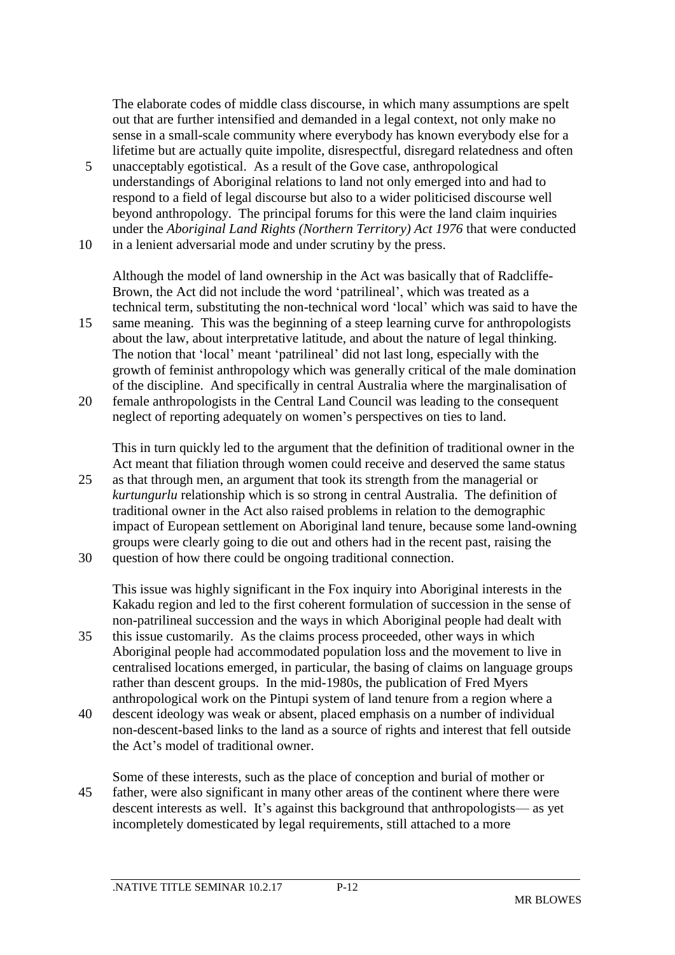The elaborate codes of middle class discourse, in which many assumptions are spelt out that are further intensified and demanded in a legal context, not only make no sense in a small-scale community where everybody has known everybody else for a lifetime but are actually quite impolite, disrespectful, disregard relatedness and often

5 unacceptably egotistical. As a result of the Gove case, anthropological understandings of Aboriginal relations to land not only emerged into and had to respond to a field of legal discourse but also to a wider politicised discourse well beyond anthropology. The principal forums for this were the land claim inquiries under the *Aboriginal Land Rights (Northern Territory) Act 1976* that were conducted 10 in a lenient adversarial mode and under scrutiny by the press.

Although the model of land ownership in the Act was basically that of Radcliffe-Brown, the Act did not include the word 'patrilineal', which was treated as a technical term, substituting the non-technical word 'local' which was said to have the 15 same meaning. This was the beginning of a steep learning curve for anthropologists about the law, about interpretative latitude, and about the nature of legal thinking. The notion that 'local' meant 'patrilineal' did not last long, especially with the growth of feminist anthropology which was generally critical of the male domination of the discipline. And specifically in central Australia where the marginalisation of

20 female anthropologists in the Central Land Council was leading to the consequent neglect of reporting adequately on women's perspectives on ties to land.

This in turn quickly led to the argument that the definition of traditional owner in the Act meant that filiation through women could receive and deserved the same status 25 as that through men, an argument that took its strength from the managerial or *kurtungurlu* relationship which is so strong in central Australia. The definition of traditional owner in the Act also raised problems in relation to the demographic impact of European settlement on Aboriginal land tenure, because some land-owning groups were clearly going to die out and others had in the recent past, raising the

30 question of how there could be ongoing traditional connection.

This issue was highly significant in the Fox inquiry into Aboriginal interests in the Kakadu region and led to the first coherent formulation of succession in the sense of non-patrilineal succession and the ways in which Aboriginal people had dealt with

- 35 this issue customarily. As the claims process proceeded, other ways in which Aboriginal people had accommodated population loss and the movement to live in centralised locations emerged, in particular, the basing of claims on language groups rather than descent groups. In the mid-1980s, the publication of Fred Myers anthropological work on the Pintupi system of land tenure from a region where a
- 40 descent ideology was weak or absent, placed emphasis on a number of individual non-descent-based links to the land as a source of rights and interest that fell outside the Act's model of traditional owner.
- Some of these interests, such as the place of conception and burial of mother or 45 father, were also significant in many other areas of the continent where there were descent interests as well. It's against this background that anthropologists— as yet incompletely domesticated by legal requirements, still attached to a more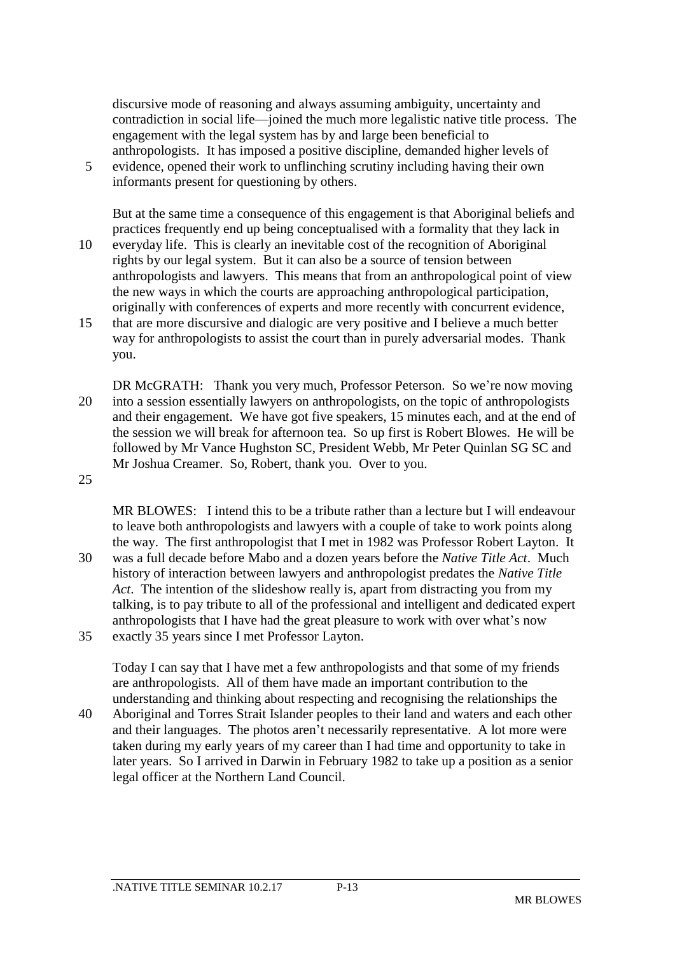discursive mode of reasoning and always assuming ambiguity, uncertainty and contradiction in social life—joined the much more legalistic native title process. The engagement with the legal system has by and large been beneficial to anthropologists. It has imposed a positive discipline, demanded higher levels of

5 evidence, opened their work to unflinching scrutiny including having their own informants present for questioning by others.

But at the same time a consequence of this engagement is that Aboriginal beliefs and practices frequently end up being conceptualised with a formality that they lack in

- 10 everyday life. This is clearly an inevitable cost of the recognition of Aboriginal rights by our legal system. But it can also be a source of tension between anthropologists and lawyers. This means that from an anthropological point of view the new ways in which the courts are approaching anthropological participation, originally with conferences of experts and more recently with concurrent evidence,
- 15 that are more discursive and dialogic are very positive and I believe a much better way for anthropologists to assist the court than in purely adversarial modes. Thank you.
- DR McGRATH: Thank you very much, Professor Peterson. So we're now moving 20 into a session essentially lawyers on anthropologists, on the topic of anthropologists and their engagement. We have got five speakers, 15 minutes each, and at the end of the session we will break for afternoon tea. So up first is Robert Blowes. He will be followed by Mr Vance Hughston SC, President Webb, Mr Peter Quinlan SG SC and Mr Joshua Creamer. So, Robert, thank you. Over to you.

25

MR BLOWES: I intend this to be a tribute rather than a lecture but I will endeavour to leave both anthropologists and lawyers with a couple of take to work points along the way. The first anthropologist that I met in 1982 was Professor Robert Layton. It 30 was a full decade before Mabo and a dozen years before the *Native Title Act*. Much history of interaction between lawyers and anthropologist predates the *Native Title Act*. The intention of the slideshow really is, apart from distracting you from my talking, is to pay tribute to all of the professional and intelligent and dedicated expert anthropologists that I have had the great pleasure to work with over what's now

35 exactly 35 years since I met Professor Layton.

Today I can say that I have met a few anthropologists and that some of my friends are anthropologists. All of them have made an important contribution to the understanding and thinking about respecting and recognising the relationships the

40 Aboriginal and Torres Strait Islander peoples to their land and waters and each other and their languages. The photos aren't necessarily representative. A lot more were taken during my early years of my career than I had time and opportunity to take in later years. So I arrived in Darwin in February 1982 to take up a position as a senior legal officer at the Northern Land Council.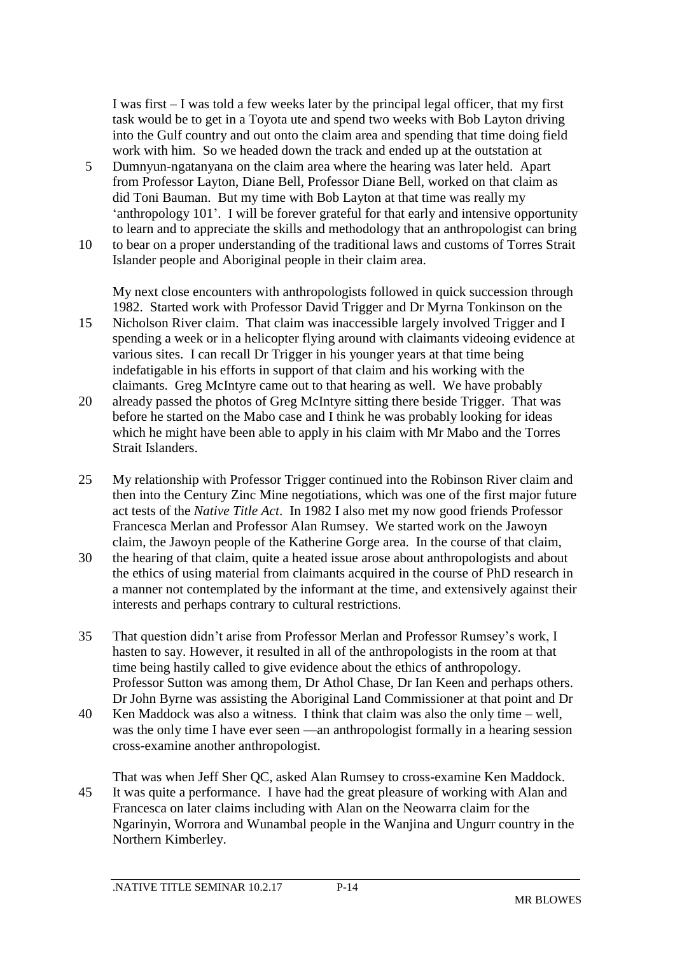I was first – I was told a few weeks later by the principal legal officer, that my first task would be to get in a Toyota ute and spend two weeks with Bob Layton driving into the Gulf country and out onto the claim area and spending that time doing field work with him. So we headed down the track and ended up at the outstation at

- 5 Dumnyun-ngatanyana on the claim area where the hearing was later held. Apart from Professor Layton, Diane Bell, Professor Diane Bell, worked on that claim as did Toni Bauman. But my time with Bob Layton at that time was really my 'anthropology 101'. I will be forever grateful for that early and intensive opportunity to learn and to appreciate the skills and methodology that an anthropologist can bring
- 10 to bear on a proper understanding of the traditional laws and customs of Torres Strait Islander people and Aboriginal people in their claim area.

My next close encounters with anthropologists followed in quick succession through 1982. Started work with Professor David Trigger and Dr Myrna Tonkinson on the

- 15 Nicholson River claim. That claim was inaccessible largely involved Trigger and I spending a week or in a helicopter flying around with claimants videoing evidence at various sites. I can recall Dr Trigger in his younger years at that time being indefatigable in his efforts in support of that claim and his working with the claimants. Greg McIntyre came out to that hearing as well. We have probably
- 20 already passed the photos of Greg McIntyre sitting there beside Trigger. That was before he started on the Mabo case and I think he was probably looking for ideas which he might have been able to apply in his claim with Mr Mabo and the Torres Strait Islanders.
- 25 My relationship with Professor Trigger continued into the Robinson River claim and then into the Century Zinc Mine negotiations, which was one of the first major future act tests of the *Native Title Act*. In 1982 I also met my now good friends Professor Francesca Merlan and Professor Alan Rumsey. We started work on the Jawoyn claim, the Jawoyn people of the Katherine Gorge area. In the course of that claim,
- 30 the hearing of that claim, quite a heated issue arose about anthropologists and about the ethics of using material from claimants acquired in the course of PhD research in a manner not contemplated by the informant at the time, and extensively against their interests and perhaps contrary to cultural restrictions.
- 35 That question didn't arise from Professor Merlan and Professor Rumsey's work, I hasten to say. However, it resulted in all of the anthropologists in the room at that time being hastily called to give evidence about the ethics of anthropology. Professor Sutton was among them, Dr Athol Chase, Dr Ian Keen and perhaps others. Dr John Byrne was assisting the Aboriginal Land Commissioner at that point and Dr
- 40 Ken Maddock was also a witness. I think that claim was also the only time well, was the only time I have ever seen —an anthropologist formally in a hearing session cross-examine another anthropologist.
- That was when Jeff Sher QC, asked Alan Rumsey to cross-examine Ken Maddock. 45 It was quite a performance. I have had the great pleasure of working with Alan and Francesca on later claims including with Alan on the Neowarra claim for the Ngarinyin, Worrora and Wunambal people in the Wanjina and Ungurr country in the Northern Kimberley.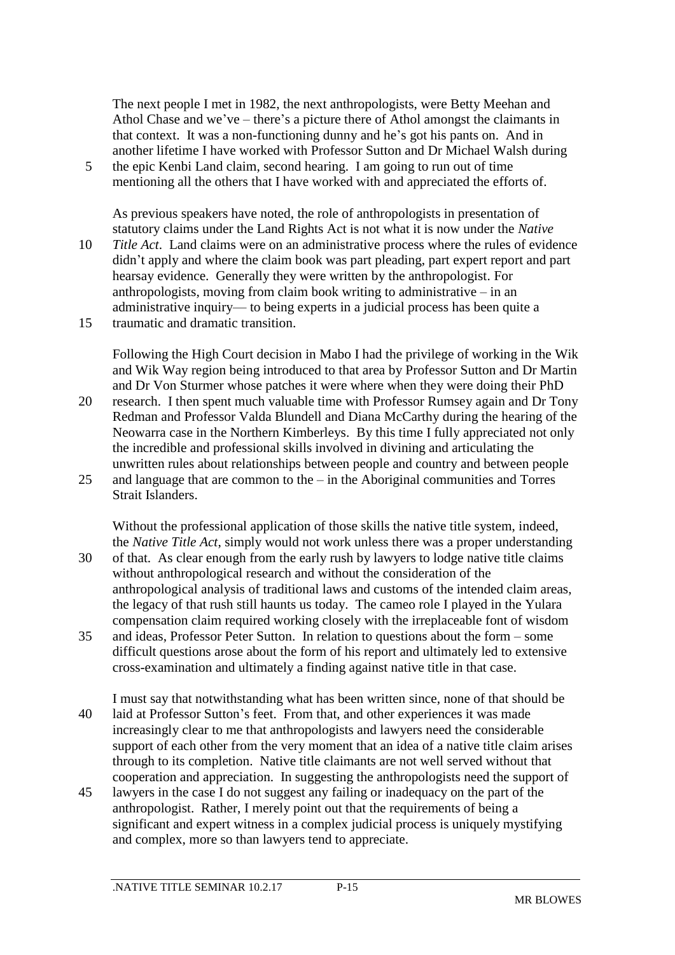The next people I met in 1982, the next anthropologists, were Betty Meehan and Athol Chase and we've – there's a picture there of Athol amongst the claimants in that context. It was a non-functioning dunny and he's got his pants on. And in another lifetime I have worked with Professor Sutton and Dr Michael Walsh during

5 the epic Kenbi Land claim, second hearing. I am going to run out of time mentioning all the others that I have worked with and appreciated the efforts of.

As previous speakers have noted, the role of anthropologists in presentation of statutory claims under the Land Rights Act is not what it is now under the *Native* 

10 *Title Act*. Land claims were on an administrative process where the rules of evidence didn't apply and where the claim book was part pleading, part expert report and part hearsay evidence. Generally they were written by the anthropologist. For anthropologists, moving from claim book writing to administrative – in an administrative inquiry— to being experts in a judicial process has been quite a 15 traumatic and dramatic transition.

Following the High Court decision in Mabo I had the privilege of working in the Wik and Wik Way region being introduced to that area by Professor Sutton and Dr Martin and Dr Von Sturmer whose patches it were where when they were doing their PhD

- 20 research. I then spent much valuable time with Professor Rumsey again and Dr Tony Redman and Professor Valda Blundell and Diana McCarthy during the hearing of the Neowarra case in the Northern Kimberleys. By this time I fully appreciated not only the incredible and professional skills involved in divining and articulating the unwritten rules about relationships between people and country and between people 25 and language that are common to the – in the Aboriginal communities and Torres
- Strait Islanders.

Without the professional application of those skills the native title system, indeed, the *Native Title Act*, simply would not work unless there was a proper understanding

- 30 of that. As clear enough from the early rush by lawyers to lodge native title claims without anthropological research and without the consideration of the anthropological analysis of traditional laws and customs of the intended claim areas, the legacy of that rush still haunts us today. The cameo role I played in the Yulara compensation claim required working closely with the irreplaceable font of wisdom
- 35 and ideas, Professor Peter Sutton. In relation to questions about the form some difficult questions arose about the form of his report and ultimately led to extensive cross-examination and ultimately a finding against native title in that case.
- I must say that notwithstanding what has been written since, none of that should be 40 laid at Professor Sutton's feet. From that, and other experiences it was made increasingly clear to me that anthropologists and lawyers need the considerable support of each other from the very moment that an idea of a native title claim arises through to its completion. Native title claimants are not well served without that cooperation and appreciation. In suggesting the anthropologists need the support of
- 45 lawyers in the case I do not suggest any failing or inadequacy on the part of the anthropologist. Rather, I merely point out that the requirements of being a significant and expert witness in a complex judicial process is uniquely mystifying and complex, more so than lawyers tend to appreciate.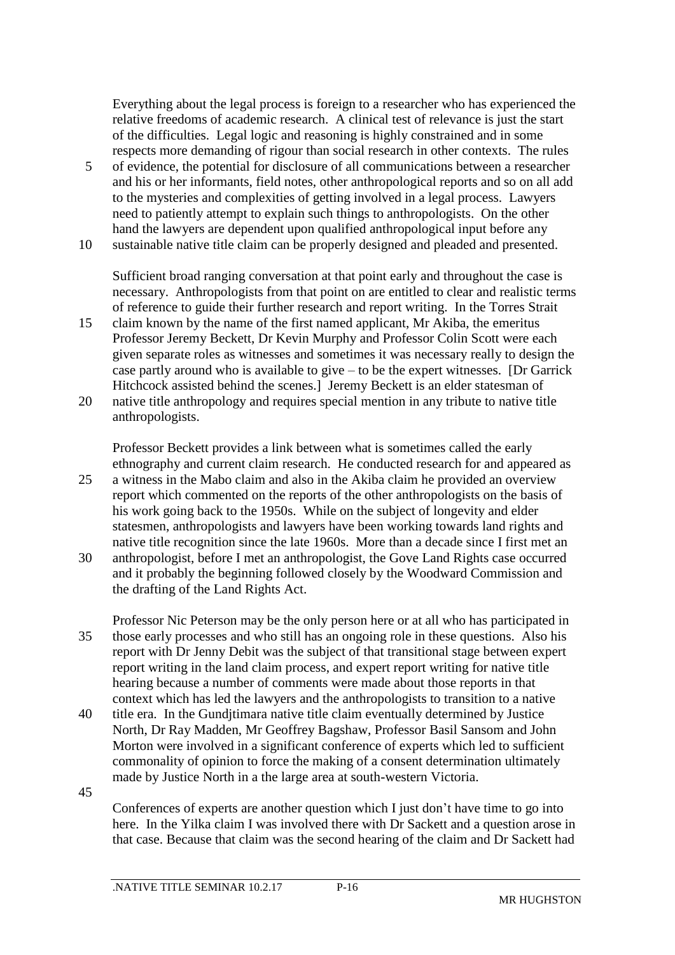Everything about the legal process is foreign to a researcher who has experienced the relative freedoms of academic research. A clinical test of relevance is just the start of the difficulties. Legal logic and reasoning is highly constrained and in some respects more demanding of rigour than social research in other contexts. The rules

5 of evidence, the potential for disclosure of all communications between a researcher and his or her informants, field notes, other anthropological reports and so on all add to the mysteries and complexities of getting involved in a legal process. Lawyers need to patiently attempt to explain such things to anthropologists. On the other hand the lawyers are dependent upon qualified anthropological input before any 10 sustainable native title claim can be properly designed and pleaded and presented.

Sufficient broad ranging conversation at that point early and throughout the case is necessary. Anthropologists from that point on are entitled to clear and realistic terms of reference to guide their further research and report writing. In the Torres Strait

- 15 claim known by the name of the first named applicant, Mr Akiba, the emeritus Professor Jeremy Beckett, Dr Kevin Murphy and Professor Colin Scott were each given separate roles as witnesses and sometimes it was necessary really to design the case partly around who is available to give – to be the expert witnesses. [Dr Garrick Hitchcock assisted behind the scenes.] Jeremy Beckett is an elder statesman of
- 20 native title anthropology and requires special mention in any tribute to native title anthropologists.

Professor Beckett provides a link between what is sometimes called the early ethnography and current claim research. He conducted research for and appeared as 25 a witness in the Mabo claim and also in the Akiba claim he provided an overview report which commented on the reports of the other anthropologists on the basis of his work going back to the 1950s. While on the subject of longevity and elder statesmen, anthropologists and lawyers have been working towards land rights and native title recognition since the late 1960s. More than a decade since I first met an 30 anthropologist, before I met an anthropologist, the Gove Land Rights case occurred and it probably the beginning followed closely by the Woodward Commission and the drafting of the Land Rights Act.

- Professor Nic Peterson may be the only person here or at all who has participated in 35 those early processes and who still has an ongoing role in these questions. Also his report with Dr Jenny Debit was the subject of that transitional stage between expert report writing in the land claim process, and expert report writing for native title hearing because a number of comments were made about those reports in that context which has led the lawyers and the anthropologists to transition to a native
- 40 title era. In the Gundjtimara native title claim eventually determined by Justice North, Dr Ray Madden, Mr Geoffrey Bagshaw, Professor Basil Sansom and John Morton were involved in a significant conference of experts which led to sufficient commonality of opinion to force the making of a consent determination ultimately made by Justice North in a the large area at south-western Victoria.
- 45

Conferences of experts are another question which I just don't have time to go into here. In the Yilka claim I was involved there with Dr Sackett and a question arose in that case. Because that claim was the second hearing of the claim and Dr Sackett had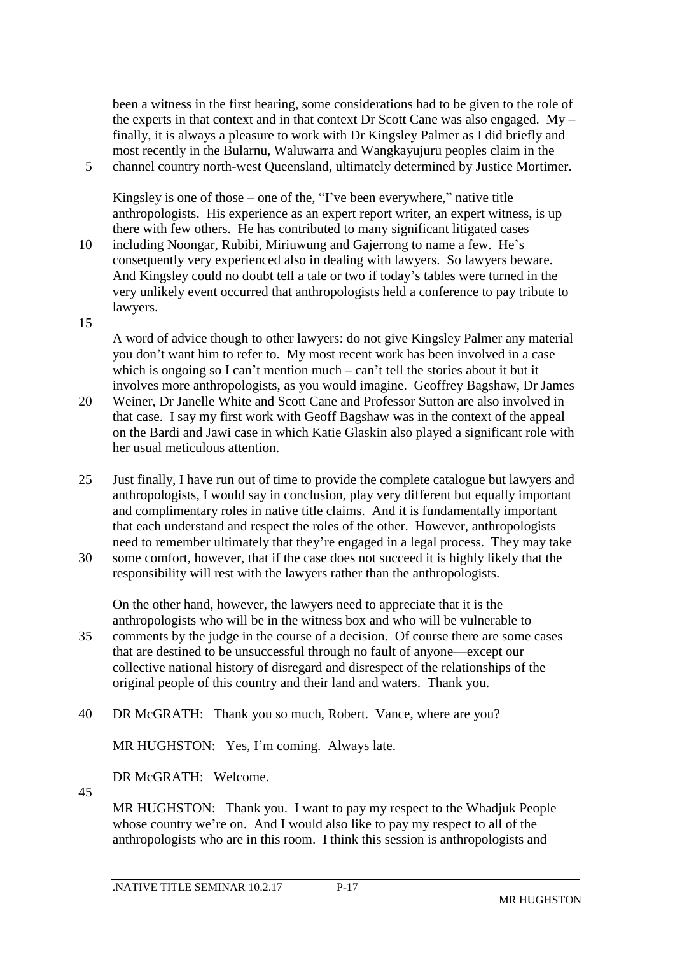been a witness in the first hearing, some considerations had to be given to the role of the experts in that context and in that context Dr Scott Cane was also engaged.  $My$ finally, it is always a pleasure to work with Dr Kingsley Palmer as I did briefly and most recently in the Bularnu, Waluwarra and Wangkayujuru peoples claim in the 5 channel country north-west Queensland, ultimately determined by Justice Mortimer.

Kingsley is one of those – one of the, "I've been everywhere," native title anthropologists. His experience as an expert report writer, an expert witness, is up there with few others. He has contributed to many significant litigated cases

- 10 including Noongar, Rubibi, Miriuwung and Gajerrong to name a few. He's consequently very experienced also in dealing with lawyers. So lawyers beware. And Kingsley could no doubt tell a tale or two if today's tables were turned in the very unlikely event occurred that anthropologists held a conference to pay tribute to lawyers.
- 15

A word of advice though to other lawyers: do not give Kingsley Palmer any material you don't want him to refer to. My most recent work has been involved in a case which is ongoing so I can't mention much – can't tell the stories about it but it involves more anthropologists, as you would imagine. Geoffrey Bagshaw, Dr James

- 20 Weiner, Dr Janelle White and Scott Cane and Professor Sutton are also involved in that case. I say my first work with Geoff Bagshaw was in the context of the appeal on the Bardi and Jawi case in which Katie Glaskin also played a significant role with her usual meticulous attention.
- 25 Just finally, I have run out of time to provide the complete catalogue but lawyers and anthropologists, I would say in conclusion, play very different but equally important and complimentary roles in native title claims. And it is fundamentally important that each understand and respect the roles of the other. However, anthropologists need to remember ultimately that they're engaged in a legal process. They may take
- 30 some comfort, however, that if the case does not succeed it is highly likely that the responsibility will rest with the lawyers rather than the anthropologists.

On the other hand, however, the lawyers need to appreciate that it is the anthropologists who will be in the witness box and who will be vulnerable to 35 comments by the judge in the course of a decision. Of course there are some cases

- that are destined to be unsuccessful through no fault of anyone—except our collective national history of disregard and disrespect of the relationships of the original people of this country and their land and waters. Thank you.
- 40 DR McGRATH: Thank you so much, Robert. Vance, where are you?

MR HUGHSTON: Yes, I'm coming. Always late.

DR McGRATH: Welcome.

45

MR HUGHSTON: Thank you. I want to pay my respect to the Whadjuk People whose country we're on. And I would also like to pay my respect to all of the anthropologists who are in this room. I think this session is anthropologists and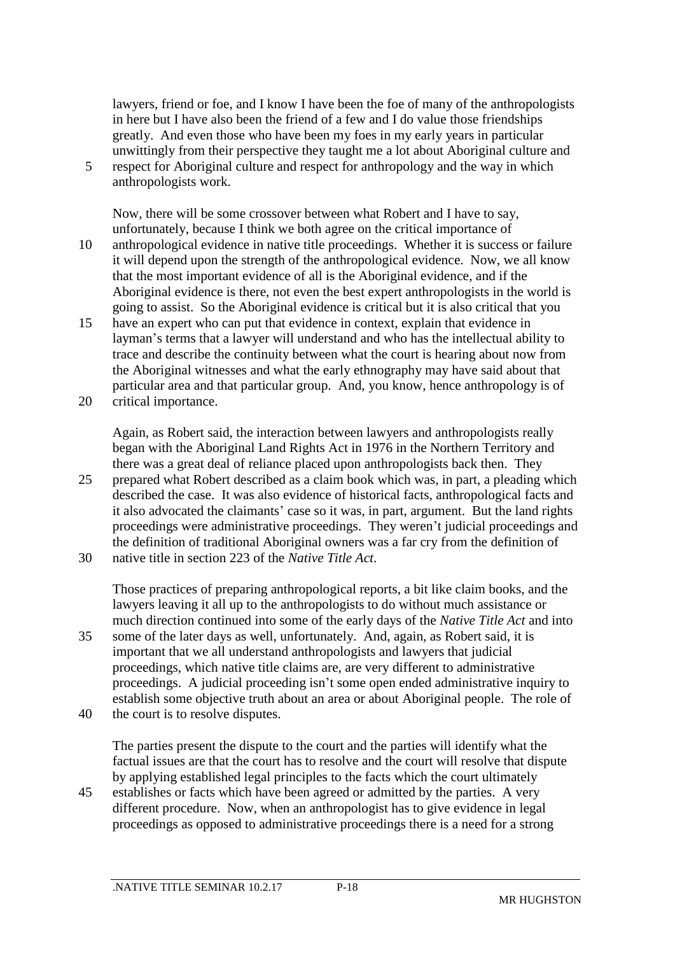lawyers, friend or foe, and I know I have been the foe of many of the anthropologists in here but I have also been the friend of a few and I do value those friendships greatly. And even those who have been my foes in my early years in particular unwittingly from their perspective they taught me a lot about Aboriginal culture and 5 respect for Aboriginal culture and respect for anthropology and the way in which anthropologists work.

Now, there will be some crossover between what Robert and I have to say, unfortunately, because I think we both agree on the critical importance of

- 10 anthropological evidence in native title proceedings. Whether it is success or failure it will depend upon the strength of the anthropological evidence. Now, we all know that the most important evidence of all is the Aboriginal evidence, and if the Aboriginal evidence is there, not even the best expert anthropologists in the world is going to assist. So the Aboriginal evidence is critical but it is also critical that you
- 15 have an expert who can put that evidence in context, explain that evidence in layman's terms that a lawyer will understand and who has the intellectual ability to trace and describe the continuity between what the court is hearing about now from the Aboriginal witnesses and what the early ethnography may have said about that particular area and that particular group. And, you know, hence anthropology is of
- 20 critical importance.

Again, as Robert said, the interaction between lawyers and anthropologists really began with the Aboriginal Land Rights Act in 1976 in the Northern Territory and there was a great deal of reliance placed upon anthropologists back then. They

- 25 prepared what Robert described as a claim book which was, in part, a pleading which described the case. It was also evidence of historical facts, anthropological facts and it also advocated the claimants' case so it was, in part, argument. But the land rights proceedings were administrative proceedings. They weren't judicial proceedings and the definition of traditional Aboriginal owners was a far cry from the definition of
- 30 native title in section 223 of the *Native Title Act*.

Those practices of preparing anthropological reports, a bit like claim books, and the lawyers leaving it all up to the anthropologists to do without much assistance or much direction continued into some of the early days of the *Native Title Act* and into

- 35 some of the later days as well, unfortunately. And, again, as Robert said, it is important that we all understand anthropologists and lawyers that judicial proceedings, which native title claims are, are very different to administrative proceedings. A judicial proceeding isn't some open ended administrative inquiry to establish some objective truth about an area or about Aboriginal people. The role of
- 40 the court is to resolve disputes.

The parties present the dispute to the court and the parties will identify what the factual issues are that the court has to resolve and the court will resolve that dispute by applying established legal principles to the facts which the court ultimately

45 establishes or facts which have been agreed or admitted by the parties. A very different procedure. Now, when an anthropologist has to give evidence in legal proceedings as opposed to administrative proceedings there is a need for a strong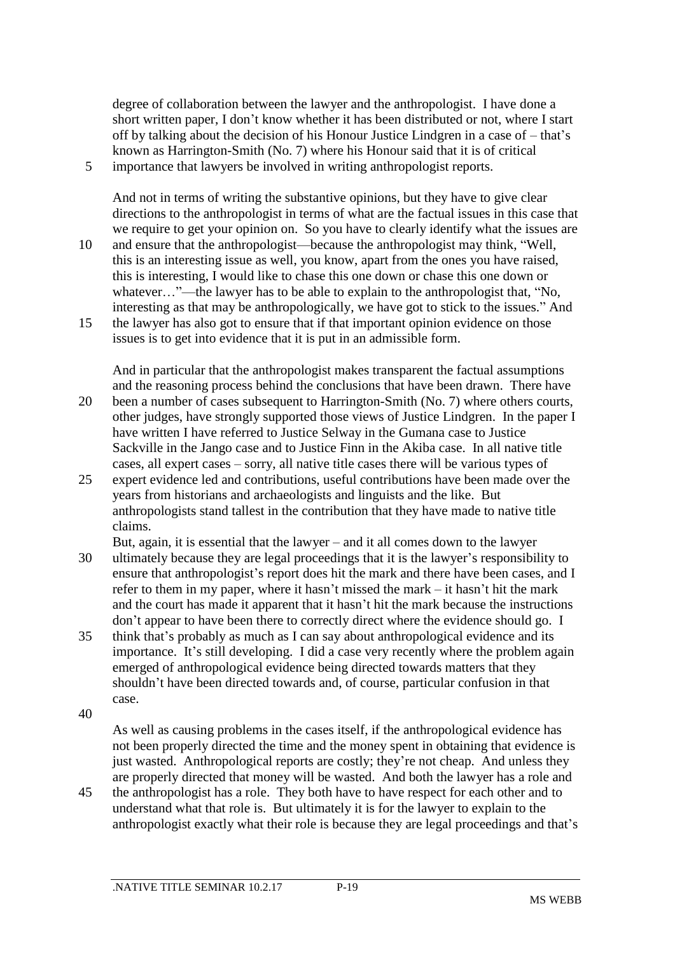degree of collaboration between the lawyer and the anthropologist. I have done a short written paper, I don't know whether it has been distributed or not, where I start off by talking about the decision of his Honour Justice Lindgren in a case of – that's known as Harrington-Smith (No. 7) where his Honour said that it is of critical 5 importance that lawyers be involved in writing anthropologist reports.

And not in terms of writing the substantive opinions, but they have to give clear directions to the anthropologist in terms of what are the factual issues in this case that we require to get your opinion on. So you have to clearly identify what the issues are 10 and ensure that the anthropologist—because the anthropologist may think, "Well, this is an interesting issue as well, you know, apart from the ones you have raised, this is interesting, I would like to chase this one down or chase this one down or whatever..."—the lawyer has to be able to explain to the anthropologist that, "No, interesting as that may be anthropologically, we have got to stick to the issues." And 15 the lawyer has also got to ensure that if that important opinion evidence on those

issues is to get into evidence that it is put in an admissible form.

And in particular that the anthropologist makes transparent the factual assumptions and the reasoning process behind the conclusions that have been drawn. There have

- 20 been a number of cases subsequent to Harrington-Smith (No. 7) where others courts, other judges, have strongly supported those views of Justice Lindgren. In the paper I have written I have referred to Justice Selway in the Gumana case to Justice Sackville in the Jango case and to Justice Finn in the Akiba case. In all native title cases, all expert cases – sorry, all native title cases there will be various types of
- 25 expert evidence led and contributions, useful contributions have been made over the years from historians and archaeologists and linguists and the like. But anthropologists stand tallest in the contribution that they have made to native title claims.

But, again, it is essential that the lawyer – and it all comes down to the lawyer

- 30 ultimately because they are legal proceedings that it is the lawyer's responsibility to ensure that anthropologist's report does hit the mark and there have been cases, and I refer to them in my paper, where it hasn't missed the mark – it hasn't hit the mark and the court has made it apparent that it hasn't hit the mark because the instructions don't appear to have been there to correctly direct where the evidence should go. I
- 35 think that's probably as much as I can say about anthropological evidence and its importance. It's still developing. I did a case very recently where the problem again emerged of anthropological evidence being directed towards matters that they shouldn't have been directed towards and, of course, particular confusion in that case.
- 40

As well as causing problems in the cases itself, if the anthropological evidence has not been properly directed the time and the money spent in obtaining that evidence is just wasted. Anthropological reports are costly; they're not cheap. And unless they are properly directed that money will be wasted. And both the lawyer has a role and

45 the anthropologist has a role. They both have to have respect for each other and to understand what that role is. But ultimately it is for the lawyer to explain to the anthropologist exactly what their role is because they are legal proceedings and that's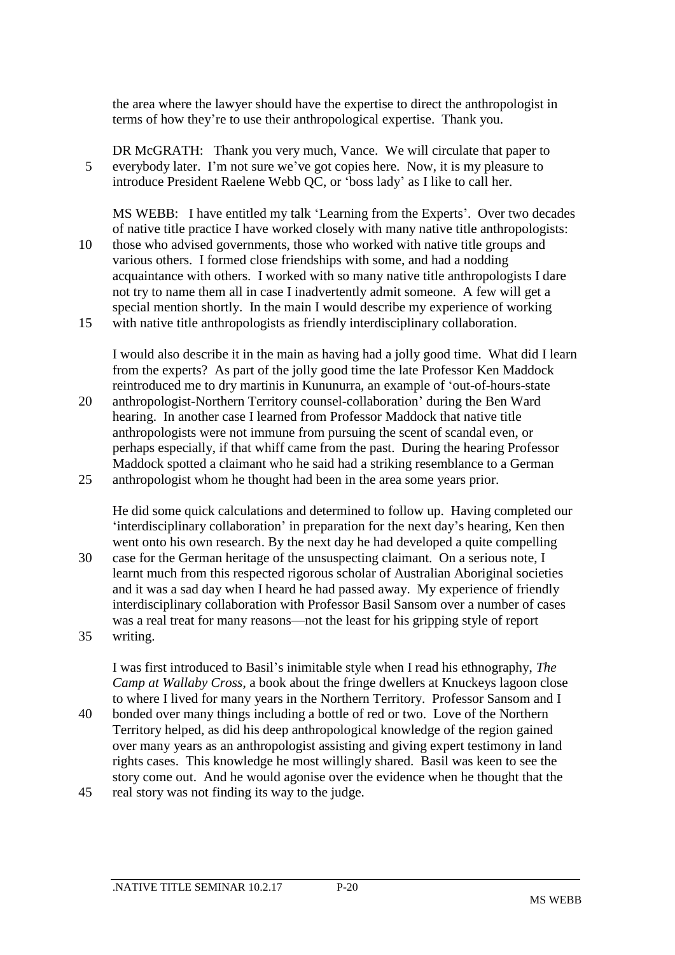the area where the lawyer should have the expertise to direct the anthropologist in terms of how they're to use their anthropological expertise. Thank you.

DR McGRATH: Thank you very much, Vance. We will circulate that paper to 5 everybody later. I'm not sure we've got copies here. Now, it is my pleasure to introduce President Raelene Webb QC, or 'boss lady' as I like to call her.

MS WEBB: I have entitled my talk 'Learning from the Experts'. Over two decades of native title practice I have worked closely with many native title anthropologists: 10 those who advised governments, those who worked with native title groups and various others. I formed close friendships with some, and had a nodding acquaintance with others. I worked with so many native title anthropologists I dare not try to name them all in case I inadvertently admit someone. A few will get a special mention shortly. In the main I would describe my experience of working 15 with native title anthropologists as friendly interdisciplinary collaboration.

I would also describe it in the main as having had a jolly good time. What did I learn from the experts? As part of the jolly good time the late Professor Ken Maddock reintroduced me to dry martinis in Kununurra, an example of 'out-of-hours-state

20 anthropologist-Northern Territory counsel-collaboration' during the Ben Ward hearing. In another case I learned from Professor Maddock that native title anthropologists were not immune from pursuing the scent of scandal even, or perhaps especially, if that whiff came from the past. During the hearing Professor Maddock spotted a claimant who he said had a striking resemblance to a German 25 anthropologist whom he thought had been in the area some years prior.

He did some quick calculations and determined to follow up. Having completed our 'interdisciplinary collaboration' in preparation for the next day's hearing, Ken then went onto his own research. By the next day he had developed a quite compelling 30 case for the German heritage of the unsuspecting claimant. On a serious note, I

learnt much from this respected rigorous scholar of Australian Aboriginal societies and it was a sad day when I heard he had passed away. My experience of friendly interdisciplinary collaboration with Professor Basil Sansom over a number of cases was a real treat for many reasons—not the least for his gripping style of report 35 writing.

I was first introduced to Basil's inimitable style when I read his ethnography, *The Camp at Wallaby Cross*, a book about the fringe dwellers at Knuckeys lagoon close to where I lived for many years in the Northern Territory. Professor Sansom and I

- 40 bonded over many things including a bottle of red or two. Love of the Northern Territory helped, as did his deep anthropological knowledge of the region gained over many years as an anthropologist assisting and giving expert testimony in land rights cases. This knowledge he most willingly shared. Basil was keen to see the story come out. And he would agonise over the evidence when he thought that the
- 45 real story was not finding its way to the judge.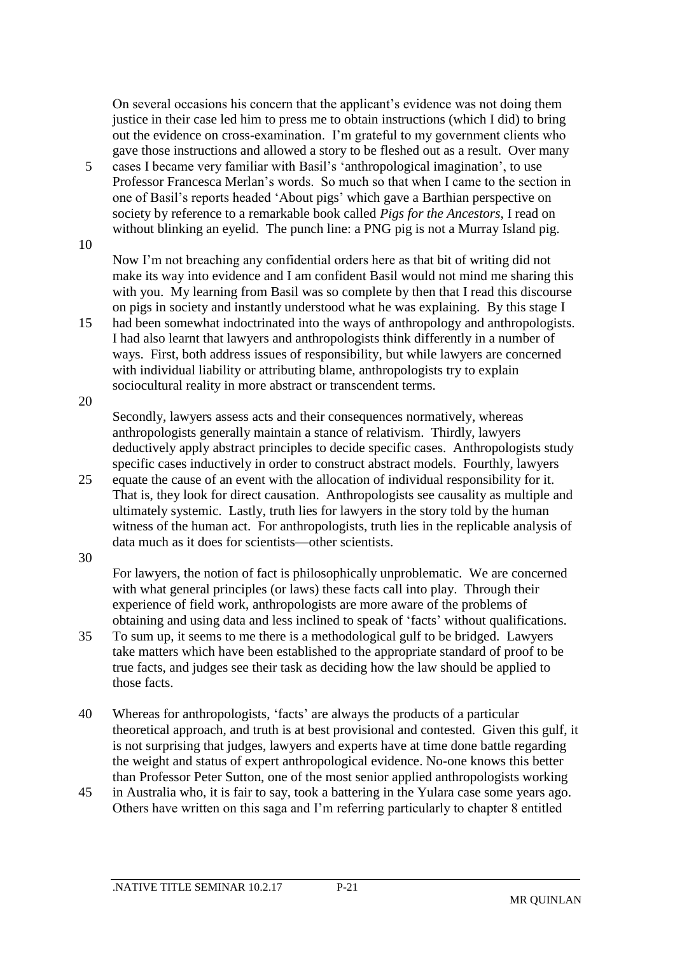On several occasions his concern that the applicant's evidence was not doing them justice in their case led him to press me to obtain instructions (which I did) to bring out the evidence on cross-examination. I'm grateful to my government clients who gave those instructions and allowed a story to be fleshed out as a result. Over many

5 cases I became very familiar with Basil's 'anthropological imagination', to use Professor Francesca Merlan's words. So much so that when I came to the section in one of Basil's reports headed 'About pigs' which gave a Barthian perspective on society by reference to a remarkable book called *Pigs for the Ancestors*, I read on without blinking an eyelid. The punch line: a PNG pig is not a Murray Island pig.

10

Now I'm not breaching any confidential orders here as that bit of writing did not make its way into evidence and I am confident Basil would not mind me sharing this with you. My learning from Basil was so complete by then that I read this discourse on pigs in society and instantly understood what he was explaining. By this stage I

15 had been somewhat indoctrinated into the ways of anthropology and anthropologists. I had also learnt that lawyers and anthropologists think differently in a number of ways. First, both address issues of responsibility, but while lawyers are concerned with individual liability or attributing blame, anthropologists try to explain sociocultural reality in more abstract or transcendent terms.

20

Secondly, lawyers assess acts and their consequences normatively, whereas anthropologists generally maintain a stance of relativism. Thirdly, lawyers deductively apply abstract principles to decide specific cases. Anthropologists study specific cases inductively in order to construct abstract models. Fourthly, lawyers

25 equate the cause of an event with the allocation of individual responsibility for it. That is, they look for direct causation. Anthropologists see causality as multiple and ultimately systemic. Lastly, truth lies for lawyers in the story told by the human witness of the human act. For anthropologists, truth lies in the replicable analysis of data much as it does for scientists—other scientists.

30

For lawyers, the notion of fact is philosophically unproblematic. We are concerned with what general principles (or laws) these facts call into play. Through their experience of field work, anthropologists are more aware of the problems of obtaining and using data and less inclined to speak of 'facts' without qualifications.

- 35 To sum up, it seems to me there is a methodological gulf to be bridged. Lawyers take matters which have been established to the appropriate standard of proof to be true facts, and judges see their task as deciding how the law should be applied to those facts.
- 40 Whereas for anthropologists, 'facts' are always the products of a particular theoretical approach, and truth is at best provisional and contested. Given this gulf, it is not surprising that judges, lawyers and experts have at time done battle regarding the weight and status of expert anthropological evidence. No-one knows this better than Professor Peter Sutton, one of the most senior applied anthropologists working
- 45 in Australia who, it is fair to say, took a battering in the Yulara case some years ago. Others have written on this saga and I'm referring particularly to chapter 8 entitled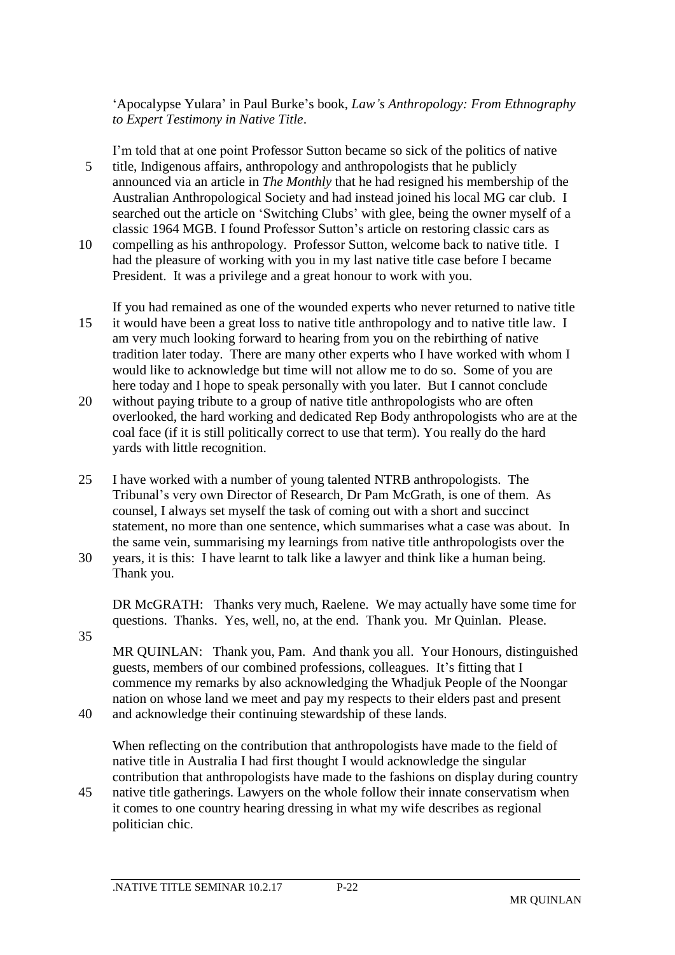'Apocalypse Yulara' in Paul Burke's book, *Law's Anthropology: From Ethnography to Expert Testimony in Native Title*.

I'm told that at one point Professor Sutton became so sick of the politics of native 5 title, Indigenous affairs, anthropology and anthropologists that he publicly announced via an article in *The Monthly* that he had resigned his membership of the Australian Anthropological Society and had instead joined his local MG car club. I searched out the article on 'Switching Clubs' with glee, being the owner myself of a classic 1964 MGB. I found Professor Sutton's article on restoring classic cars as

10 compelling as his anthropology. Professor Sutton, welcome back to native title. I had the pleasure of working with you in my last native title case before I became President. It was a privilege and a great honour to work with you.

If you had remained as one of the wounded experts who never returned to native title 15 it would have been a great loss to native title anthropology and to native title law. I am very much looking forward to hearing from you on the rebirthing of native tradition later today. There are many other experts who I have worked with whom I would like to acknowledge but time will not allow me to do so. Some of you are here today and I hope to speak personally with you later. But I cannot conclude

- 20 without paying tribute to a group of native title anthropologists who are often overlooked, the hard working and dedicated Rep Body anthropologists who are at the coal face (if it is still politically correct to use that term). You really do the hard yards with little recognition.
- 25 I have worked with a number of young talented NTRB anthropologists. The Tribunal's very own Director of Research, Dr Pam McGrath, is one of them. As counsel, I always set myself the task of coming out with a short and succinct statement, no more than one sentence, which summarises what a case was about. In the same vein, summarising my learnings from native title anthropologists over the
- 30 years, it is this: I have learnt to talk like a lawyer and think like a human being. Thank you.

DR McGRATH: Thanks very much, Raelene. We may actually have some time for questions. Thanks. Yes, well, no, at the end. Thank you. Mr Quinlan. Please.

MR QUINLAN: Thank you, Pam. And thank you all. Your Honours, distinguished guests, members of our combined professions, colleagues. It's fitting that I commence my remarks by also acknowledging the Whadjuk People of the Noongar nation on whose land we meet and pay my respects to their elders past and present

40 and acknowledge their continuing stewardship of these lands.

When reflecting on the contribution that anthropologists have made to the field of native title in Australia I had first thought I would acknowledge the singular contribution that anthropologists have made to the fashions on display during country

45 native title gatherings. Lawyers on the whole follow their innate conservatism when it comes to one country hearing dressing in what my wife describes as regional politician chic.

35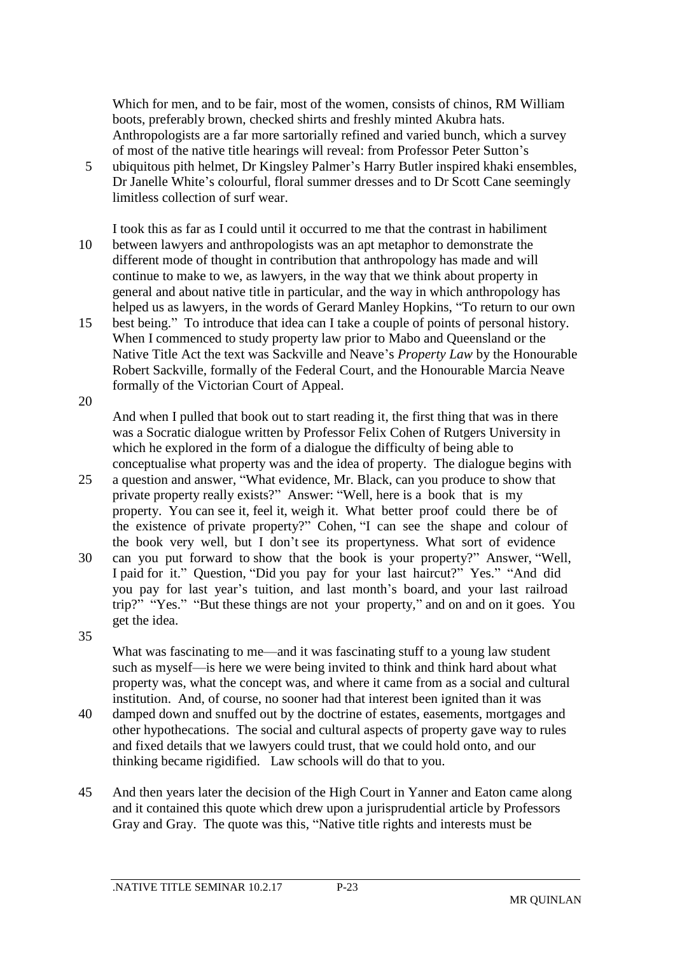Which for men, and to be fair, most of the women, consists of chinos, RM William boots, preferably brown, checked shirts and freshly minted Akubra hats. Anthropologists are a far more sartorially refined and varied bunch, which a survey of most of the native title hearings will reveal: from Professor Peter Sutton's

- 5 ubiquitous pith helmet, Dr Kingsley Palmer's Harry Butler inspired khaki ensembles, Dr Janelle White's colourful, floral summer dresses and to Dr Scott Cane seemingly limitless collection of surf wear.
- I took this as far as I could until it occurred to me that the contrast in habiliment 10 between lawyers and anthropologists was an apt metaphor to demonstrate the different mode of thought in contribution that anthropology has made and will continue to make to we, as lawyers, in the way that we think about property in general and about native title in particular, and the way in which anthropology has helped us as lawyers, in the words of Gerard Manley Hopkins, "To return to our own
- 15 best being." To introduce that idea can I take a couple of points of personal history. When I commenced to study property law prior to Mabo and Queensland or the Native Title Act the text was Sackville and Neave's *Property Law* by the Honourable Robert Sackville, formally of the Federal Court, and the Honourable Marcia Neave formally of the Victorian Court of Appeal.
- 20

And when I pulled that book out to start reading it, the first thing that was in there was a Socratic dialogue written by Professor Felix Cohen of Rutgers University in which he explored in the form of a dialogue the difficulty of being able to conceptualise what property was and the idea of property. The dialogue begins with

- 25 a question and answer, "What evidence, Mr. Black, can you produce to show that private property really exists?" Answer: "Well, here is a book that is my property. You can see it, feel it, weigh it. What better proof could there be of the existence of private property?" Cohen, "I can see the shape and colour of the book very well, but I don't see its propertyness. What sort of evidence
- 30 can you put forward to show that the book is your property?" Answer, "Well, I paid for it." Question, "Did you pay for your last haircut?" Yes." "And did you pay for last year's tuition, and last month's board, and your last railroad trip?" "Yes." "But these things are not your property," and on and on it goes. You get the idea.
- 35

What was fascinating to me—and it was fascinating stuff to a young law student such as myself—is here we were being invited to think and think hard about what property was, what the concept was, and where it came from as a social and cultural institution. And, of course, no sooner had that interest been ignited than it was

- 40 damped down and snuffed out by the doctrine of estates, easements, mortgages and other hypothecations. The social and cultural aspects of property gave way to rules and fixed details that we lawyers could trust, that we could hold onto, and our thinking became rigidified. Law schools will do that to you.
- 45 And then years later the decision of the High Court in Yanner and Eaton came along and it contained this quote which drew upon a jurisprudential article by Professors Gray and Gray. The quote was this, "Native title rights and interests must be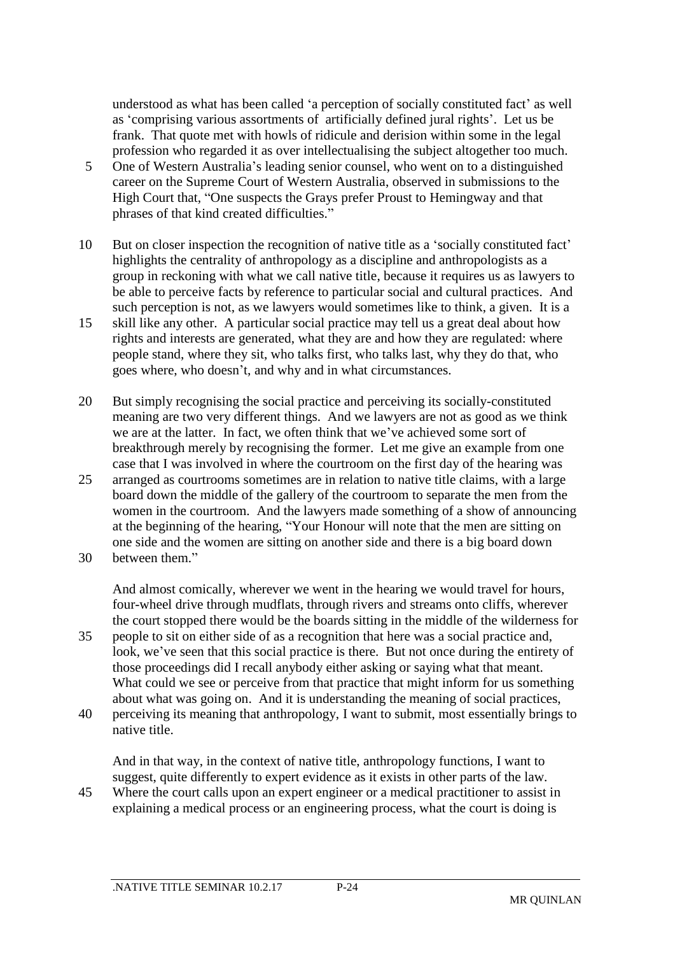understood as what has been called 'a perception of socially constituted fact' as well as 'comprising various assortments of artificially defined jural rights'. Let us be frank. That quote met with howls of ridicule and derision within some in the legal profession who regarded it as over intellectualising the subject altogether too much.

- 5 One of Western Australia's leading senior counsel, who went on to a distinguished career on the Supreme Court of Western Australia, observed in submissions to the High Court that, "One suspects the Grays prefer Proust to Hemingway and that phrases of that kind created difficulties."
- 10 But on closer inspection the recognition of native title as a 'socially constituted fact' highlights the centrality of anthropology as a discipline and anthropologists as a group in reckoning with what we call native title, because it requires us as lawyers to be able to perceive facts by reference to particular social and cultural practices. And such perception is not, as we lawyers would sometimes like to think, a given. It is a
- 15 skill like any other. A particular social practice may tell us a great deal about how rights and interests are generated, what they are and how they are regulated: where people stand, where they sit, who talks first, who talks last, why they do that, who goes where, who doesn't, and why and in what circumstances.
- 20 But simply recognising the social practice and perceiving its socially-constituted meaning are two very different things. And we lawyers are not as good as we think we are at the latter. In fact, we often think that we've achieved some sort of breakthrough merely by recognising the former. Let me give an example from one case that I was involved in where the courtroom on the first day of the hearing was
- 25 arranged as courtrooms sometimes are in relation to native title claims, with a large board down the middle of the gallery of the courtroom to separate the men from the women in the courtroom. And the lawyers made something of a show of announcing at the beginning of the hearing, "Your Honour will note that the men are sitting on one side and the women are sitting on another side and there is a big board down 30 between them."
- 

And almost comically, wherever we went in the hearing we would travel for hours, four-wheel drive through mudflats, through rivers and streams onto cliffs, wherever the court stopped there would be the boards sitting in the middle of the wilderness for 35 people to sit on either side of as a recognition that here was a social practice and,

- look, we've seen that this social practice is there. But not once during the entirety of those proceedings did I recall anybody either asking or saying what that meant. What could we see or perceive from that practice that might inform for us something about what was going on. And it is understanding the meaning of social practices,
- 40 perceiving its meaning that anthropology, I want to submit, most essentially brings to native title.

And in that way, in the context of native title, anthropology functions, I want to suggest, quite differently to expert evidence as it exists in other parts of the law.

45 Where the court calls upon an expert engineer or a medical practitioner to assist in explaining a medical process or an engineering process, what the court is doing is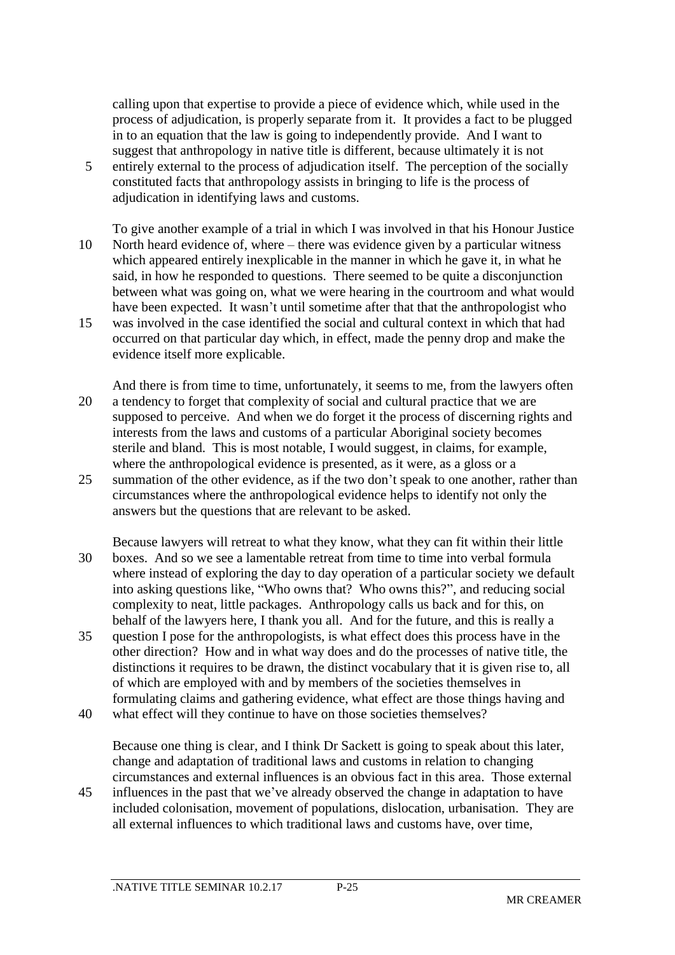calling upon that expertise to provide a piece of evidence which, while used in the process of adjudication, is properly separate from it. It provides a fact to be plugged in to an equation that the law is going to independently provide. And I want to suggest that anthropology in native title is different, because ultimately it is not

- 5 entirely external to the process of adjudication itself. The perception of the socially constituted facts that anthropology assists in bringing to life is the process of adjudication in identifying laws and customs.
- To give another example of a trial in which I was involved in that his Honour Justice 10 North heard evidence of, where – there was evidence given by a particular witness which appeared entirely inexplicable in the manner in which he gave it, in what he said, in how he responded to questions. There seemed to be quite a disconjunction between what was going on, what we were hearing in the courtroom and what would have been expected. It wasn't until sometime after that that the anthropologist who 15 was involved in the case identified the social and cultural context in which that had occurred on that particular day which, in effect, made the penny drop and make the
- evidence itself more explicable.
- And there is from time to time, unfortunately, it seems to me, from the lawyers often 20 a tendency to forget that complexity of social and cultural practice that we are supposed to perceive. And when we do forget it the process of discerning rights and interests from the laws and customs of a particular Aboriginal society becomes sterile and bland. This is most notable, I would suggest, in claims, for example, where the anthropological evidence is presented, as it were, as a gloss or a
- 25 summation of the other evidence, as if the two don't speak to one another, rather than circumstances where the anthropological evidence helps to identify not only the answers but the questions that are relevant to be asked.
- Because lawyers will retreat to what they know, what they can fit within their little 30 boxes. And so we see a lamentable retreat from time to time into verbal formula where instead of exploring the day to day operation of a particular society we default into asking questions like, "Who owns that? Who owns this?", and reducing social complexity to neat, little packages. Anthropology calls us back and for this, on behalf of the lawyers here, I thank you all. And for the future, and this is really a
- 35 question I pose for the anthropologists, is what effect does this process have in the other direction? How and in what way does and do the processes of native title, the distinctions it requires to be drawn, the distinct vocabulary that it is given rise to, all of which are employed with and by members of the societies themselves in formulating claims and gathering evidence, what effect are those things having and
- 40 what effect will they continue to have on those societies themselves?

Because one thing is clear, and I think Dr Sackett is going to speak about this later, change and adaptation of traditional laws and customs in relation to changing circumstances and external influences is an obvious fact in this area. Those external

45 influences in the past that we've already observed the change in adaptation to have included colonisation, movement of populations, dislocation, urbanisation. They are all external influences to which traditional laws and customs have, over time,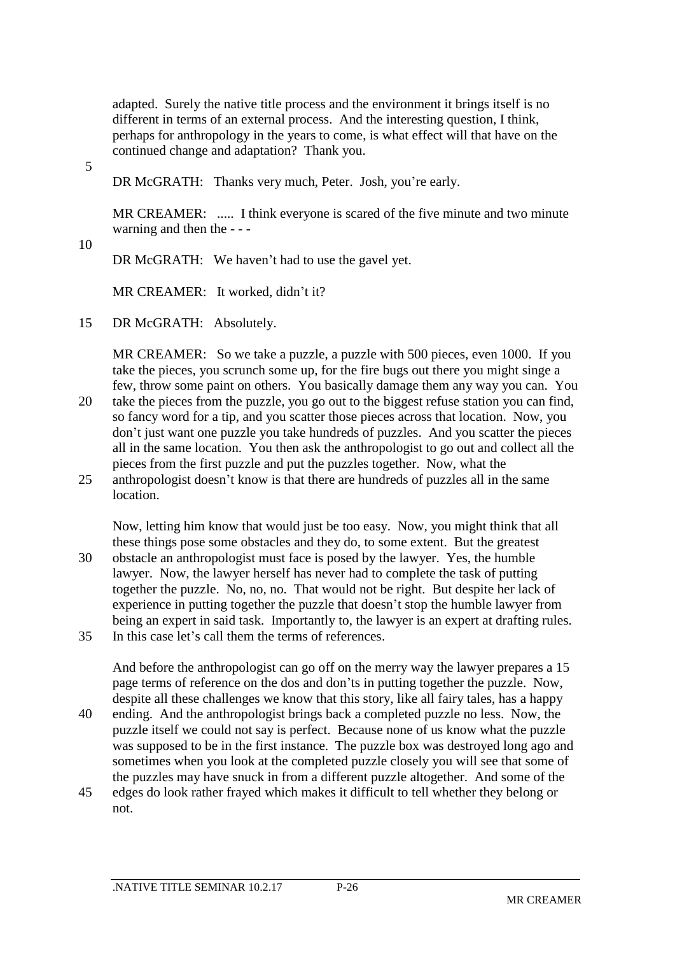adapted. Surely the native title process and the environment it brings itself is no different in terms of an external process. And the interesting question, I think, perhaps for anthropology in the years to come, is what effect will that have on the continued change and adaptation? Thank you.

5

DR McGRATH: Thanks very much, Peter. Josh, you're early.

MR CREAMER: ..... I think everyone is scared of the five minute and two minute warning and then the - - -

10

DR McGRATH: We haven't had to use the gavel yet.

MR CREAMER: It worked, didn't it?

15 DR McGRATH: Absolutely.

MR CREAMER: So we take a puzzle, a puzzle with 500 pieces, even 1000. If you take the pieces, you scrunch some up, for the fire bugs out there you might singe a few, throw some paint on others. You basically damage them any way you can. You

- 20 take the pieces from the puzzle, you go out to the biggest refuse station you can find, so fancy word for a tip, and you scatter those pieces across that location. Now, you don't just want one puzzle you take hundreds of puzzles. And you scatter the pieces all in the same location. You then ask the anthropologist to go out and collect all the pieces from the first puzzle and put the puzzles together. Now, what the
- 25 anthropologist doesn't know is that there are hundreds of puzzles all in the same **location**

Now, letting him know that would just be too easy. Now, you might think that all these things pose some obstacles and they do, to some extent. But the greatest 30 obstacle an anthropologist must face is posed by the lawyer. Yes, the humble lawyer. Now, the lawyer herself has never had to complete the task of putting together the puzzle. No, no, no. That would not be right. But despite her lack of experience in putting together the puzzle that doesn't stop the humble lawyer from being an expert in said task. Importantly to, the lawyer is an expert at drafting rules. 35 In this case let's call them the terms of references.

And before the anthropologist can go off on the merry way the lawyer prepares a 15 page terms of reference on the dos and don'ts in putting together the puzzle. Now, despite all these challenges we know that this story, like all fairy tales, has a happy

- 40 ending. And the anthropologist brings back a completed puzzle no less. Now, the puzzle itself we could not say is perfect. Because none of us know what the puzzle was supposed to be in the first instance. The puzzle box was destroyed long ago and sometimes when you look at the completed puzzle closely you will see that some of the puzzles may have snuck in from a different puzzle altogether. And some of the
- 45 edges do look rather frayed which makes it difficult to tell whether they belong or not.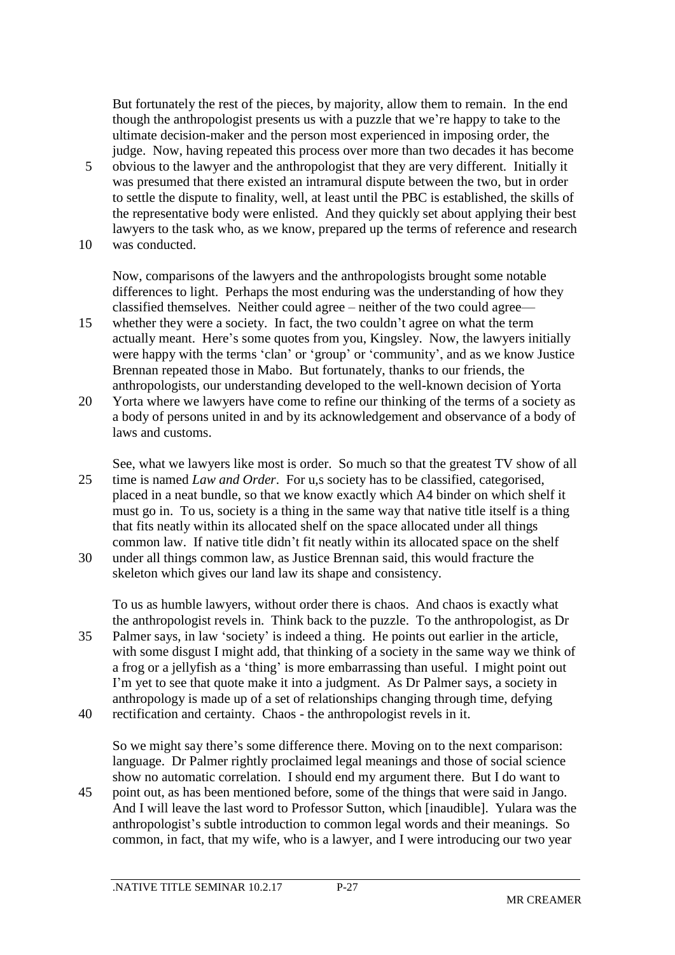But fortunately the rest of the pieces, by majority, allow them to remain. In the end though the anthropologist presents us with a puzzle that we're happy to take to the ultimate decision-maker and the person most experienced in imposing order, the judge. Now, having repeated this process over more than two decades it has become

5 obvious to the lawyer and the anthropologist that they are very different. Initially it was presumed that there existed an intramural dispute between the two, but in order to settle the dispute to finality, well, at least until the PBC is established, the skills of the representative body were enlisted. And they quickly set about applying their best lawyers to the task who, as we know, prepared up the terms of reference and research 10 was conducted.

Now, comparisons of the lawyers and the anthropologists brought some notable differences to light. Perhaps the most enduring was the understanding of how they classified themselves. Neither could agree – neither of the two could agree—

- 15 whether they were a society. In fact, the two couldn't agree on what the term actually meant. Here's some quotes from you, Kingsley. Now, the lawyers initially were happy with the terms 'clan' or 'group' or 'community', and as we know Justice Brennan repeated those in Mabo. But fortunately, thanks to our friends, the anthropologists, our understanding developed to the well-known decision of Yorta
- 20 Yorta where we lawyers have come to refine our thinking of the terms of a society as a body of persons united in and by its acknowledgement and observance of a body of laws and customs.
- See, what we lawyers like most is order. So much so that the greatest TV show of all 25 time is named *Law and Order*. For u,s society has to be classified, categorised, placed in a neat bundle, so that we know exactly which A4 binder on which shelf it must go in. To us, society is a thing in the same way that native title itself is a thing that fits neatly within its allocated shelf on the space allocated under all things common law. If native title didn't fit neatly within its allocated space on the shelf 30 under all things common law, as Justice Brennan said, this would fracture the

skeleton which gives our land law its shape and consistency.

To us as humble lawyers, without order there is chaos. And chaos is exactly what the anthropologist revels in. Think back to the puzzle. To the anthropologist, as Dr 35 Palmer says, in law 'society' is indeed a thing. He points out earlier in the article, with some disgust I might add, that thinking of a society in the same way we think of a frog or a jellyfish as a 'thing' is more embarrassing than useful. I might point out I'm yet to see that quote make it into a judgment. As Dr Palmer says, a society in anthropology is made up of a set of relationships changing through time, defying

40 rectification and certainty. Chaos - the anthropologist revels in it.

So we might say there's some difference there. Moving on to the next comparison: language. Dr Palmer rightly proclaimed legal meanings and those of social science show no automatic correlation. I should end my argument there. But I do want to

45 point out, as has been mentioned before, some of the things that were said in Jango. And I will leave the last word to Professor Sutton, which [inaudible]. Yulara was the anthropologist's subtle introduction to common legal words and their meanings. So common, in fact, that my wife, who is a lawyer, and I were introducing our two year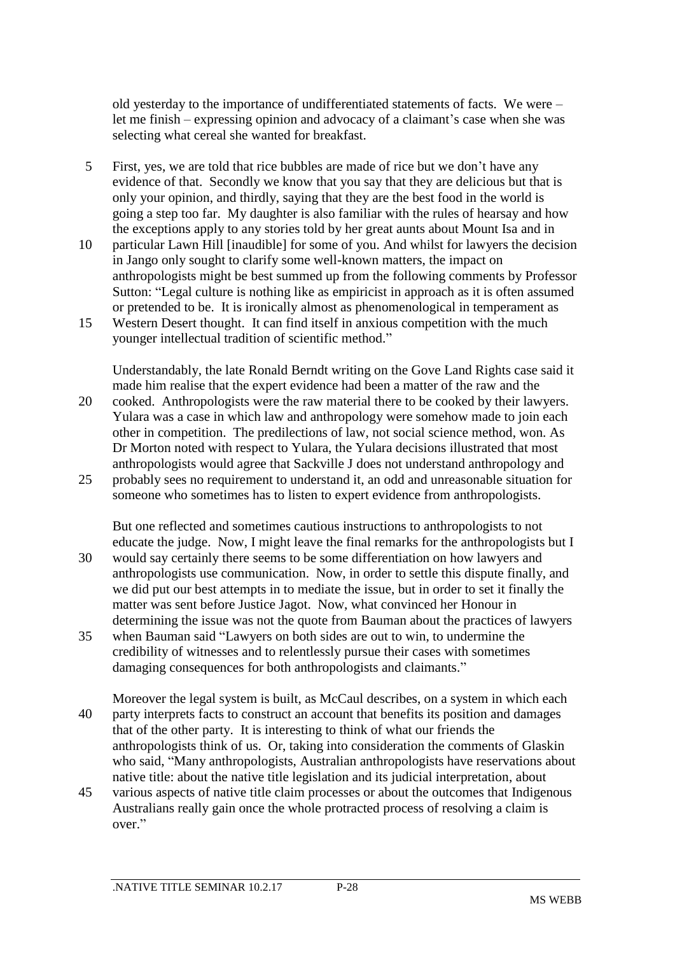old yesterday to the importance of undifferentiated statements of facts. We were – let me finish – expressing opinion and advocacy of a claimant's case when she was selecting what cereal she wanted for breakfast.

- 5 First, yes, we are told that rice bubbles are made of rice but we don't have any evidence of that. Secondly we know that you say that they are delicious but that is only your opinion, and thirdly, saying that they are the best food in the world is going a step too far. My daughter is also familiar with the rules of hearsay and how the exceptions apply to any stories told by her great aunts about Mount Isa and in
- 10 particular Lawn Hill [inaudible] for some of you. And whilst for lawyers the decision in Jango only sought to clarify some well-known matters, the impact on anthropologists might be best summed up from the following comments by Professor Sutton: "Legal culture is nothing like as empiricist in approach as it is often assumed or pretended to be. It is ironically almost as phenomenological in temperament as
- 15 Western Desert thought. It can find itself in anxious competition with the much younger intellectual tradition of scientific method."

Understandably, the late Ronald Berndt writing on the Gove Land Rights case said it made him realise that the expert evidence had been a matter of the raw and the

- 20 cooked. Anthropologists were the raw material there to be cooked by their lawyers. Yulara was a case in which law and anthropology were somehow made to join each other in competition. The predilections of law, not social science method, won. As Dr Morton noted with respect to Yulara, the Yulara decisions illustrated that most anthropologists would agree that Sackville J does not understand anthropology and
- 25 probably sees no requirement to understand it, an odd and unreasonable situation for someone who sometimes has to listen to expert evidence from anthropologists.

But one reflected and sometimes cautious instructions to anthropologists to not educate the judge. Now, I might leave the final remarks for the anthropologists but I 30 would say certainly there seems to be some differentiation on how lawyers and anthropologists use communication. Now, in order to settle this dispute finally, and we did put our best attempts in to mediate the issue, but in order to set it finally the matter was sent before Justice Jagot. Now, what convinced her Honour in determining the issue was not the quote from Bauman about the practices of lawyers

- 35 when Bauman said "Lawyers on both sides are out to win, to undermine the credibility of witnesses and to relentlessly pursue their cases with sometimes damaging consequences for both anthropologists and claimants."
- Moreover the legal system is built, as McCaul describes, on a system in which each 40 party interprets facts to construct an account that benefits its position and damages that of the other party. It is interesting to think of what our friends the anthropologists think of us. Or, taking into consideration the comments of Glaskin who said, "Many anthropologists, Australian anthropologists have reservations about native title: about the native title legislation and its judicial interpretation, about
- 45 various aspects of native title claim processes or about the outcomes that Indigenous Australians really gain once the whole protracted process of resolving a claim is over."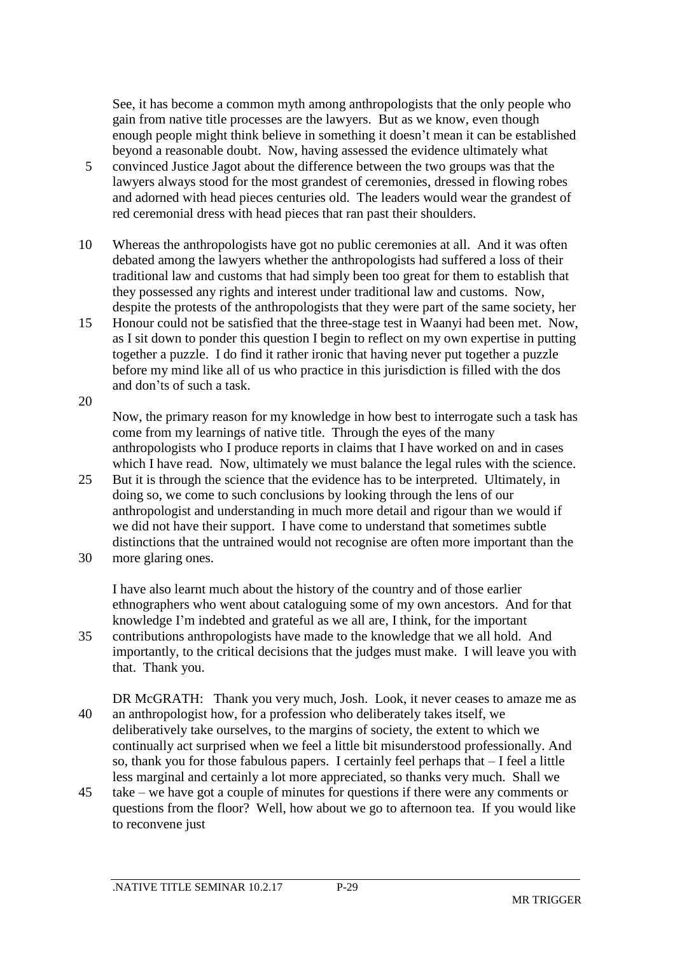See, it has become a common myth among anthropologists that the only people who gain from native title processes are the lawyers. But as we know, even though enough people might think believe in something it doesn't mean it can be established beyond a reasonable doubt. Now, having assessed the evidence ultimately what

- 5 convinced Justice Jagot about the difference between the two groups was that the lawyers always stood for the most grandest of ceremonies, dressed in flowing robes and adorned with head pieces centuries old. The leaders would wear the grandest of red ceremonial dress with head pieces that ran past their shoulders.
- 10 Whereas the anthropologists have got no public ceremonies at all. And it was often debated among the lawyers whether the anthropologists had suffered a loss of their traditional law and customs that had simply been too great for them to establish that they possessed any rights and interest under traditional law and customs. Now, despite the protests of the anthropologists that they were part of the same society, her
- 15 Honour could not be satisfied that the three-stage test in Waanyi had been met. Now, as I sit down to ponder this question I begin to reflect on my own expertise in putting together a puzzle. I do find it rather ironic that having never put together a puzzle before my mind like all of us who practice in this jurisdiction is filled with the dos and don'ts of such a task.
- 20

Now, the primary reason for my knowledge in how best to interrogate such a task has come from my learnings of native title. Through the eyes of the many anthropologists who I produce reports in claims that I have worked on and in cases which I have read. Now, ultimately we must balance the legal rules with the science.

- 25 But it is through the science that the evidence has to be interpreted. Ultimately, in doing so, we come to such conclusions by looking through the lens of our anthropologist and understanding in much more detail and rigour than we would if we did not have their support. I have come to understand that sometimes subtle distinctions that the untrained would not recognise are often more important than the
- 30 more glaring ones.

I have also learnt much about the history of the country and of those earlier ethnographers who went about cataloguing some of my own ancestors. And for that knowledge I'm indebted and grateful as we all are, I think, for the important

- 35 contributions anthropologists have made to the knowledge that we all hold. And importantly, to the critical decisions that the judges must make. I will leave you with that. Thank you.
- DR McGRATH: Thank you very much, Josh. Look, it never ceases to amaze me as 40 an anthropologist how, for a profession who deliberately takes itself, we deliberatively take ourselves, to the margins of society, the extent to which we continually act surprised when we feel a little bit misunderstood professionally. And so, thank you for those fabulous papers. I certainly feel perhaps that – I feel a little less marginal and certainly a lot more appreciated, so thanks very much. Shall we
- 45 take we have got a couple of minutes for questions if there were any comments or questions from the floor? Well, how about we go to afternoon tea. If you would like to reconvene just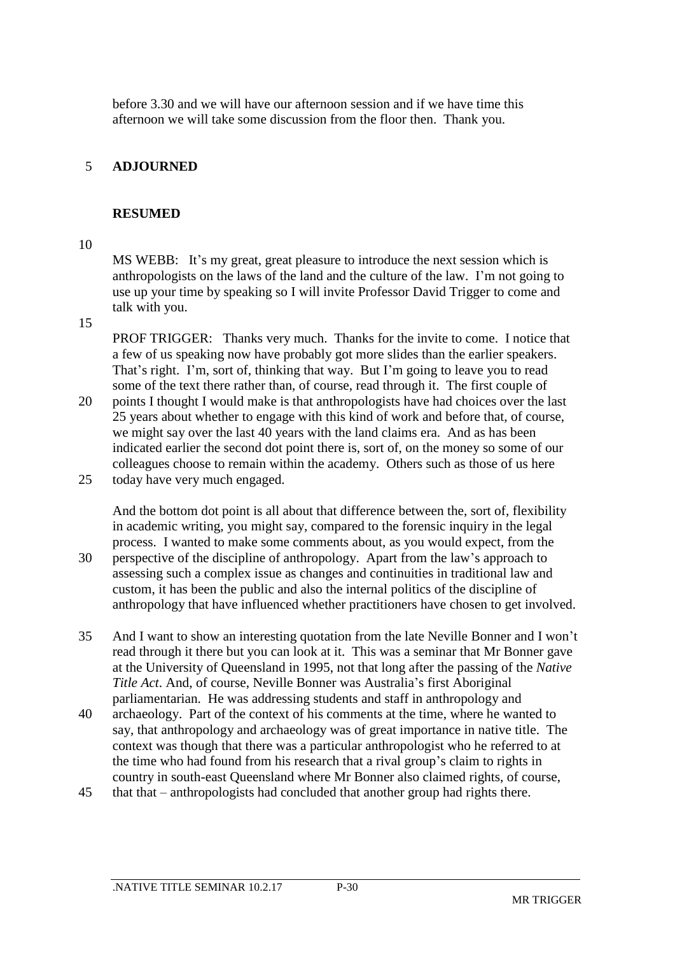before 3.30 and we will have our afternoon session and if we have time this afternoon we will take some discussion from the floor then. Thank you.

## 5 **ADJOURNED**

### **RESUMED**

#### 10

MS WEBB: It's my great, great pleasure to introduce the next session which is anthropologists on the laws of the land and the culture of the law. I'm not going to use up your time by speaking so I will invite Professor David Trigger to come and talk with you.

15

PROF TRIGGER: Thanks very much. Thanks for the invite to come. I notice that a few of us speaking now have probably got more slides than the earlier speakers. That's right. I'm, sort of, thinking that way. But I'm going to leave you to read some of the text there rather than, of course, read through it. The first couple of

- 20 points I thought I would make is that anthropologists have had choices over the last 25 years about whether to engage with this kind of work and before that, of course, we might say over the last 40 years with the land claims era. And as has been indicated earlier the second dot point there is, sort of, on the money so some of our colleagues choose to remain within the academy. Others such as those of us here 25 today have very much engaged.
- And the bottom dot point is all about that difference between the, sort of, flexibility in academic writing, you might say, compared to the forensic inquiry in the legal process. I wanted to make some comments about, as you would expect, from the 30 perspective of the discipline of anthropology. Apart from the law's approach to assessing such a complex issue as changes and continuities in traditional law and custom, it has been the public and also the internal politics of the discipline of anthropology that have influenced whether practitioners have chosen to get involved.
- 35 And I want to show an interesting quotation from the late Neville Bonner and I won't read through it there but you can look at it. This was a seminar that Mr Bonner gave at the University of Queensland in 1995, not that long after the passing of the *Native Title Act*. And, of course, Neville Bonner was Australia's first Aboriginal parliamentarian. He was addressing students and staff in anthropology and
- 40 archaeology. Part of the context of his comments at the time, where he wanted to say, that anthropology and archaeology was of great importance in native title. The context was though that there was a particular anthropologist who he referred to at the time who had found from his research that a rival group's claim to rights in country in south-east Queensland where Mr Bonner also claimed rights, of course,
- 45 that that anthropologists had concluded that another group had rights there.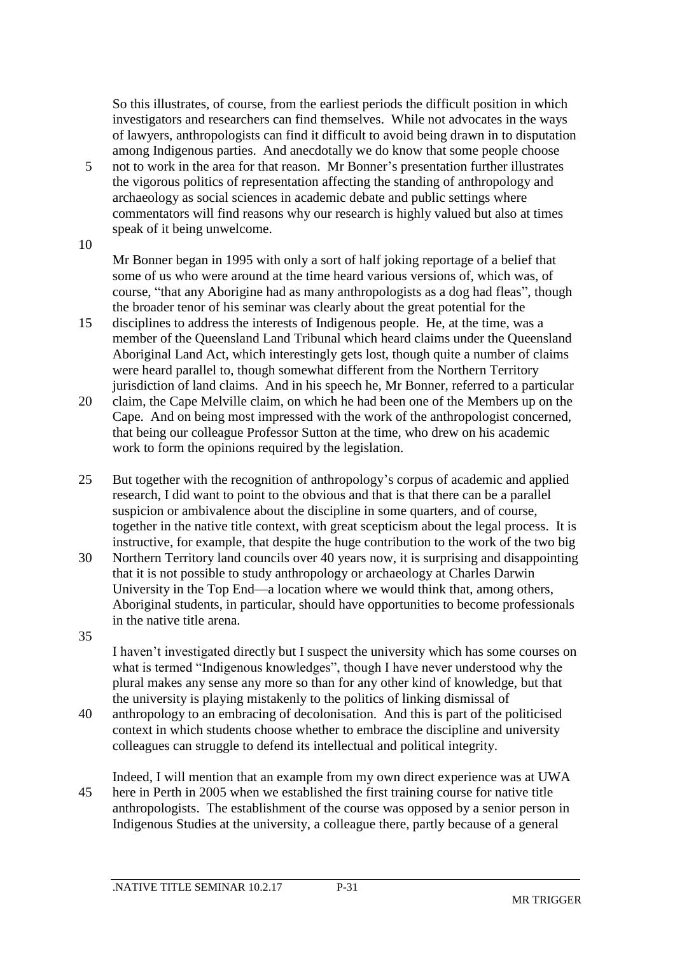So this illustrates, of course, from the earliest periods the difficult position in which investigators and researchers can find themselves. While not advocates in the ways of lawyers, anthropologists can find it difficult to avoid being drawn in to disputation among Indigenous parties. And anecdotally we do know that some people choose

- 5 not to work in the area for that reason. Mr Bonner's presentation further illustrates the vigorous politics of representation affecting the standing of anthropology and archaeology as social sciences in academic debate and public settings where commentators will find reasons why our research is highly valued but also at times speak of it being unwelcome.
- 10

Mr Bonner began in 1995 with only a sort of half joking reportage of a belief that some of us who were around at the time heard various versions of, which was, of course, "that any Aborigine had as many anthropologists as a dog had fleas", though the broader tenor of his seminar was clearly about the great potential for the

- 15 disciplines to address the interests of Indigenous people. He, at the time, was a member of the Queensland Land Tribunal which heard claims under the Queensland Aboriginal Land Act, which interestingly gets lost, though quite a number of claims were heard parallel to, though somewhat different from the Northern Territory jurisdiction of land claims. And in his speech he, Mr Bonner, referred to a particular
- 20 claim, the Cape Melville claim, on which he had been one of the Members up on the Cape. And on being most impressed with the work of the anthropologist concerned, that being our colleague Professor Sutton at the time, who drew on his academic work to form the opinions required by the legislation.
- 25 But together with the recognition of anthropology's corpus of academic and applied research, I did want to point to the obvious and that is that there can be a parallel suspicion or ambivalence about the discipline in some quarters, and of course, together in the native title context, with great scepticism about the legal process. It is instructive, for example, that despite the huge contribution to the work of the two big
- 30 Northern Territory land councils over 40 years now, it is surprising and disappointing that it is not possible to study anthropology or archaeology at Charles Darwin University in the Top End—a location where we would think that, among others, Aboriginal students, in particular, should have opportunities to become professionals in the native title arena.
- 35

I haven't investigated directly but I suspect the university which has some courses on what is termed "Indigenous knowledges", though I have never understood why the plural makes any sense any more so than for any other kind of knowledge, but that the university is playing mistakenly to the politics of linking dismissal of

- 40 anthropology to an embracing of decolonisation. And this is part of the politicised context in which students choose whether to embrace the discipline and university colleagues can struggle to defend its intellectual and political integrity.
- Indeed, I will mention that an example from my own direct experience was at UWA 45 here in Perth in 2005 when we established the first training course for native title anthropologists. The establishment of the course was opposed by a senior person in Indigenous Studies at the university, a colleague there, partly because of a general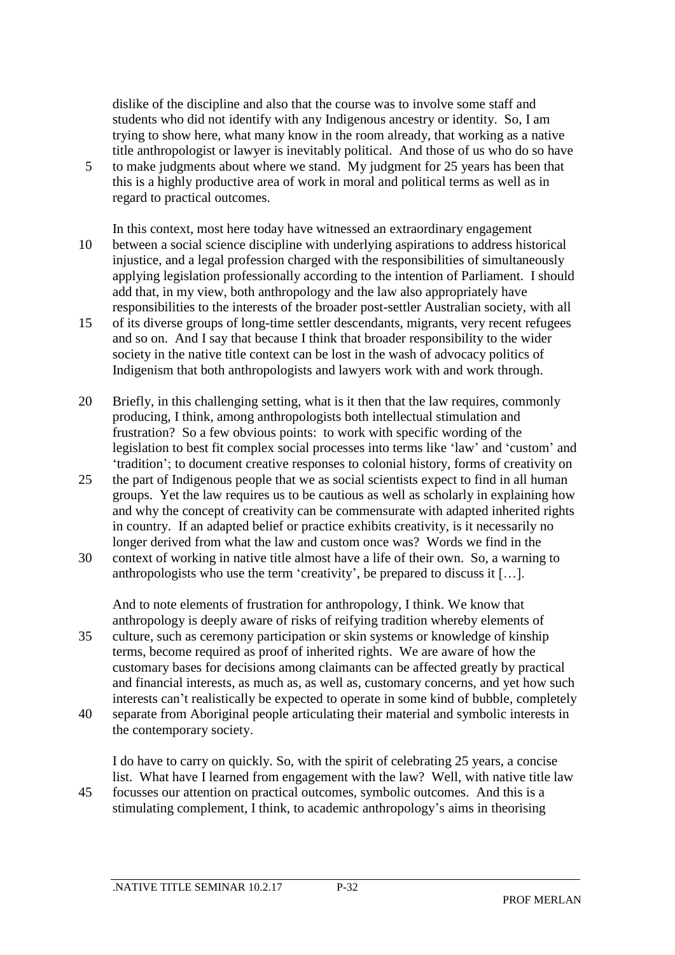dislike of the discipline and also that the course was to involve some staff and students who did not identify with any Indigenous ancestry or identity. So, I am trying to show here, what many know in the room already, that working as a native title anthropologist or lawyer is inevitably political. And those of us who do so have

- 5 to make judgments about where we stand. My judgment for 25 years has been that this is a highly productive area of work in moral and political terms as well as in regard to practical outcomes.
- In this context, most here today have witnessed an extraordinary engagement 10 between a social science discipline with underlying aspirations to address historical injustice, and a legal profession charged with the responsibilities of simultaneously applying legislation professionally according to the intention of Parliament. I should add that, in my view, both anthropology and the law also appropriately have responsibilities to the interests of the broader post-settler Australian society, with all
- 15 of its diverse groups of long-time settler descendants, migrants, very recent refugees and so on. And I say that because I think that broader responsibility to the wider society in the native title context can be lost in the wash of advocacy politics of Indigenism that both anthropologists and lawyers work with and work through.
- 20 Briefly, in this challenging setting, what is it then that the law requires, commonly producing, I think, among anthropologists both intellectual stimulation and frustration? So a few obvious points: to work with specific wording of the legislation to best fit complex social processes into terms like 'law' and 'custom' and 'tradition'; to document creative responses to colonial history, forms of creativity on
- 25 the part of Indigenous people that we as social scientists expect to find in all human groups. Yet the law requires us to be cautious as well as scholarly in explaining how and why the concept of creativity can be commensurate with adapted inherited rights in country. If an adapted belief or practice exhibits creativity, is it necessarily no longer derived from what the law and custom once was? Words we find in the
- 30 context of working in native title almost have a life of their own. So, a warning to anthropologists who use the term 'creativity', be prepared to discuss it […].

And to note elements of frustration for anthropology, I think. We know that anthropology is deeply aware of risks of reifying tradition whereby elements of 35 culture, such as ceremony participation or skin systems or knowledge of kinship terms, become required as proof of inherited rights. We are aware of how the customary bases for decisions among claimants can be affected greatly by practical and financial interests, as much as, as well as, customary concerns, and yet how such interests can't realistically be expected to operate in some kind of bubble, completely

40 separate from Aboriginal people articulating their material and symbolic interests in the contemporary society.

I do have to carry on quickly. So, with the spirit of celebrating 25 years, a concise list. What have I learned from engagement with the law? Well, with native title law 45 focusses our attention on practical outcomes, symbolic outcomes. And this is a

stimulating complement, I think, to academic anthropology's aims in theorising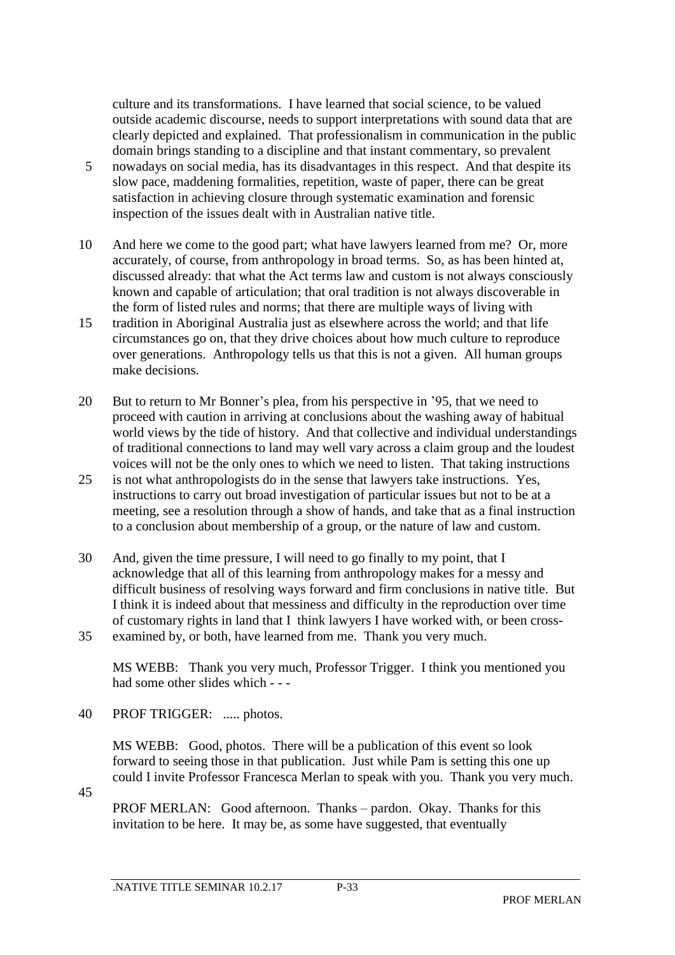culture and its transformations. I have learned that social science, to be valued outside academic discourse, needs to support interpretations with sound data that are clearly depicted and explained. That professionalism in communication in the public domain brings standing to a discipline and that instant commentary, so prevalent

- 5 nowadays on social media, has its disadvantages in this respect. And that despite its slow pace, maddening formalities, repetition, waste of paper, there can be great satisfaction in achieving closure through systematic examination and forensic inspection of the issues dealt with in Australian native title.
- 10 And here we come to the good part; what have lawyers learned from me? Or, more accurately, of course, from anthropology in broad terms. So, as has been hinted at, discussed already: that what the Act terms law and custom is not always consciously known and capable of articulation; that oral tradition is not always discoverable in the form of listed rules and norms; that there are multiple ways of living with
- 15 tradition in Aboriginal Australia just as elsewhere across the world; and that life circumstances go on, that they drive choices about how much culture to reproduce over generations. Anthropology tells us that this is not a given. All human groups make decisions.
- 20 But to return to Mr Bonner's plea, from his perspective in '95, that we need to proceed with caution in arriving at conclusions about the washing away of habitual world views by the tide of history. And that collective and individual understandings of traditional connections to land may well vary across a claim group and the loudest voices will not be the only ones to which we need to listen. That taking instructions
- 25 is not what anthropologists do in the sense that lawyers take instructions. Yes, instructions to carry out broad investigation of particular issues but not to be at a meeting, see a resolution through a show of hands, and take that as a final instruction to a conclusion about membership of a group, or the nature of law and custom.
- 30 And, given the time pressure, I will need to go finally to my point, that I acknowledge that all of this learning from anthropology makes for a messy and difficult business of resolving ways forward and firm conclusions in native title. But I think it is indeed about that messiness and difficulty in the reproduction over time of customary rights in land that I think lawyers I have worked with, or been cross-35 examined by, or both, have learned from me. Thank you very much.

MS WEBB: Thank you very much, Professor Trigger. I think you mentioned you had some other slides which - - -

40 PROF TRIGGER: ..... photos.

MS WEBB: Good, photos. There will be a publication of this event so look forward to seeing those in that publication. Just while Pam is setting this one up could I invite Professor Francesca Merlan to speak with you. Thank you very much.

45

PROF MERLAN: Good afternoon. Thanks – pardon. Okay. Thanks for this invitation to be here. It may be, as some have suggested, that eventually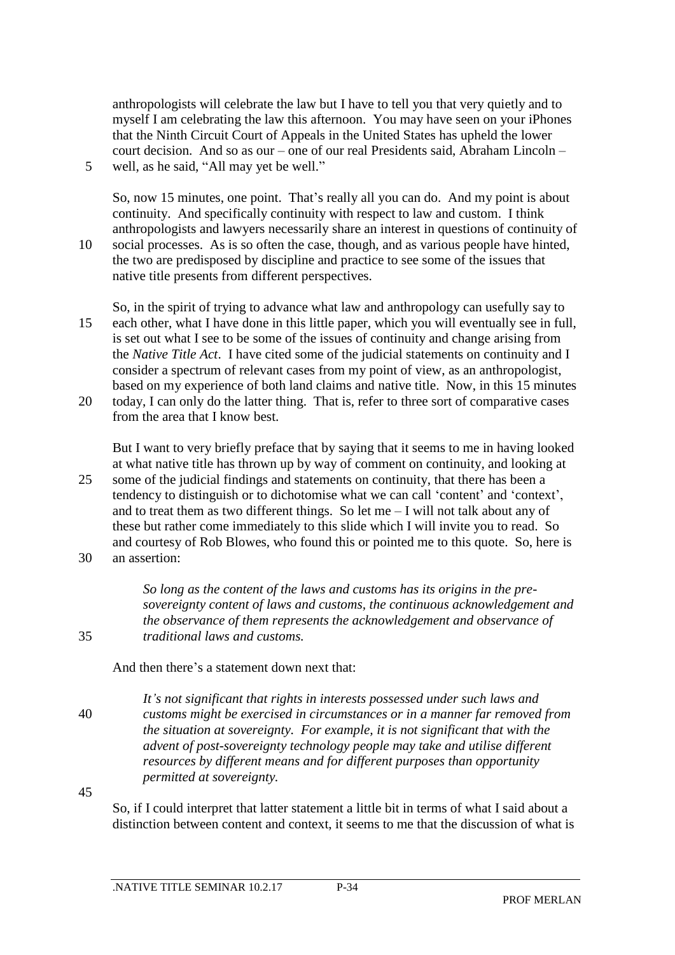anthropologists will celebrate the law but I have to tell you that very quietly and to myself I am celebrating the law this afternoon. You may have seen on your iPhones that the Ninth Circuit Court of Appeals in the United States has upheld the lower court decision. And so as our – one of our real Presidents said, Abraham Lincoln – 5 well, as he said, "All may yet be well."

So, now 15 minutes, one point. That's really all you can do. And my point is about continuity. And specifically continuity with respect to law and custom. I think anthropologists and lawyers necessarily share an interest in questions of continuity of 10 social processes. As is so often the case, though, and as various people have hinted, the two are predisposed by discipline and practice to see some of the issues that native title presents from different perspectives.

- So, in the spirit of trying to advance what law and anthropology can usefully say to 15 each other, what I have done in this little paper, which you will eventually see in full, is set out what I see to be some of the issues of continuity and change arising from the *Native Title Act*. I have cited some of the judicial statements on continuity and I consider a spectrum of relevant cases from my point of view, as an anthropologist, based on my experience of both land claims and native title. Now, in this 15 minutes 20 today, I can only do the latter thing. That is, refer to three sort of comparative cases
	- from the area that I know best.

But I want to very briefly preface that by saying that it seems to me in having looked at what native title has thrown up by way of comment on continuity, and looking at 25 some of the judicial findings and statements on continuity, that there has been a tendency to distinguish or to dichotomise what we can call 'content' and 'context', and to treat them as two different things. So let me  $-$  I will not talk about any of these but rather come immediately to this slide which I will invite you to read. So and courtesy of Rob Blowes, who found this or pointed me to this quote. So, here is 30 an assertion:

*So long as the content of the laws and customs has its origins in the presovereignty content of laws and customs, the continuous acknowledgement and the observance of them represents the acknowledgement and observance of*  35 *traditional laws and customs.*

And then there's a statement down next that:

*It's not significant that rights in interests possessed under such laws and*  40 *customs might be exercised in circumstances or in a manner far removed from the situation at sovereignty. For example, it is not significant that with the advent of post-sovereignty technology people may take and utilise different resources by different means and for different purposes than opportunity permitted at sovereignty.* 

45

So, if I could interpret that latter statement a little bit in terms of what I said about a distinction between content and context, it seems to me that the discussion of what is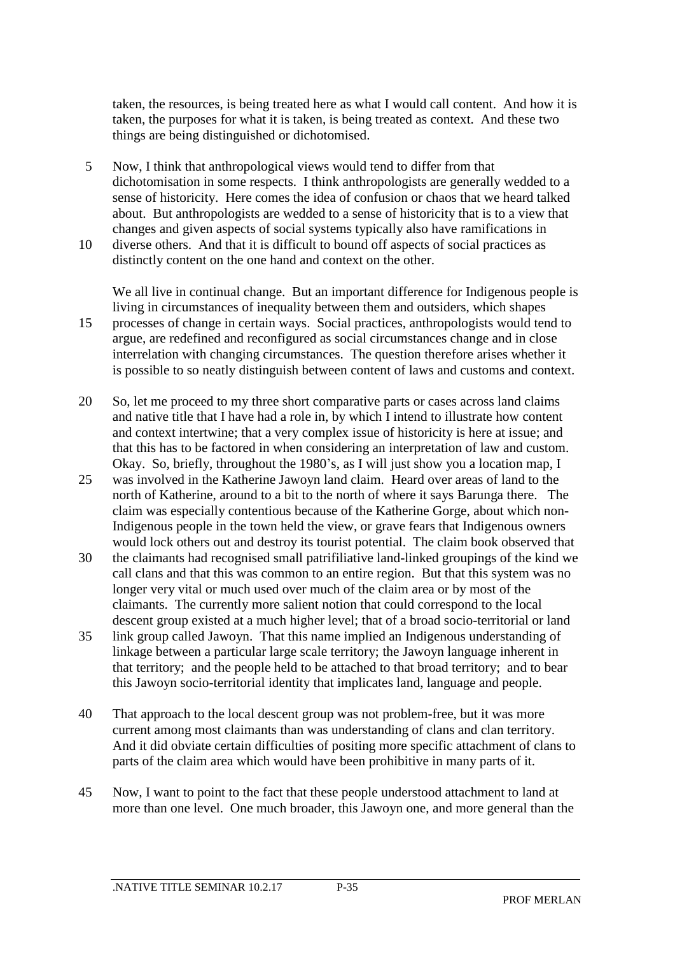taken, the resources, is being treated here as what I would call content. And how it is taken, the purposes for what it is taken, is being treated as context. And these two things are being distinguished or dichotomised.

- 5 Now, I think that anthropological views would tend to differ from that dichotomisation in some respects. I think anthropologists are generally wedded to a sense of historicity. Here comes the idea of confusion or chaos that we heard talked about. But anthropologists are wedded to a sense of historicity that is to a view that changes and given aspects of social systems typically also have ramifications in
- 10 diverse others. And that it is difficult to bound off aspects of social practices as distinctly content on the one hand and context on the other.

We all live in continual change. But an important difference for Indigenous people is living in circumstances of inequality between them and outsiders, which shapes 15 processes of change in certain ways. Social practices, anthropologists would tend to argue, are redefined and reconfigured as social circumstances change and in close interrelation with changing circumstances. The question therefore arises whether it is possible to so neatly distinguish between content of laws and customs and context.

- 20 So, let me proceed to my three short comparative parts or cases across land claims and native title that I have had a role in, by which I intend to illustrate how content and context intertwine; that a very complex issue of historicity is here at issue; and that this has to be factored in when considering an interpretation of law and custom. Okay. So, briefly, throughout the 1980's, as I will just show you a location map, I
- 25 was involved in the Katherine Jawoyn land claim. Heard over areas of land to the north of Katherine, around to a bit to the north of where it says Barunga there. The claim was especially contentious because of the Katherine Gorge, about which non-Indigenous people in the town held the view, or grave fears that Indigenous owners would lock others out and destroy its tourist potential. The claim book observed that
- 30 the claimants had recognised small patrifiliative land-linked groupings of the kind we call clans and that this was common to an entire region. But that this system was no longer very vital or much used over much of the claim area or by most of the claimants. The currently more salient notion that could correspond to the local descent group existed at a much higher level; that of a broad socio-territorial or land
- 35 link group called Jawoyn. That this name implied an Indigenous understanding of linkage between a particular large scale territory; the Jawoyn language inherent in that territory; and the people held to be attached to that broad territory; and to bear this Jawoyn socio-territorial identity that implicates land, language and people.
- 40 That approach to the local descent group was not problem-free, but it was more current among most claimants than was understanding of clans and clan territory. And it did obviate certain difficulties of positing more specific attachment of clans to parts of the claim area which would have been prohibitive in many parts of it.
- 45 Now, I want to point to the fact that these people understood attachment to land at more than one level. One much broader, this Jawoyn one, and more general than the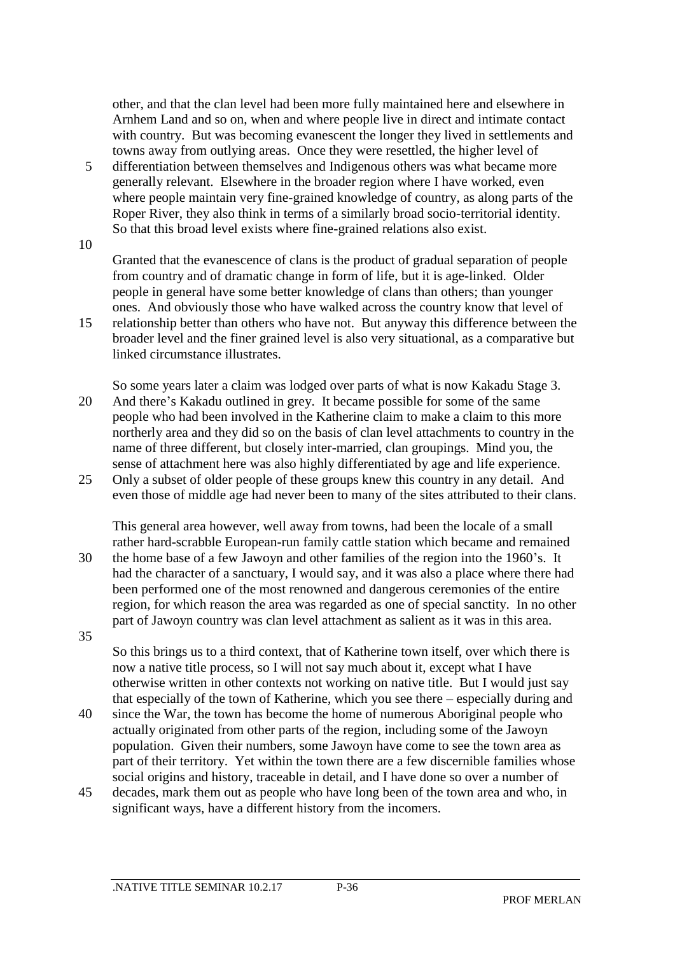other, and that the clan level had been more fully maintained here and elsewhere in Arnhem Land and so on, when and where people live in direct and intimate contact with country. But was becoming evanescent the longer they lived in settlements and towns away from outlying areas. Once they were resettled, the higher level of

5 differentiation between themselves and Indigenous others was what became more generally relevant. Elsewhere in the broader region where I have worked, even where people maintain very fine-grained knowledge of country, as along parts of the Roper River, they also think in terms of a similarly broad socio-territorial identity. So that this broad level exists where fine-grained relations also exist.

10

Granted that the evanescence of clans is the product of gradual separation of people from country and of dramatic change in form of life, but it is age-linked. Older people in general have some better knowledge of clans than others; than younger ones. And obviously those who have walked across the country know that level of

15 relationship better than others who have not. But anyway this difference between the broader level and the finer grained level is also very situational, as a comparative but linked circumstance illustrates.

So some years later a claim was lodged over parts of what is now Kakadu Stage 3. 20 And there's Kakadu outlined in grey. It became possible for some of the same people who had been involved in the Katherine claim to make a claim to this more northerly area and they did so on the basis of clan level attachments to country in the name of three different, but closely inter-married, clan groupings. Mind you, the sense of attachment here was also highly differentiated by age and life experience.

25 Only a subset of older people of these groups knew this country in any detail. And even those of middle age had never been to many of the sites attributed to their clans.

This general area however, well away from towns, had been the locale of a small rather hard-scrabble European-run family cattle station which became and remained 30 the home base of a few Jawoyn and other families of the region into the 1960's. It had the character of a sanctuary, I would say, and it was also a place where there had been performed one of the most renowned and dangerous ceremonies of the entire region, for which reason the area was regarded as one of special sanctity. In no other part of Jawoyn country was clan level attachment as salient as it was in this area. 35

So this brings us to a third context, that of Katherine town itself, over which there is now a native title process, so I will not say much about it, except what I have otherwise written in other contexts not working on native title. But I would just say that especially of the town of Katherine, which you see there – especially during and

- 40 since the War, the town has become the home of numerous Aboriginal people who actually originated from other parts of the region, including some of the Jawoyn population. Given their numbers, some Jawoyn have come to see the town area as part of their territory. Yet within the town there are a few discernible families whose social origins and history, traceable in detail, and I have done so over a number of
- 45 decades, mark them out as people who have long been of the town area and who, in significant ways, have a different history from the incomers.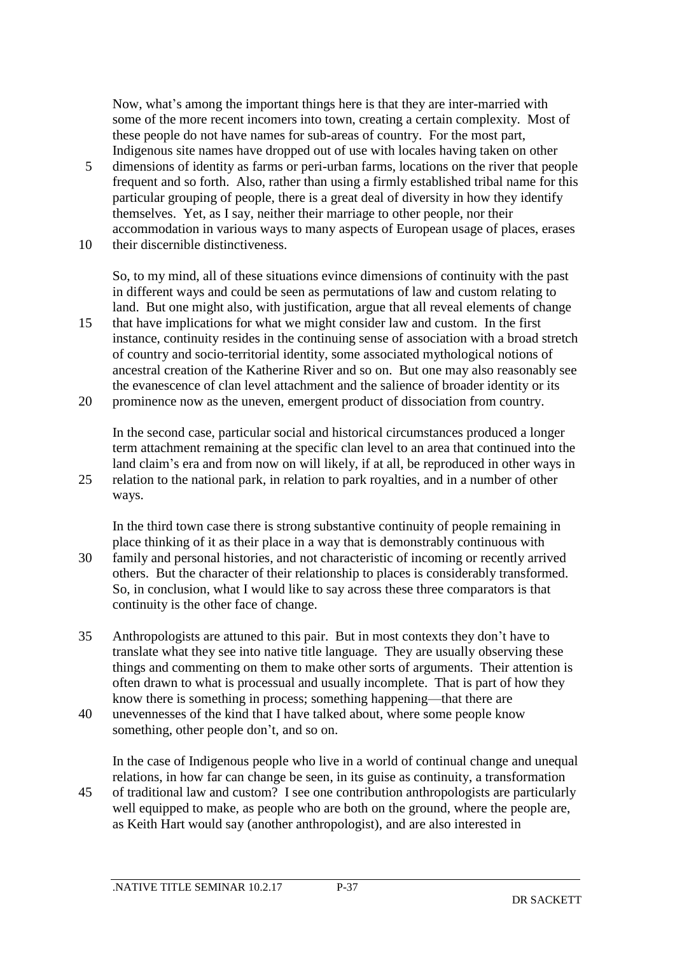Now, what's among the important things here is that they are inter-married with some of the more recent incomers into town, creating a certain complexity. Most of these people do not have names for sub-areas of country. For the most part, Indigenous site names have dropped out of use with locales having taken on other

- 5 dimensions of identity as farms or peri-urban farms, locations on the river that people frequent and so forth. Also, rather than using a firmly established tribal name for this particular grouping of people, there is a great deal of diversity in how they identify themselves. Yet, as I say, neither their marriage to other people, nor their accommodation in various ways to many aspects of European usage of places, erases 10 their discernible distinctiveness.
	- So, to my mind, all of these situations evince dimensions of continuity with the past in different ways and could be seen as permutations of law and custom relating to land. But one might also, with justification, argue that all reveal elements of change
- 15 that have implications for what we might consider law and custom. In the first instance, continuity resides in the continuing sense of association with a broad stretch of country and socio-territorial identity, some associated mythological notions of ancestral creation of the Katherine River and so on. But one may also reasonably see the evanescence of clan level attachment and the salience of broader identity or its
- 20 prominence now as the uneven, emergent product of dissociation from country.

In the second case, particular social and historical circumstances produced a longer term attachment remaining at the specific clan level to an area that continued into the land claim's era and from now on will likely, if at all, be reproduced in other ways in 25 relation to the national park, in relation to park royalties, and in a number of other ways.

In the third town case there is strong substantive continuity of people remaining in place thinking of it as their place in a way that is demonstrably continuous with 30 family and personal histories, and not characteristic of incoming or recently arrived others. But the character of their relationship to places is considerably transformed. So, in conclusion, what I would like to say across these three comparators is that continuity is the other face of change.

- 35 Anthropologists are attuned to this pair. But in most contexts they don't have to translate what they see into native title language. They are usually observing these things and commenting on them to make other sorts of arguments. Their attention is often drawn to what is processual and usually incomplete. That is part of how they know there is something in process; something happening—that there are
- 40 unevennesses of the kind that I have talked about, where some people know something, other people don't, and so on.

In the case of Indigenous people who live in a world of continual change and unequal relations, in how far can change be seen, in its guise as continuity, a transformation 45 of traditional law and custom? I see one contribution anthropologists are particularly

well equipped to make, as people who are both on the ground, where the people are, as Keith Hart would say (another anthropologist), and are also interested in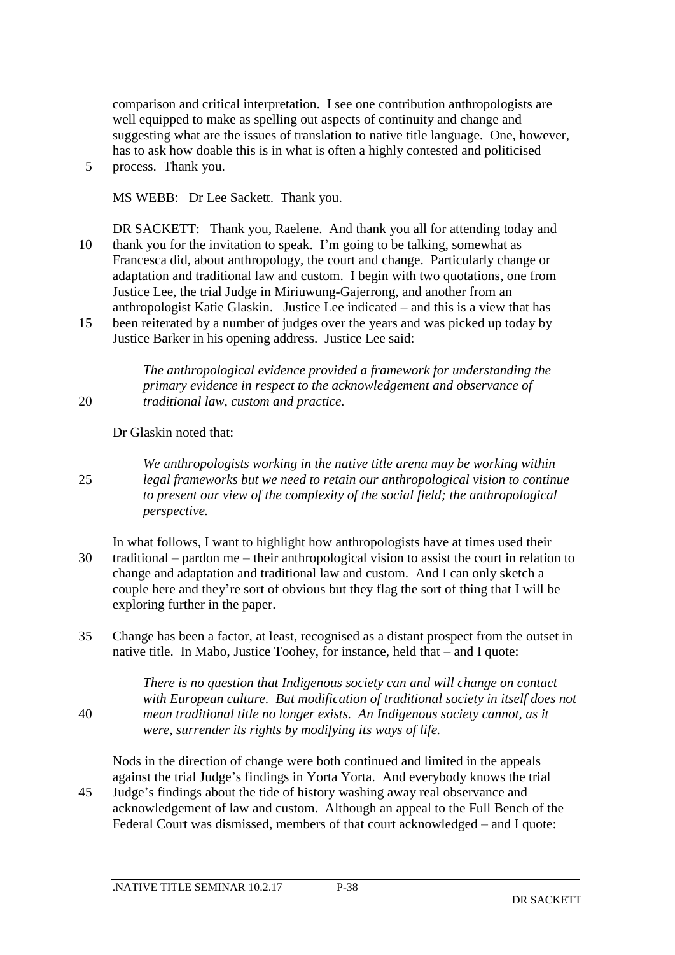comparison and critical interpretation. I see one contribution anthropologists are well equipped to make as spelling out aspects of continuity and change and suggesting what are the issues of translation to native title language. One, however, has to ask how doable this is in what is often a highly contested and politicised 5 process. Thank you.

MS WEBB: Dr Lee Sackett. Thank you.

DR SACKETT: Thank you, Raelene. And thank you all for attending today and 10 thank you for the invitation to speak. I'm going to be talking, somewhat as Francesca did, about anthropology, the court and change. Particularly change or adaptation and traditional law and custom. I begin with two quotations, one from Justice Lee, the trial Judge in Miriuwung-Gajerrong, and another from an anthropologist Katie Glaskin. Justice Lee indicated – and this is a view that has 15 been reiterated by a number of judges over the years and was picked up today by

Justice Barker in his opening address. Justice Lee said:

*The anthropological evidence provided a framework for understanding the primary evidence in respect to the acknowledgement and observance of*  20 *traditional law, custom and practice.* 

Dr Glaskin noted that:

*We anthropologists working in the native title arena may be working within*  25 *legal frameworks but we need to retain our anthropological vision to continue to present our view of the complexity of the social field; the anthropological perspective.* 

- In what follows, I want to highlight how anthropologists have at times used their 30 traditional – pardon me – their anthropological vision to assist the court in relation to change and adaptation and traditional law and custom. And I can only sketch a couple here and they're sort of obvious but they flag the sort of thing that I will be exploring further in the paper.
- 35 Change has been a factor, at least, recognised as a distant prospect from the outset in native title. In Mabo, Justice Toohey, for instance, held that – and I quote:

*There is no question that Indigenous society can and will change on contact with European culture. But modification of traditional society in itself does not*  40 *mean traditional title no longer exists. An Indigenous society cannot, as it were, surrender its rights by modifying its ways of life.*

Nods in the direction of change were both continued and limited in the appeals against the trial Judge's findings in Yorta Yorta. And everybody knows the trial 45 Judge's findings about the tide of history washing away real observance and acknowledgement of law and custom. Although an appeal to the Full Bench of the Federal Court was dismissed, members of that court acknowledged – and I quote: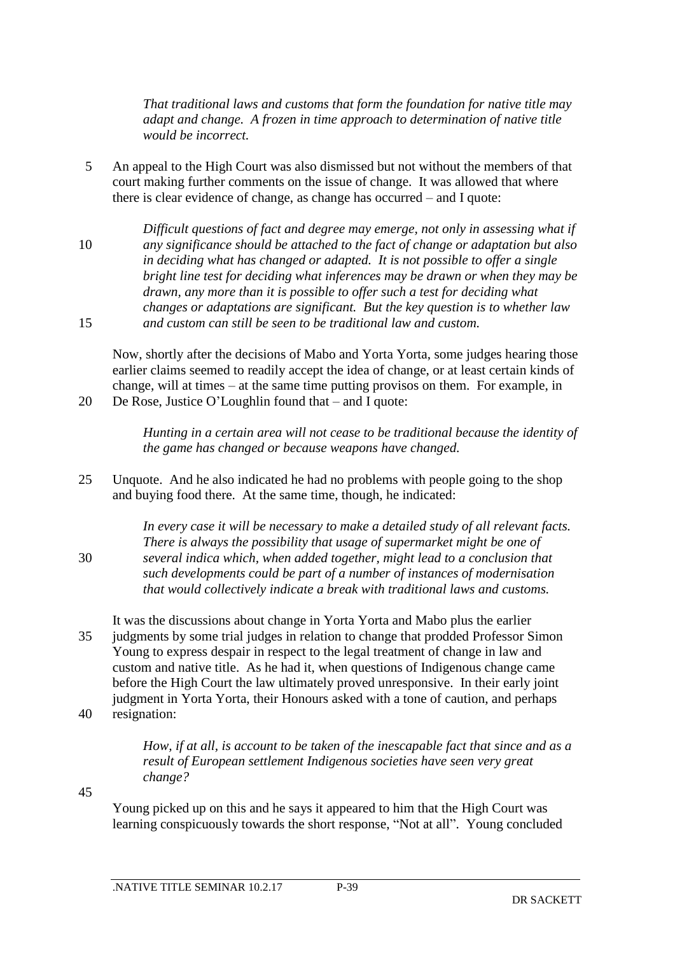*That traditional laws and customs that form the foundation for native title may adapt and change. A frozen in time approach to determination of native title would be incorrect.* 

- 5 An appeal to the High Court was also dismissed but not without the members of that court making further comments on the issue of change. It was allowed that where there is clear evidence of change, as change has occurred – and I quote:
- *Difficult questions of fact and degree may emerge, not only in assessing what if*  10 *any significance should be attached to the fact of change or adaptation but also in deciding what has changed or adapted. It is not possible to offer a single bright line test for deciding what inferences may be drawn or when they may be drawn, any more than it is possible to offer such a test for deciding what changes or adaptations are significant. But the key question is to whether law*  15 *and custom can still be seen to be traditional law and custom.*

Now, shortly after the decisions of Mabo and Yorta Yorta, some judges hearing those earlier claims seemed to readily accept the idea of change, or at least certain kinds of change, will at times – at the same time putting provisos on them. For example, in

20 De Rose, Justice O'Loughlin found that – and I quote:

*Hunting in a certain area will not cease to be traditional because the identity of the game has changed or because weapons have changed.*

25 Unquote. And he also indicated he had no problems with people going to the shop and buying food there. At the same time, though, he indicated:

*In every case it will be necessary to make a detailed study of all relevant facts. There is always the possibility that usage of supermarket might be one of*  30 *several indica which, when added together, might lead to a conclusion that such developments could be part of a number of instances of modernisation that would collectively indicate a break with traditional laws and customs.*

- It was the discussions about change in Yorta Yorta and Mabo plus the earlier 35 judgments by some trial judges in relation to change that prodded Professor Simon Young to express despair in respect to the legal treatment of change in law and custom and native title. As he had it, when questions of Indigenous change came before the High Court the law ultimately proved unresponsive. In their early joint judgment in Yorta Yorta, their Honours asked with a tone of caution, and perhaps
- 40 resignation:

*How, if at all, is account to be taken of the inescapable fact that since and as a result of European settlement Indigenous societies have seen very great change?* 

45

Young picked up on this and he says it appeared to him that the High Court was learning conspicuously towards the short response, "Not at all". Young concluded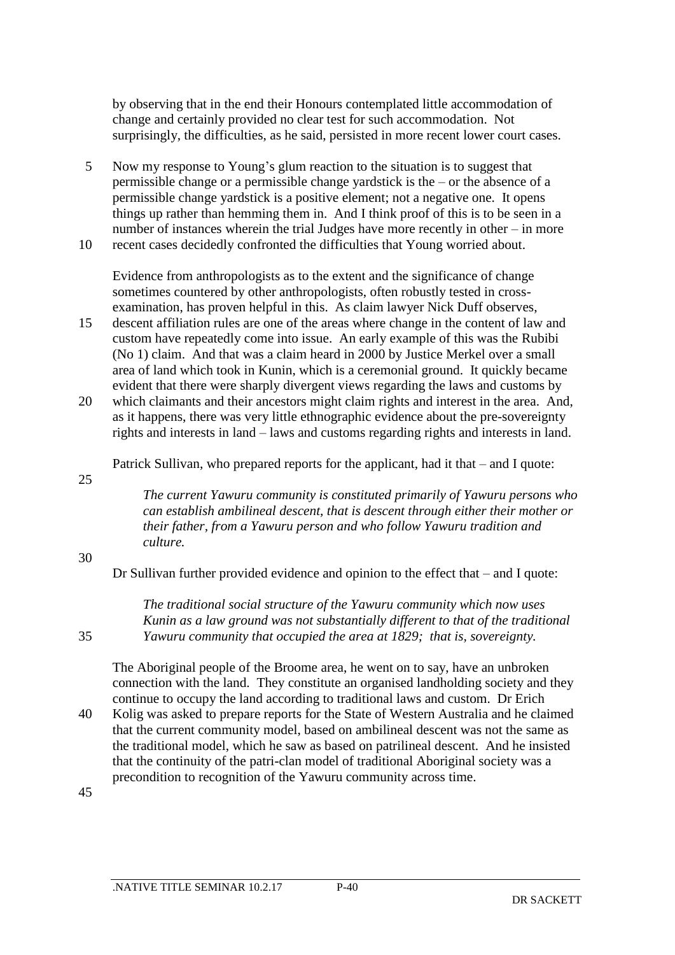by observing that in the end their Honours contemplated little accommodation of change and certainly provided no clear test for such accommodation. Not surprisingly, the difficulties, as he said, persisted in more recent lower court cases.

- 5 Now my response to Young's glum reaction to the situation is to suggest that permissible change or a permissible change yardstick is the – or the absence of a permissible change yardstick is a positive element; not a negative one. It opens things up rather than hemming them in. And I think proof of this is to be seen in a number of instances wherein the trial Judges have more recently in other – in more
- 10 recent cases decidedly confronted the difficulties that Young worried about.

Evidence from anthropologists as to the extent and the significance of change sometimes countered by other anthropologists, often robustly tested in crossexamination, has proven helpful in this. As claim lawyer Nick Duff observes,

15 descent affiliation rules are one of the areas where change in the content of law and custom have repeatedly come into issue. An early example of this was the Rubibi (No 1) claim. And that was a claim heard in 2000 by Justice Merkel over a small area of land which took in Kunin, which is a ceremonial ground. It quickly became evident that there were sharply divergent views regarding the laws and customs by

20 which claimants and their ancestors might claim rights and interest in the area. And, as it happens, there was very little ethnographic evidence about the pre-sovereignty rights and interests in land – laws and customs regarding rights and interests in land.

Patrick Sullivan, who prepared reports for the applicant, had it that – and I quote:

25

*The current Yawuru community is constituted primarily of Yawuru persons who can establish ambilineal descent, that is descent through either their mother or their father, from a Yawuru person and who follow Yawuru tradition and culture.*

#### 30

Dr Sullivan further provided evidence and opinion to the effect that – and I quote:

*The traditional social structure of the Yawuru community which now uses Kunin as a law ground was not substantially different to that of the traditional*  35 *Yawuru community that occupied the area at 1829; that is, sovereignty.*

The Aboriginal people of the Broome area, he went on to say, have an unbroken connection with the land. They constitute an organised landholding society and they continue to occupy the land according to traditional laws and custom. Dr Erich

40 Kolig was asked to prepare reports for the State of Western Australia and he claimed that the current community model, based on ambilineal descent was not the same as the traditional model, which he saw as based on patrilineal descent. And he insisted that the continuity of the patri-clan model of traditional Aboriginal society was a precondition to recognition of the Yawuru community across time.

45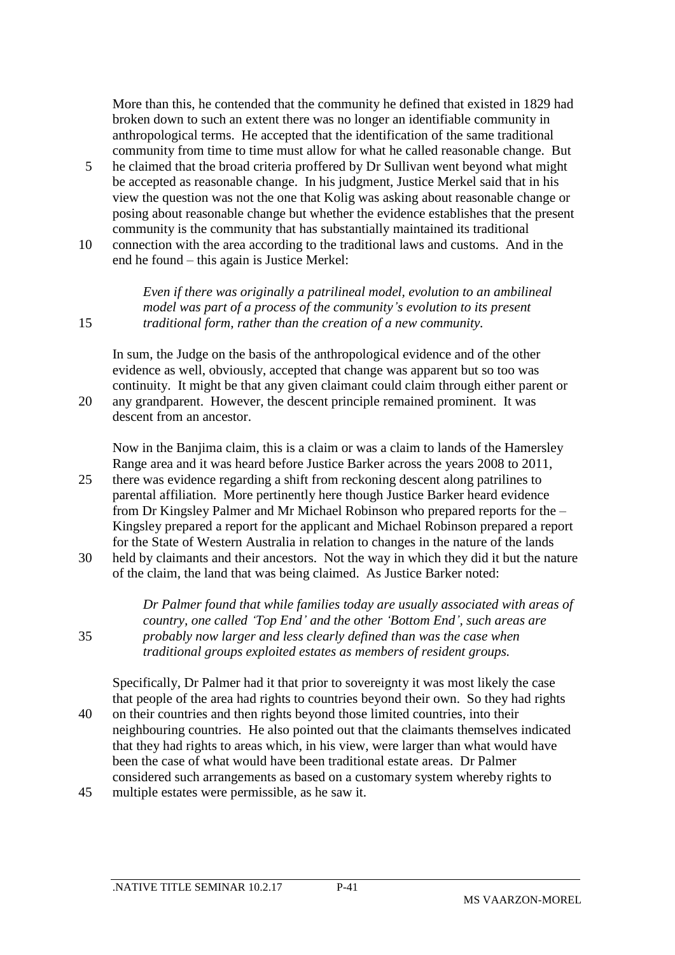More than this, he contended that the community he defined that existed in 1829 had broken down to such an extent there was no longer an identifiable community in anthropological terms. He accepted that the identification of the same traditional community from time to time must allow for what he called reasonable change. But

- 5 he claimed that the broad criteria proffered by Dr Sullivan went beyond what might be accepted as reasonable change. In his judgment, Justice Merkel said that in his view the question was not the one that Kolig was asking about reasonable change or posing about reasonable change but whether the evidence establishes that the present community is the community that has substantially maintained its traditional
- 10 connection with the area according to the traditional laws and customs. And in the end he found – this again is Justice Merkel:

*Even if there was originally a patrilineal model, evolution to an ambilineal model was part of a process of the community's evolution to its present*  15 *traditional form, rather than the creation of a new community.*

In sum, the Judge on the basis of the anthropological evidence and of the other evidence as well, obviously, accepted that change was apparent but so too was continuity. It might be that any given claimant could claim through either parent or 20 any grandparent. However, the descent principle remained prominent. It was descent from an ancestor.

Now in the Banjima claim, this is a claim or was a claim to lands of the Hamersley Range area and it was heard before Justice Barker across the years 2008 to 2011, 25 there was evidence regarding a shift from reckoning descent along patrilines to parental affiliation. More pertinently here though Justice Barker heard evidence

- from Dr Kingsley Palmer and Mr Michael Robinson who prepared reports for the Kingsley prepared a report for the applicant and Michael Robinson prepared a report for the State of Western Australia in relation to changes in the nature of the lands
- 30 held by claimants and their ancestors. Not the way in which they did it but the nature of the claim, the land that was being claimed. As Justice Barker noted:

*Dr Palmer found that while families today are usually associated with areas of country, one called 'Top End' and the other 'Bottom End', such areas are*  35 *probably now larger and less clearly defined than was the case when traditional groups exploited estates as members of resident groups.*

Specifically, Dr Palmer had it that prior to sovereignty it was most likely the case that people of the area had rights to countries beyond their own. So they had rights 40 on their countries and then rights beyond those limited countries, into their neighbouring countries. He also pointed out that the claimants themselves indicated that they had rights to areas which, in his view, were larger than what would have been the case of what would have been traditional estate areas. Dr Palmer considered such arrangements as based on a customary system whereby rights to 45 multiple estates were permissible, as he saw it.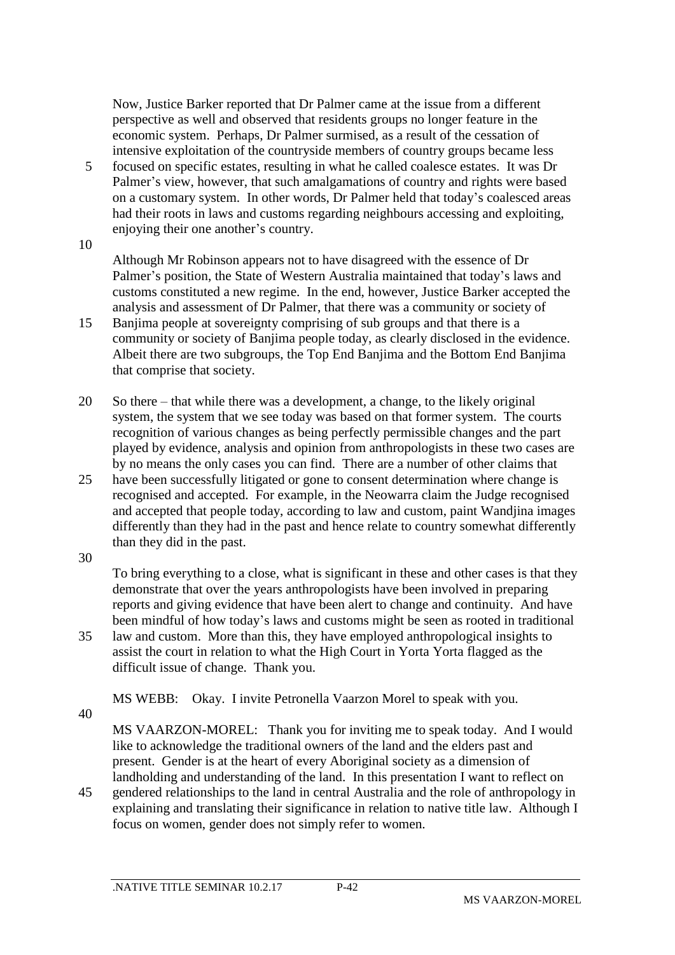Now, Justice Barker reported that Dr Palmer came at the issue from a different perspective as well and observed that residents groups no longer feature in the economic system. Perhaps, Dr Palmer surmised, as a result of the cessation of intensive exploitation of the countryside members of country groups became less

5 focused on specific estates, resulting in what he called coalesce estates. It was Dr Palmer's view, however, that such amalgamations of country and rights were based on a customary system. In other words, Dr Palmer held that today's coalesced areas had their roots in laws and customs regarding neighbours accessing and exploiting, enjoying their one another's country.

10

Although Mr Robinson appears not to have disagreed with the essence of Dr Palmer's position, the State of Western Australia maintained that today's laws and customs constituted a new regime. In the end, however, Justice Barker accepted the analysis and assessment of Dr Palmer, that there was a community or society of

- 15 Banjima people at sovereignty comprising of sub groups and that there is a community or society of Banjima people today, as clearly disclosed in the evidence. Albeit there are two subgroups, the Top End Banjima and the Bottom End Banjima that comprise that society.
- 20 So there that while there was a development, a change, to the likely original system, the system that we see today was based on that former system. The courts recognition of various changes as being perfectly permissible changes and the part played by evidence, analysis and opinion from anthropologists in these two cases are by no means the only cases you can find. There are a number of other claims that
- 25 have been successfully litigated or gone to consent determination where change is recognised and accepted. For example, in the Neowarra claim the Judge recognised and accepted that people today, according to law and custom, paint Wandjina images differently than they had in the past and hence relate to country somewhat differently than they did in the past.

30

To bring everything to a close, what is significant in these and other cases is that they demonstrate that over the years anthropologists have been involved in preparing reports and giving evidence that have been alert to change and continuity. And have been mindful of how today's laws and customs might be seen as rooted in traditional 35 law and custom. More than this, they have employed anthropological insights to

assist the court in relation to what the High Court in Yorta Yorta flagged as the difficult issue of change. Thank you.

MS WEBB: Okay. I invite Petronella Vaarzon Morel to speak with you.

40

MS VAARZON-MOREL: Thank you for inviting me to speak today. And I would like to acknowledge the traditional owners of the land and the elders past and present. Gender is at the heart of every Aboriginal society as a dimension of landholding and understanding of the land. In this presentation I want to reflect on

45 gendered relationships to the land in central Australia and the role of anthropology in explaining and translating their significance in relation to native title law. Although I focus on women, gender does not simply refer to women.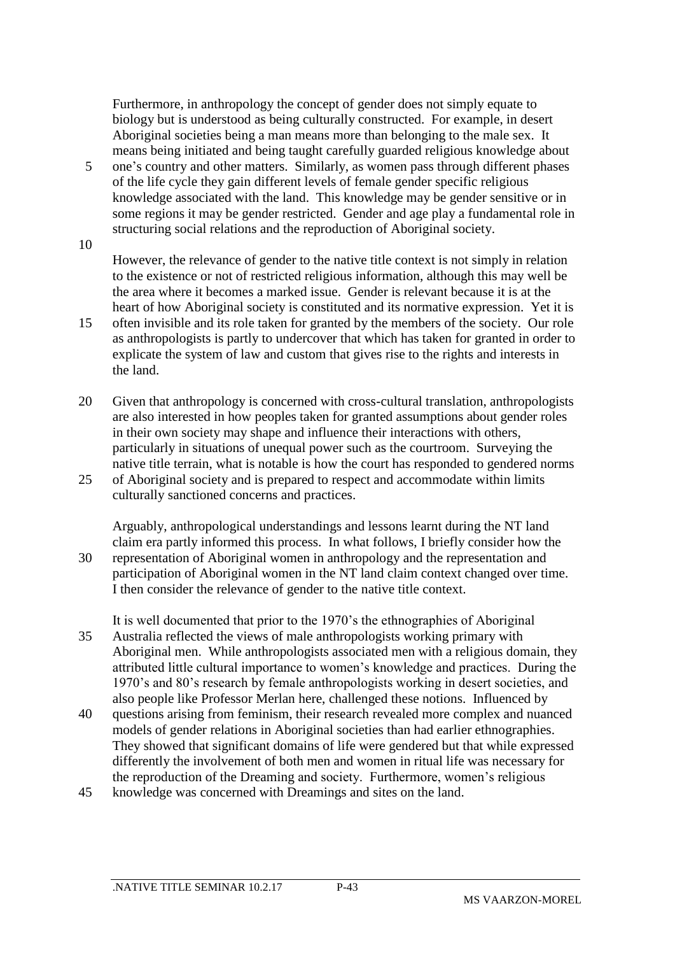Furthermore, in anthropology the concept of gender does not simply equate to biology but is understood as being culturally constructed. For example, in desert Aboriginal societies being a man means more than belonging to the male sex. It means being initiated and being taught carefully guarded religious knowledge about

- 5 one's country and other matters. Similarly, as women pass through different phases of the life cycle they gain different levels of female gender specific religious knowledge associated with the land. This knowledge may be gender sensitive or in some regions it may be gender restricted. Gender and age play a fundamental role in structuring social relations and the reproduction of Aboriginal society.
- 10

However, the relevance of gender to the native title context is not simply in relation to the existence or not of restricted religious information, although this may well be the area where it becomes a marked issue. Gender is relevant because it is at the heart of how Aboriginal society is constituted and its normative expression. Yet it is

- 15 often invisible and its role taken for granted by the members of the society. Our role as anthropologists is partly to undercover that which has taken for granted in order to explicate the system of law and custom that gives rise to the rights and interests in the land.
- 20 Given that anthropology is concerned with cross-cultural translation, anthropologists are also interested in how peoples taken for granted assumptions about gender roles in their own society may shape and influence their interactions with others, particularly in situations of unequal power such as the courtroom. Surveying the native title terrain, what is notable is how the court has responded to gendered norms
- 25 of Aboriginal society and is prepared to respect and accommodate within limits culturally sanctioned concerns and practices.

Arguably, anthropological understandings and lessons learnt during the NT land claim era partly informed this process. In what follows, I briefly consider how the 30 representation of Aboriginal women in anthropology and the representation and participation of Aboriginal women in the NT land claim context changed over time. I then consider the relevance of gender to the native title context.

- It is well documented that prior to the 1970's the ethnographies of Aboriginal 35 Australia reflected the views of male anthropologists working primary with Aboriginal men. While anthropologists associated men with a religious domain, they attributed little cultural importance to women's knowledge and practices. During the 1970's and 80's research by female anthropologists working in desert societies, and also people like Professor Merlan here, challenged these notions. Influenced by
- 40 questions arising from feminism, their research revealed more complex and nuanced models of gender relations in Aboriginal societies than had earlier ethnographies. They showed that significant domains of life were gendered but that while expressed differently the involvement of both men and women in ritual life was necessary for the reproduction of the Dreaming and society. Furthermore, women's religious
- 45 knowledge was concerned with Dreamings and sites on the land.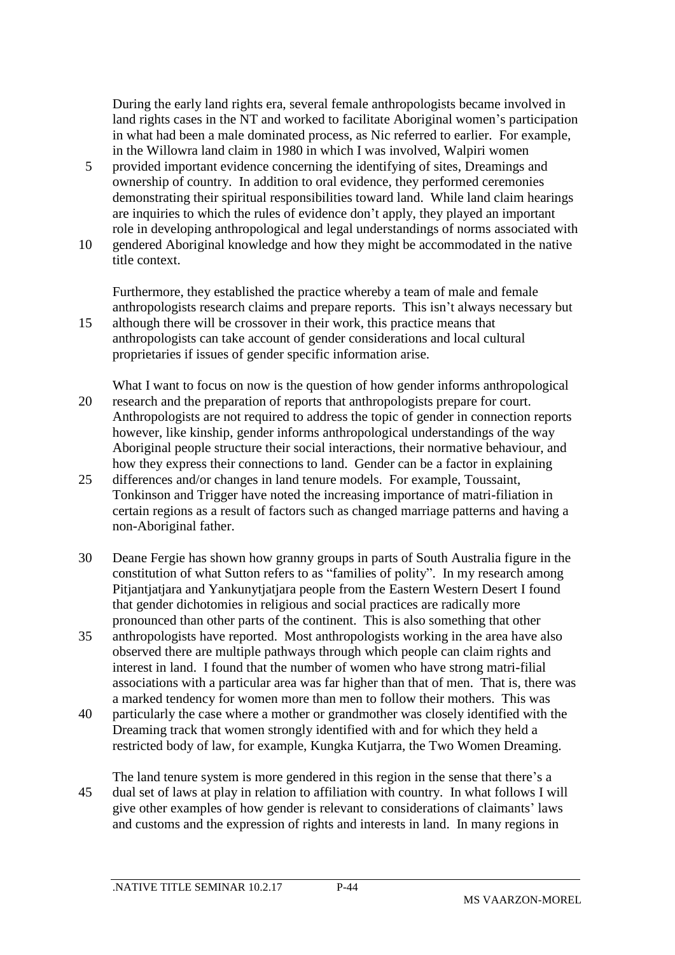During the early land rights era, several female anthropologists became involved in land rights cases in the NT and worked to facilitate Aboriginal women's participation in what had been a male dominated process, as Nic referred to earlier. For example, in the Willowra land claim in 1980 in which I was involved, Walpiri women

- 5 provided important evidence concerning the identifying of sites, Dreamings and ownership of country. In addition to oral evidence, they performed ceremonies demonstrating their spiritual responsibilities toward land. While land claim hearings are inquiries to which the rules of evidence don't apply, they played an important role in developing anthropological and legal understandings of norms associated with
- 10 gendered Aboriginal knowledge and how they might be accommodated in the native title context.

Furthermore, they established the practice whereby a team of male and female anthropologists research claims and prepare reports. This isn't always necessary but 15 although there will be crossover in their work, this practice means that anthropologists can take account of gender considerations and local cultural

proprietaries if issues of gender specific information arise.

- What I want to focus on now is the question of how gender informs anthropological 20 research and the preparation of reports that anthropologists prepare for court. Anthropologists are not required to address the topic of gender in connection reports however, like kinship, gender informs anthropological understandings of the way Aboriginal people structure their social interactions, their normative behaviour, and how they express their connections to land. Gender can be a factor in explaining
- 25 differences and/or changes in land tenure models. For example, Toussaint, Tonkinson and Trigger have noted the increasing importance of matri-filiation in certain regions as a result of factors such as changed marriage patterns and having a non-Aboriginal father.
- 30 Deane Fergie has shown how granny groups in parts of South Australia figure in the constitution of what Sutton refers to as "families of polity". In my research among Pitjantjatjara and Yankunytjatjara people from the Eastern Western Desert I found that gender dichotomies in religious and social practices are radically more pronounced than other parts of the continent. This is also something that other
- 35 anthropologists have reported. Most anthropologists working in the area have also observed there are multiple pathways through which people can claim rights and interest in land. I found that the number of women who have strong matri-filial associations with a particular area was far higher than that of men. That is, there was a marked tendency for women more than men to follow their mothers. This was
- 40 particularly the case where a mother or grandmother was closely identified with the Dreaming track that women strongly identified with and for which they held a restricted body of law, for example, Kungka Kutjarra, the Two Women Dreaming.
- The land tenure system is more gendered in this region in the sense that there's a 45 dual set of laws at play in relation to affiliation with country. In what follows I will give other examples of how gender is relevant to considerations of claimants' laws and customs and the expression of rights and interests in land. In many regions in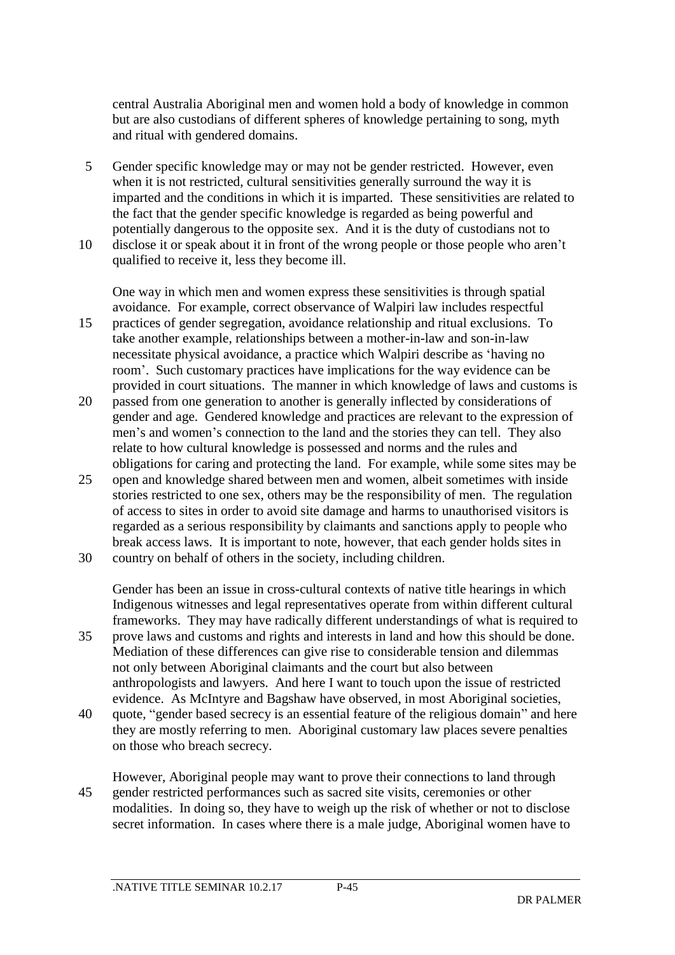central Australia Aboriginal men and women hold a body of knowledge in common but are also custodians of different spheres of knowledge pertaining to song, myth and ritual with gendered domains.

- 5 Gender specific knowledge may or may not be gender restricted. However, even when it is not restricted, cultural sensitivities generally surround the way it is imparted and the conditions in which it is imparted. These sensitivities are related to the fact that the gender specific knowledge is regarded as being powerful and potentially dangerous to the opposite sex. And it is the duty of custodians not to
- 10 disclose it or speak about it in front of the wrong people or those people who aren't qualified to receive it, less they become ill.

One way in which men and women express these sensitivities is through spatial avoidance. For example, correct observance of Walpiri law includes respectful

- 15 practices of gender segregation, avoidance relationship and ritual exclusions. To take another example, relationships between a mother-in-law and son-in-law necessitate physical avoidance, a practice which Walpiri describe as 'having no room'. Such customary practices have implications for the way evidence can be provided in court situations. The manner in which knowledge of laws and customs is
- 20 passed from one generation to another is generally inflected by considerations of gender and age. Gendered knowledge and practices are relevant to the expression of men's and women's connection to the land and the stories they can tell. They also relate to how cultural knowledge is possessed and norms and the rules and obligations for caring and protecting the land. For example, while some sites may be
- 25 open and knowledge shared between men and women, albeit sometimes with inside stories restricted to one sex, others may be the responsibility of men. The regulation of access to sites in order to avoid site damage and harms to unauthorised visitors is regarded as a serious responsibility by claimants and sanctions apply to people who break access laws. It is important to note, however, that each gender holds sites in
- 30 country on behalf of others in the society, including children.

Gender has been an issue in cross-cultural contexts of native title hearings in which Indigenous witnesses and legal representatives operate from within different cultural frameworks. They may have radically different understandings of what is required to

- 35 prove laws and customs and rights and interests in land and how this should be done. Mediation of these differences can give rise to considerable tension and dilemmas not only between Aboriginal claimants and the court but also between anthropologists and lawyers. And here I want to touch upon the issue of restricted evidence. As McIntyre and Bagshaw have observed, in most Aboriginal societies,
- 40 quote, "gender based secrecy is an essential feature of the religious domain" and here they are mostly referring to men. Aboriginal customary law places severe penalties on those who breach secrecy.
- However, Aboriginal people may want to prove their connections to land through 45 gender restricted performances such as sacred site visits, ceremonies or other modalities. In doing so, they have to weigh up the risk of whether or not to disclose secret information. In cases where there is a male judge, Aboriginal women have to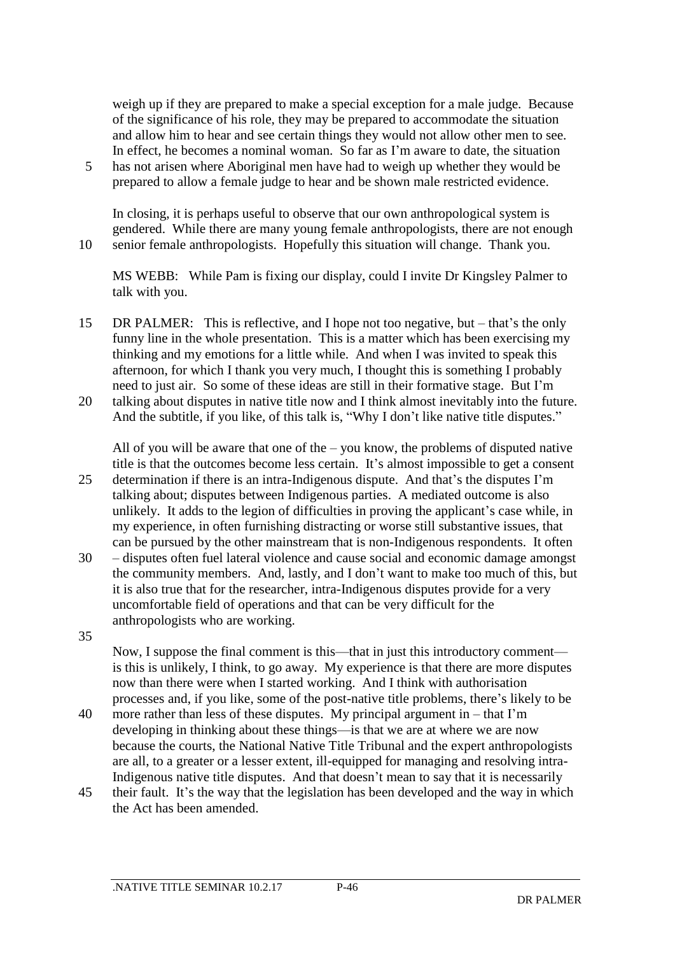weigh up if they are prepared to make a special exception for a male judge. Because of the significance of his role, they may be prepared to accommodate the situation and allow him to hear and see certain things they would not allow other men to see. In effect, he becomes a nominal woman. So far as I'm aware to date, the situation

5 has not arisen where Aboriginal men have had to weigh up whether they would be prepared to allow a female judge to hear and be shown male restricted evidence.

In closing, it is perhaps useful to observe that our own anthropological system is gendered. While there are many young female anthropologists, there are not enough 10 senior female anthropologists. Hopefully this situation will change. Thank you.

MS WEBB: While Pam is fixing our display, could I invite Dr Kingsley Palmer to talk with you.

- 15 DR PALMER: This is reflective, and I hope not too negative, but that's the only funny line in the whole presentation. This is a matter which has been exercising my thinking and my emotions for a little while. And when I was invited to speak this afternoon, for which I thank you very much, I thought this is something I probably need to just air. So some of these ideas are still in their formative stage. But I'm
- 20 talking about disputes in native title now and I think almost inevitably into the future. And the subtitle, if you like, of this talk is, "Why I don't like native title disputes."

All of you will be aware that one of the – you know, the problems of disputed native title is that the outcomes become less certain. It's almost impossible to get a consent

- 25 determination if there is an intra-Indigenous dispute. And that's the disputes I'm talking about; disputes between Indigenous parties. A mediated outcome is also unlikely. It adds to the legion of difficulties in proving the applicant's case while, in my experience, in often furnishing distracting or worse still substantive issues, that can be pursued by the other mainstream that is non-Indigenous respondents. It often
- 30 disputes often fuel lateral violence and cause social and economic damage amongst the community members. And, lastly, and I don't want to make too much of this, but it is also true that for the researcher, intra-Indigenous disputes provide for a very uncomfortable field of operations and that can be very difficult for the anthropologists who are working.
- 35

Now, I suppose the final comment is this—that in just this introductory comment is this is unlikely, I think, to go away. My experience is that there are more disputes now than there were when I started working. And I think with authorisation processes and, if you like, some of the post-native title problems, there's likely to be

- 40 more rather than less of these disputes. My principal argument in that I'm developing in thinking about these things—is that we are at where we are now because the courts, the National Native Title Tribunal and the expert anthropologists are all, to a greater or a lesser extent, ill-equipped for managing and resolving intra-Indigenous native title disputes. And that doesn't mean to say that it is necessarily
- 45 their fault. It's the way that the legislation has been developed and the way in which the Act has been amended.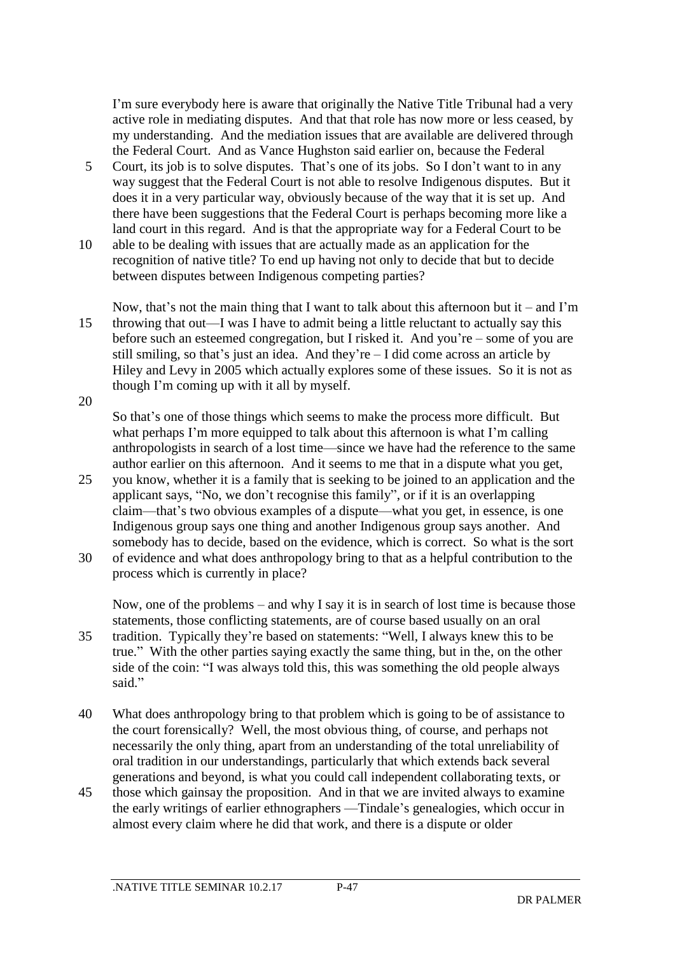I'm sure everybody here is aware that originally the Native Title Tribunal had a very active role in mediating disputes. And that that role has now more or less ceased, by my understanding. And the mediation issues that are available are delivered through the Federal Court. And as Vance Hughston said earlier on, because the Federal

- 5 Court, its job is to solve disputes. That's one of its jobs. So I don't want to in any way suggest that the Federal Court is not able to resolve Indigenous disputes. But it does it in a very particular way, obviously because of the way that it is set up. And there have been suggestions that the Federal Court is perhaps becoming more like a land court in this regard. And is that the appropriate way for a Federal Court to be
- 10 able to be dealing with issues that are actually made as an application for the recognition of native title? To end up having not only to decide that but to decide between disputes between Indigenous competing parties?

Now, that's not the main thing that I want to talk about this afternoon but it – and I'm 15 throwing that out—I was I have to admit being a little reluctant to actually say this before such an esteemed congregation, but I risked it. And you're – some of you are still smiling, so that's just an idea. And they're – I did come across an article by Hiley and Levy in 2005 which actually explores some of these issues. So it is not as though I'm coming up with it all by myself. 20

So that's one of those things which seems to make the process more difficult. But what perhaps I'm more equipped to talk about this afternoon is what I'm calling anthropologists in search of a lost time—since we have had the reference to the same author earlier on this afternoon. And it seems to me that in a dispute what you get,

- 25 you know, whether it is a family that is seeking to be joined to an application and the applicant says, "No, we don't recognise this family", or if it is an overlapping claim—that's two obvious examples of a dispute—what you get, in essence, is one Indigenous group says one thing and another Indigenous group says another. And somebody has to decide, based on the evidence, which is correct. So what is the sort
- 30 of evidence and what does anthropology bring to that as a helpful contribution to the process which is currently in place?

Now, one of the problems – and why I say it is in search of lost time is because those statements, those conflicting statements, are of course based usually on an oral

- 35 tradition. Typically they're based on statements: "Well, I always knew this to be true." With the other parties saying exactly the same thing, but in the, on the other side of the coin: "I was always told this, this was something the old people always said."
- 40 What does anthropology bring to that problem which is going to be of assistance to the court forensically? Well, the most obvious thing, of course, and perhaps not necessarily the only thing, apart from an understanding of the total unreliability of oral tradition in our understandings, particularly that which extends back several generations and beyond, is what you could call independent collaborating texts, or
- 45 those which gainsay the proposition. And in that we are invited always to examine the early writings of earlier ethnographers —Tindale's genealogies, which occur in almost every claim where he did that work, and there is a dispute or older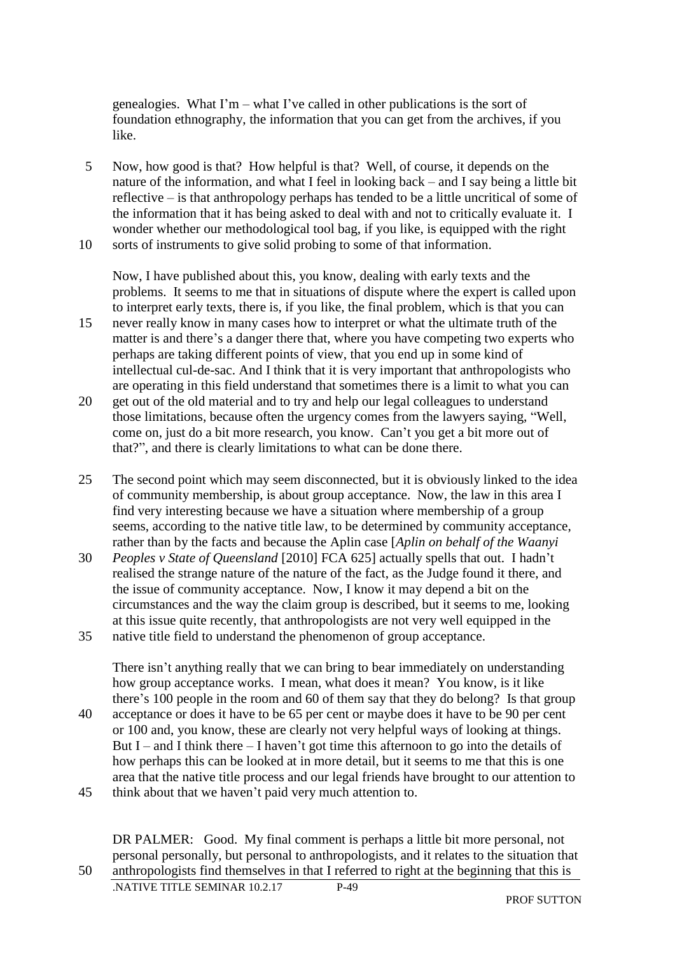genealogies. What I'm – what I've called in other publications is the sort of foundation ethnography, the information that you can get from the archives, if you like.

5 Now, how good is that? How helpful is that? Well, of course, it depends on the nature of the information, and what I feel in looking back – and I say being a little bit reflective – is that anthropology perhaps has tended to be a little uncritical of some of the information that it has being asked to deal with and not to critically evaluate it. I wonder whether our methodological tool bag, if you like, is equipped with the right 10 sorts of instruments to give solid probing to some of that information.

Now, I have published about this, you know, dealing with early texts and the problems. It seems to me that in situations of dispute where the expert is called upon to interpret early texts, there is, if you like, the final problem, which is that you can

- 15 never really know in many cases how to interpret or what the ultimate truth of the matter is and there's a danger there that, where you have competing two experts who perhaps are taking different points of view, that you end up in some kind of intellectual cul-de-sac. And I think that it is very important that anthropologists who are operating in this field understand that sometimes there is a limit to what you can
- 20 get out of the old material and to try and help our legal colleagues to understand those limitations, because often the urgency comes from the lawyers saying, "Well, come on, just do a bit more research, you know. Can't you get a bit more out of that?", and there is clearly limitations to what can be done there.
- 25 The second point which may seem disconnected, but it is obviously linked to the idea of community membership, is about group acceptance. Now, the law in this area I find very interesting because we have a situation where membership of a group seems, according to the native title law, to be determined by community acceptance, rather than by the facts and because the Aplin case [*Aplin on behalf of the Waanyi*
- 30 *Peoples v State of Queensland* [2010] FCA 625] actually spells that out. I hadn't realised the strange nature of the nature of the fact, as the Judge found it there, and the issue of community acceptance. Now, I know it may depend a bit on the circumstances and the way the claim group is described, but it seems to me, looking at this issue quite recently, that anthropologists are not very well equipped in the
- 35 native title field to understand the phenomenon of group acceptance.

There isn't anything really that we can bring to bear immediately on understanding how group acceptance works. I mean, what does it mean? You know, is it like there's 100 people in the room and 60 of them say that they do belong? Is that group 40 acceptance or does it have to be 65 per cent or maybe does it have to be 90 per cent or 100 and, you know, these are clearly not very helpful ways of looking at things.

- But I and I think there I haven't got time this afternoon to go into the details of how perhaps this can be looked at in more detail, but it seems to me that this is one area that the native title process and our legal friends have brought to our attention to
- 45 think about that we haven't paid very much attention to.

DR PALMER: Good. My final comment is perhaps a little bit more personal, not personal personally, but personal to anthropologists, and it relates to the situation that 50 anthropologists find themselves in that I referred to right at the beginning that this is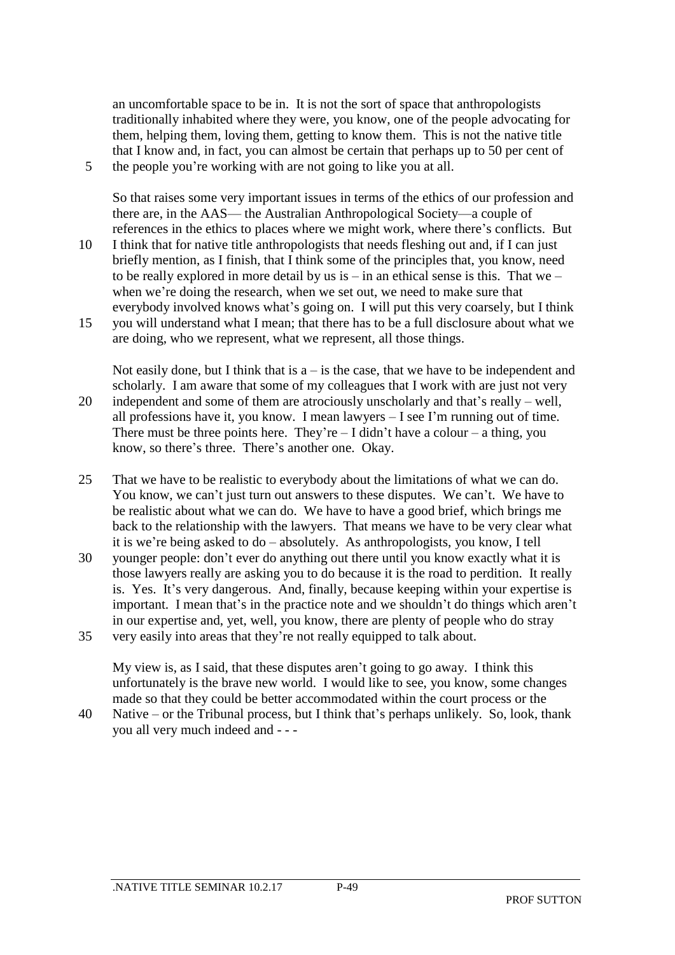an uncomfortable space to be in. It is not the sort of space that anthropologists traditionally inhabited where they were, you know, one of the people advocating for them, helping them, loving them, getting to know them. This is not the native title that I know and, in fact, you can almost be certain that perhaps up to 50 per cent of 5 the people you're working with are not going to like you at all.

So that raises some very important issues in terms of the ethics of our profession and there are, in the AAS— the Australian Anthropological Society—a couple of references in the ethics to places where we might work, where there's conflicts. But

- 10 I think that for native title anthropologists that needs fleshing out and, if I can just briefly mention, as I finish, that I think some of the principles that, you know, need to be really explored in more detail by us is – in an ethical sense is this. That we – when we're doing the research, when we set out, we need to make sure that everybody involved knows what's going on. I will put this very coarsely, but I think
- 15 you will understand what I mean; that there has to be a full disclosure about what we are doing, who we represent, what we represent, all those things.

Not easily done, but I think that is  $a - is$  the case, that we have to be independent and scholarly. I am aware that some of my colleagues that I work with are just not very 20 independent and some of them are atrociously unscholarly and that's really – well, all professions have it, you know. I mean lawyers – I see I'm running out of time. There must be three points here. They're  $-1$  didn't have a colour  $-$  a thing, you know, so there's three. There's another one. Okay.

- 25 That we have to be realistic to everybody about the limitations of what we can do. You know, we can't just turn out answers to these disputes. We can't. We have to be realistic about what we can do. We have to have a good brief, which brings me back to the relationship with the lawyers. That means we have to be very clear what it is we're being asked to do – absolutely. As anthropologists, you know, I tell
- 30 younger people: don't ever do anything out there until you know exactly what it is those lawyers really are asking you to do because it is the road to perdition. It really is. Yes. It's very dangerous. And, finally, because keeping within your expertise is important. I mean that's in the practice note and we shouldn't do things which aren't in our expertise and, yet, well, you know, there are plenty of people who do stray 35 very easily into areas that they're not really equipped to talk about.

My view is, as I said, that these disputes aren't going to go away. I think this unfortunately is the brave new world. I would like to see, you know, some changes made so that they could be better accommodated within the court process or the

40 Native – or the Tribunal process, but I think that's perhaps unlikely. So, look, thank you all very much indeed and - - -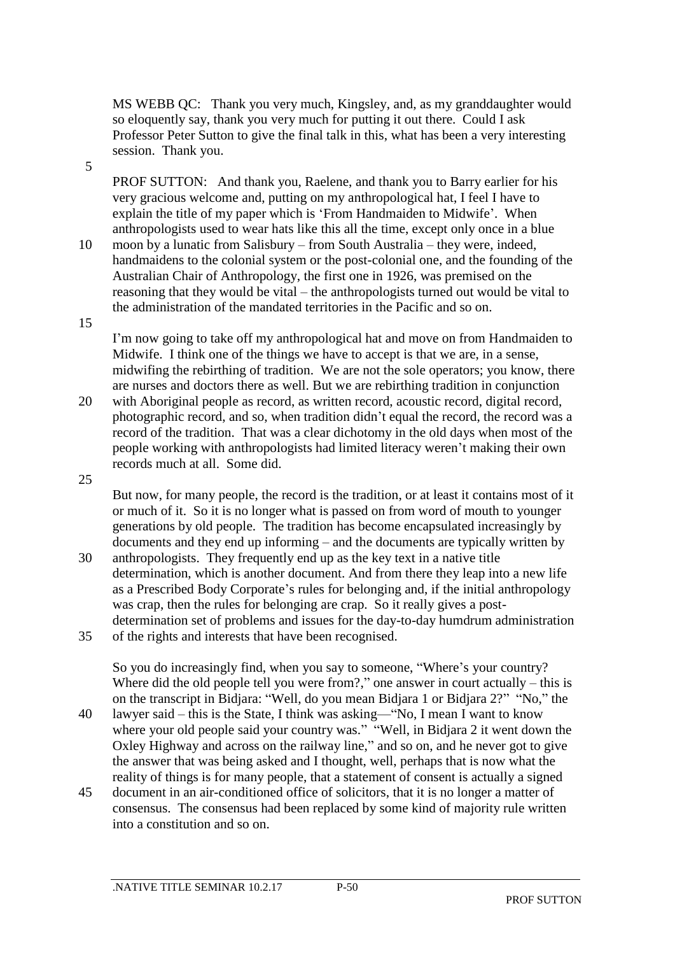MS WEBB QC: Thank you very much, Kingsley, and, as my granddaughter would so eloquently say, thank you very much for putting it out there. Could I ask Professor Peter Sutton to give the final talk in this, what has been a very interesting session. Thank you.

5

PROF SUTTON: And thank you, Raelene, and thank you to Barry earlier for his very gracious welcome and, putting on my anthropological hat, I feel I have to explain the title of my paper which is 'From Handmaiden to Midwife'. When anthropologists used to wear hats like this all the time, except only once in a blue

10 moon by a lunatic from Salisbury – from South Australia – they were, indeed, handmaidens to the colonial system or the post-colonial one, and the founding of the Australian Chair of Anthropology, the first one in 1926, was premised on the reasoning that they would be vital – the anthropologists turned out would be vital to the administration of the mandated territories in the Pacific and so on.

15

I'm now going to take off my anthropological hat and move on from Handmaiden to Midwife. I think one of the things we have to accept is that we are, in a sense, midwifing the rebirthing of tradition. We are not the sole operators; you know, there are nurses and doctors there as well. But we are rebirthing tradition in conjunction

20 with Aboriginal people as record, as written record, acoustic record, digital record, photographic record, and so, when tradition didn't equal the record, the record was a record of the tradition. That was a clear dichotomy in the old days when most of the people working with anthropologists had limited literacy weren't making their own records much at all. Some did.

25

But now, for many people, the record is the tradition, or at least it contains most of it or much of it. So it is no longer what is passed on from word of mouth to younger generations by old people. The tradition has become encapsulated increasingly by documents and they end up informing – and the documents are typically written by

- 30 anthropologists. They frequently end up as the key text in a native title determination, which is another document. And from there they leap into a new life as a Prescribed Body Corporate's rules for belonging and, if the initial anthropology was crap, then the rules for belonging are crap. So it really gives a postdetermination set of problems and issues for the day-to-day humdrum administration
- 35 of the rights and interests that have been recognised.

So you do increasingly find, when you say to someone, "Where's your country? Where did the old people tell you were from?," one answer in court actually – this is on the transcript in Bidjara: "Well, do you mean Bidjara 1 or Bidjara 2?" "No," the

- 40 lawyer said this is the State, I think was asking—"No, I mean I want to know where your old people said your country was." "Well, in Bidjara 2 it went down the Oxley Highway and across on the railway line," and so on, and he never got to give the answer that was being asked and I thought, well, perhaps that is now what the reality of things is for many people, that a statement of consent is actually a signed
- 45 document in an air-conditioned office of solicitors, that it is no longer a matter of consensus. The consensus had been replaced by some kind of majority rule written into a constitution and so on.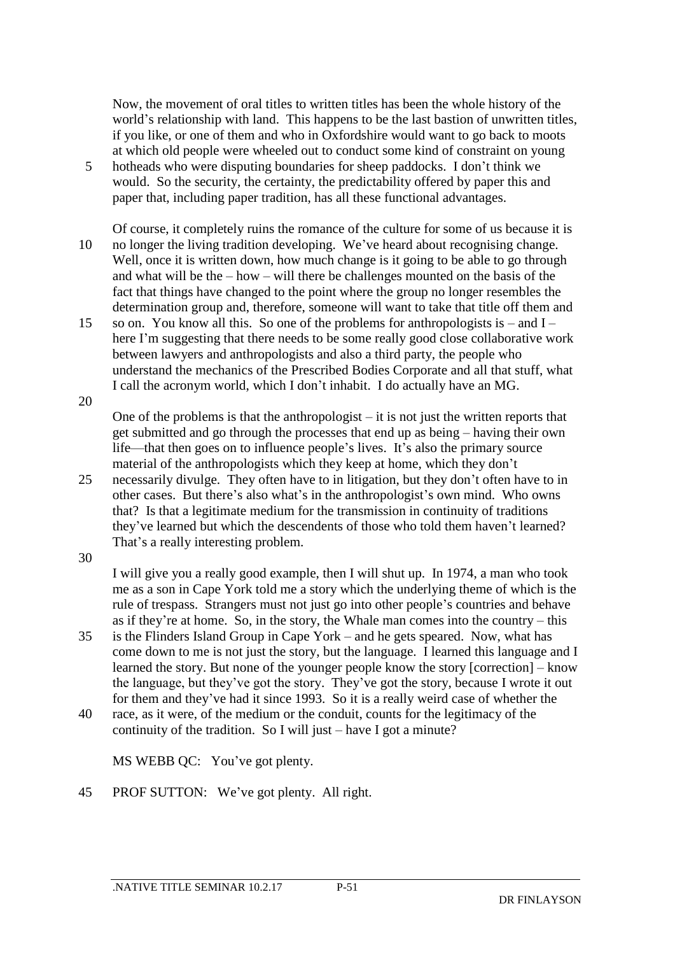Now, the movement of oral titles to written titles has been the whole history of the world's relationship with land. This happens to be the last bastion of unwritten titles, if you like, or one of them and who in Oxfordshire would want to go back to moots at which old people were wheeled out to conduct some kind of constraint on young

- 5 hotheads who were disputing boundaries for sheep paddocks. I don't think we would. So the security, the certainty, the predictability offered by paper this and paper that, including paper tradition, has all these functional advantages.
- Of course, it completely ruins the romance of the culture for some of us because it is 10 no longer the living tradition developing. We've heard about recognising change. Well, once it is written down, how much change is it going to be able to go through and what will be the – how – will there be challenges mounted on the basis of the fact that things have changed to the point where the group no longer resembles the determination group and, therefore, someone will want to take that title off them and
- 15 so on. You know all this. So one of the problems for anthropologists is and I here I'm suggesting that there needs to be some really good close collaborative work between lawyers and anthropologists and also a third party, the people who understand the mechanics of the Prescribed Bodies Corporate and all that stuff, what I call the acronym world, which I don't inhabit. I do actually have an MG.
- 20

One of the problems is that the anthropologist  $-$  it is not just the written reports that get submitted and go through the processes that end up as being – having their own life—that then goes on to influence people's lives. It's also the primary source material of the anthropologists which they keep at home, which they don't

- 25 necessarily divulge. They often have to in litigation, but they don't often have to in other cases. But there's also what's in the anthropologist's own mind. Who owns that? Is that a legitimate medium for the transmission in continuity of traditions they've learned but which the descendents of those who told them haven't learned? That's a really interesting problem.
- 30

I will give you a really good example, then I will shut up. In 1974, a man who took me as a son in Cape York told me a story which the underlying theme of which is the rule of trespass. Strangers must not just go into other people's countries and behave as if they're at home. So, in the story, the Whale man comes into the country – this

- 35 is the Flinders Island Group in Cape York and he gets speared. Now, what has come down to me is not just the story, but the language. I learned this language and I learned the story. But none of the younger people know the story [correction] – know the language, but they've got the story. They've got the story, because I wrote it out for them and they've had it since 1993. So it is a really weird case of whether the
- 40 race, as it were, of the medium or the conduit, counts for the legitimacy of the continuity of the tradition. So I will just – have I got a minute?

MS WEBB QC: You've got plenty.

45 PROF SUTTON: We've got plenty. All right.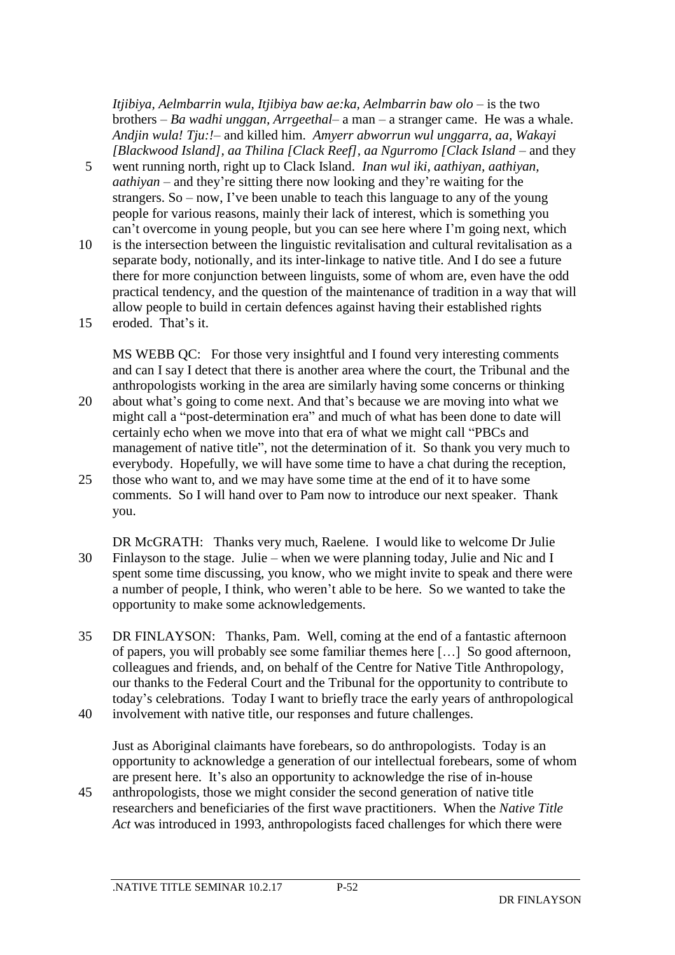*Itjibiya, Aelmbarrin wula, Itjibiya baw ae:ka, Aelmbarrin baw olo* – is the two brothers – *Ba wadhi unggan, Arrgeethal*– a man – a stranger came. He was a whale. *Andjin wula! Tju:!–* and killed him. *Amyerr abworrun wul unggarra, aa, Wakayi [Blackwood Island], aa Thilina [Clack Reef], aa Ngurromo [Clack Island* – and they

- 5 went running north, right up to Clack Island. *Inan wul iki, aathiyan, aathiyan, aathiyan* – and they're sitting there now looking and they're waiting for the strangers. So – now, I've been unable to teach this language to any of the young people for various reasons, mainly their lack of interest, which is something you can't overcome in young people, but you can see here where I'm going next, which
- 10 is the intersection between the linguistic revitalisation and cultural revitalisation as a separate body, notionally, and its inter-linkage to native title. And I do see a future there for more conjunction between linguists, some of whom are, even have the odd practical tendency, and the question of the maintenance of tradition in a way that will allow people to build in certain defences against having their established rights
- 15 eroded. That's it.

MS WEBB QC: For those very insightful and I found very interesting comments and can I say I detect that there is another area where the court, the Tribunal and the anthropologists working in the area are similarly having some concerns or thinking

- 20 about what's going to come next. And that's because we are moving into what we might call a "post-determination era" and much of what has been done to date will certainly echo when we move into that era of what we might call "PBCs and management of native title", not the determination of it. So thank you very much to everybody. Hopefully, we will have some time to have a chat during the reception,
- 25 those who want to, and we may have some time at the end of it to have some comments. So I will hand over to Pam now to introduce our next speaker. Thank you.
- DR McGRATH: Thanks very much, Raelene. I would like to welcome Dr Julie 30 Finlayson to the stage. Julie – when we were planning today, Julie and Nic and I spent some time discussing, you know, who we might invite to speak and there were a number of people, I think, who weren't able to be here. So we wanted to take the opportunity to make some acknowledgements.
- 35 DR FINLAYSON: Thanks, Pam. Well, coming at the end of a fantastic afternoon of papers, you will probably see some familiar themes here […] So good afternoon, colleagues and friends, and, on behalf of the Centre for Native Title Anthropology, our thanks to the Federal Court and the Tribunal for the opportunity to contribute to today's celebrations. Today I want to briefly trace the early years of anthropological
- 40 involvement with native title, our responses and future challenges.

Just as Aboriginal claimants have forebears, so do anthropologists. Today is an opportunity to acknowledge a generation of our intellectual forebears, some of whom are present here. It's also an opportunity to acknowledge the rise of in-house

45 anthropologists, those we might consider the second generation of native title researchers and beneficiaries of the first wave practitioners. When the *Native Title Act* was introduced in 1993, anthropologists faced challenges for which there were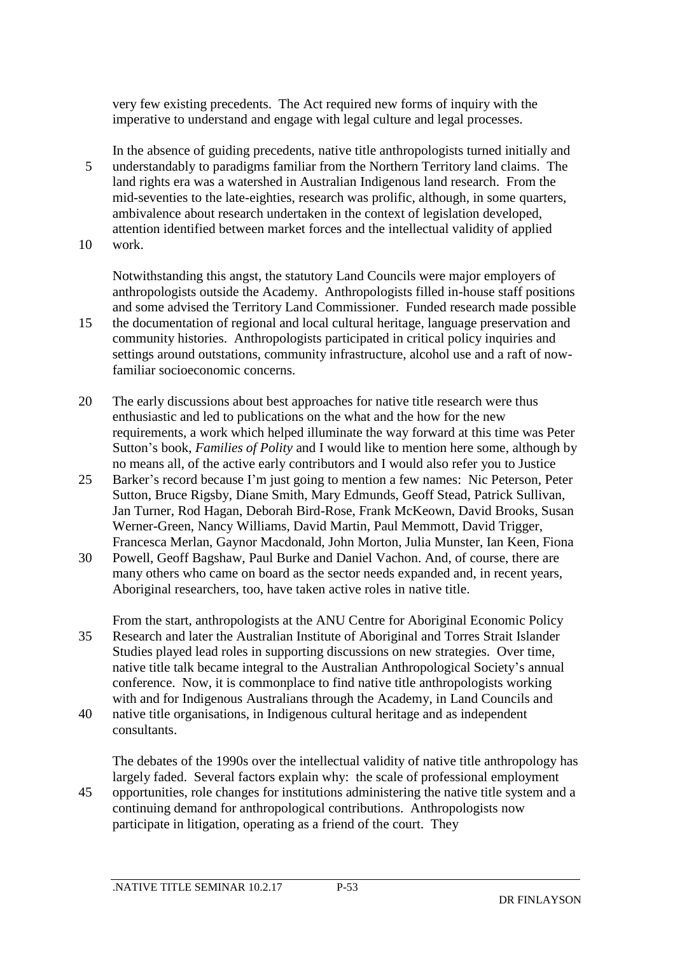very few existing precedents. The Act required new forms of inquiry with the imperative to understand and engage with legal culture and legal processes.

In the absence of guiding precedents, native title anthropologists turned initially and 5 understandably to paradigms familiar from the Northern Territory land claims. The land rights era was a watershed in Australian Indigenous land research. From the mid-seventies to the late-eighties, research was prolific, although, in some quarters, ambivalence about research undertaken in the context of legislation developed, attention identified between market forces and the intellectual validity of applied 10 work.

Notwithstanding this angst, the statutory Land Councils were major employers of anthropologists outside the Academy. Anthropologists filled in-house staff positions and some advised the Territory Land Commissioner. Funded research made possible

- 15 the documentation of regional and local cultural heritage, language preservation and community histories. Anthropologists participated in critical policy inquiries and settings around outstations, community infrastructure, alcohol use and a raft of nowfamiliar socioeconomic concerns.
- 20 The early discussions about best approaches for native title research were thus enthusiastic and led to publications on the what and the how for the new requirements, a work which helped illuminate the way forward at this time was Peter Sutton's book, *Families of Polity* and I would like to mention here some, although by no means all, of the active early contributors and I would also refer you to Justice
- 25 Barker's record because I'm just going to mention a few names: Nic Peterson, Peter Sutton, Bruce Rigsby, Diane Smith, Mary Edmunds, Geoff Stead, Patrick Sullivan, Jan Turner, Rod Hagan, Deborah Bird-Rose, Frank McKeown, David Brooks, Susan Werner-Green, Nancy Williams, David Martin, Paul Memmott, David Trigger, Francesca Merlan, Gaynor Macdonald, John Morton, Julia Munster, Ian Keen, Fiona
- 30 Powell, Geoff Bagshaw, Paul Burke and Daniel Vachon. And, of course, there are many others who came on board as the sector needs expanded and, in recent years, Aboriginal researchers, too, have taken active roles in native title.
- From the start, anthropologists at the ANU Centre for Aboriginal Economic Policy 35 Research and later the Australian Institute of Aboriginal and Torres Strait Islander Studies played lead roles in supporting discussions on new strategies. Over time, native title talk became integral to the Australian Anthropological Society's annual conference. Now, it is commonplace to find native title anthropologists working with and for Indigenous Australians through the Academy, in Land Councils and
- 40 native title organisations, in Indigenous cultural heritage and as independent consultants.

The debates of the 1990s over the intellectual validity of native title anthropology has largely faded. Several factors explain why: the scale of professional employment 45 opportunities, role changes for institutions administering the native title system and a continuing demand for anthropological contributions. Anthropologists now participate in litigation, operating as a friend of the court. They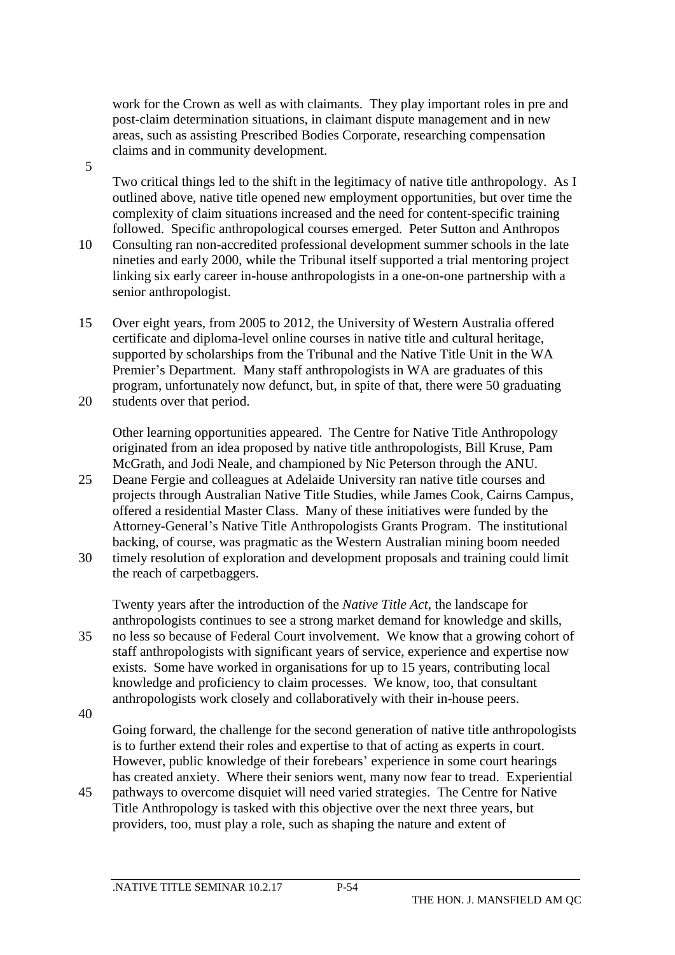work for the Crown as well as with claimants. They play important roles in pre and post-claim determination situations, in claimant dispute management and in new areas, such as assisting Prescribed Bodies Corporate, researching compensation claims and in community development.

Two critical things led to the shift in the legitimacy of native title anthropology. As I outlined above, native title opened new employment opportunities, but over time the complexity of claim situations increased and the need for content-specific training followed. Specific anthropological courses emerged. Peter Sutton and Anthropos

- 10 Consulting ran non-accredited professional development summer schools in the late nineties and early 2000, while the Tribunal itself supported a trial mentoring project linking six early career in-house anthropologists in a one-on-one partnership with a senior anthropologist.
- 15 Over eight years, from 2005 to 2012, the University of Western Australia offered certificate and diploma-level online courses in native title and cultural heritage, supported by scholarships from the Tribunal and the Native Title Unit in the WA Premier's Department. Many staff anthropologists in WA are graduates of this program, unfortunately now defunct, but, in spite of that, there were 50 graduating 20 students over that period.
	- Other learning opportunities appeared. The Centre for Native Title Anthropology originated from an idea proposed by native title anthropologists, Bill Kruse, Pam McGrath, and Jodi Neale, and championed by Nic Peterson through the ANU.
- 25 Deane Fergie and colleagues at Adelaide University ran native title courses and projects through Australian Native Title Studies, while James Cook, Cairns Campus, offered a residential Master Class. Many of these initiatives were funded by the Attorney-General's Native Title Anthropologists Grants Program. The institutional backing, of course, was pragmatic as the Western Australian mining boom needed 30 timely resolution of exploration and development proposals and training could limit
- the reach of carpetbaggers.

Twenty years after the introduction of the *Native Title Act*, the landscape for anthropologists continues to see a strong market demand for knowledge and skills, 35 no less so because of Federal Court involvement. We know that a growing cohort of staff anthropologists with significant years of service, experience and expertise now exists. Some have worked in organisations for up to 15 years, contributing local knowledge and proficiency to claim processes. We know, too, that consultant anthropologists work closely and collaboratively with their in-house peers.

40

5

Going forward, the challenge for the second generation of native title anthropologists is to further extend their roles and expertise to that of acting as experts in court. However, public knowledge of their forebears' experience in some court hearings has created anxiety. Where their seniors went, many now fear to tread. Experiential

45 pathways to overcome disquiet will need varied strategies. The Centre for Native Title Anthropology is tasked with this objective over the next three years, but providers, too, must play a role, such as shaping the nature and extent of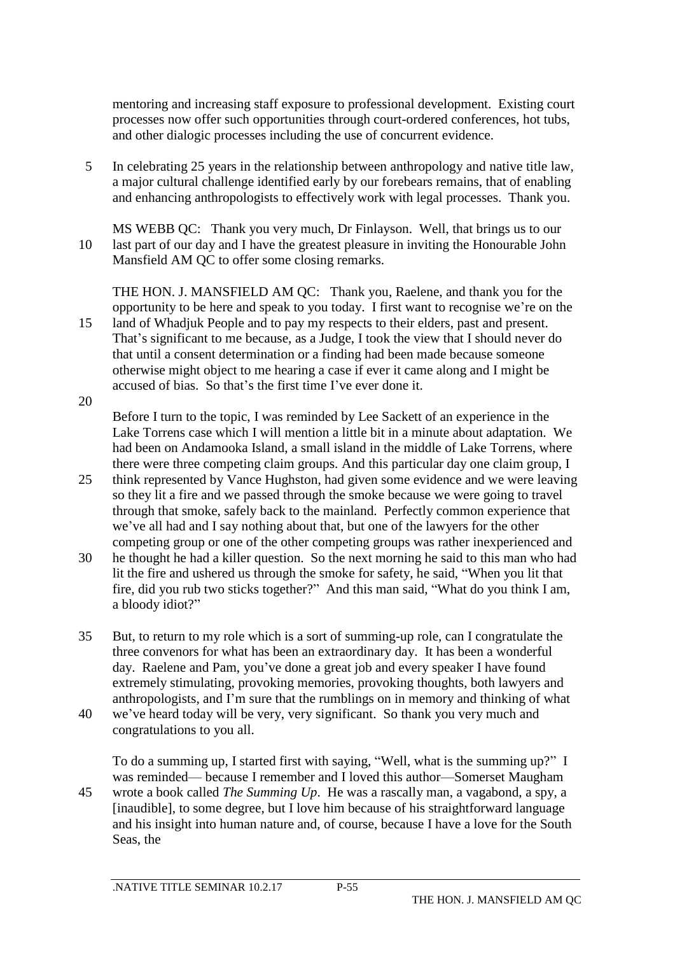mentoring and increasing staff exposure to professional development. Existing court processes now offer such opportunities through court-ordered conferences, hot tubs, and other dialogic processes including the use of concurrent evidence.

- 5 In celebrating 25 years in the relationship between anthropology and native title law, a major cultural challenge identified early by our forebears remains, that of enabling and enhancing anthropologists to effectively work with legal processes. Thank you.
- MS WEBB QC: Thank you very much, Dr Finlayson. Well, that brings us to our 10 last part of our day and I have the greatest pleasure in inviting the Honourable John Mansfield AM QC to offer some closing remarks.

THE HON. J. MANSFIELD AM QC: Thank you, Raelene, and thank you for the opportunity to be here and speak to you today. I first want to recognise we're on the 15 land of Whadjuk People and to pay my respects to their elders, past and present. That's significant to me because, as a Judge, I took the view that I should never do

that until a consent determination or a finding had been made because someone otherwise might object to me hearing a case if ever it came along and I might be accused of bias. So that's the first time I've ever done it.

20

Before I turn to the topic, I was reminded by Lee Sackett of an experience in the Lake Torrens case which I will mention a little bit in a minute about adaptation. We had been on Andamooka Island, a small island in the middle of Lake Torrens, where there were three competing claim groups. And this particular day one claim group, I

- 25 think represented by Vance Hughston, had given some evidence and we were leaving so they lit a fire and we passed through the smoke because we were going to travel through that smoke, safely back to the mainland. Perfectly common experience that we've all had and I say nothing about that, but one of the lawyers for the other competing group or one of the other competing groups was rather inexperienced and
- 30 he thought he had a killer question. So the next morning he said to this man who had lit the fire and ushered us through the smoke for safety, he said, "When you lit that fire, did you rub two sticks together?" And this man said, "What do you think I am, a bloody idiot?"
- 35 But, to return to my role which is a sort of summing-up role, can I congratulate the three convenors for what has been an extraordinary day. It has been a wonderful day. Raelene and Pam, you've done a great job and every speaker I have found extremely stimulating, provoking memories, provoking thoughts, both lawyers and anthropologists, and I'm sure that the rumblings on in memory and thinking of what
- 40 we've heard today will be very, very significant. So thank you very much and congratulations to you all.

To do a summing up, I started first with saying, "Well, what is the summing up?" I was reminded— because I remember and I loved this author—Somerset Maugham 45 wrote a book called *The Summing Up*. He was a rascally man, a vagabond, a spy, a [inaudible], to some degree, but I love him because of his straightforward language and his insight into human nature and, of course, because I have a love for the South Seas, the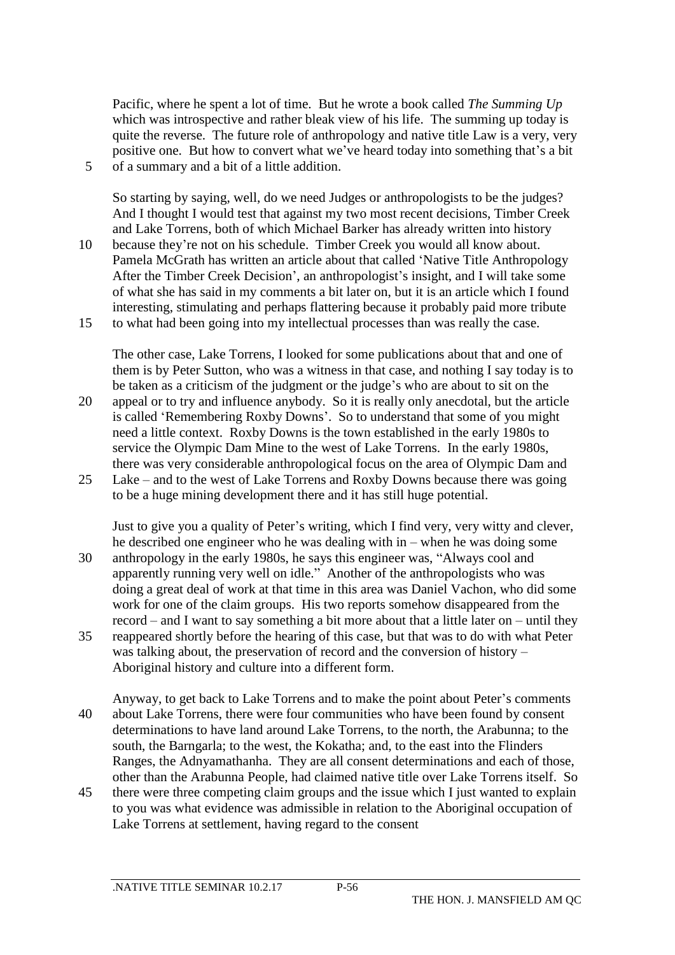Pacific, where he spent a lot of time. But he wrote a book called *The Summing Up* which was introspective and rather bleak view of his life. The summing up today is quite the reverse. The future role of anthropology and native title Law is a very, very positive one. But how to convert what we've heard today into something that's a bit 5 of a summary and a bit of a little addition.

So starting by saying, well, do we need Judges or anthropologists to be the judges? And I thought I would test that against my two most recent decisions, Timber Creek and Lake Torrens, both of which Michael Barker has already written into history 10 because they're not on his schedule. Timber Creek you would all know about. Pamela McGrath has written an article about that called 'Native Title Anthropology

- After the Timber Creek Decision', an anthropologist's insight, and I will take some of what she has said in my comments a bit later on, but it is an article which I found interesting, stimulating and perhaps flattering because it probably paid more tribute
- 15 to what had been going into my intellectual processes than was really the case.

The other case, Lake Torrens, I looked for some publications about that and one of them is by Peter Sutton, who was a witness in that case, and nothing I say today is to be taken as a criticism of the judgment or the judge's who are about to sit on the 20 appeal or to try and influence anybody. So it is really only anecdotal, but the article

- is called 'Remembering Roxby Downs'. So to understand that some of you might need a little context. Roxby Downs is the town established in the early 1980s to service the Olympic Dam Mine to the west of Lake Torrens. In the early 1980s, there was very considerable anthropological focus on the area of Olympic Dam and 25 Lake – and to the west of Lake Torrens and Roxby Downs because there was going
- to be a huge mining development there and it has still huge potential.

Just to give you a quality of Peter's writing, which I find very, very witty and clever, he described one engineer who he was dealing with in – when he was doing some 30 anthropology in the early 1980s, he says this engineer was, "Always cool and apparently running very well on idle." Another of the anthropologists who was doing a great deal of work at that time in this area was Daniel Vachon, who did some work for one of the claim groups. His two reports somehow disappeared from the record – and I want to say something a bit more about that a little later on – until they 35 reappeared shortly before the hearing of this case, but that was to do with what Peter

- was talking about, the preservation of record and the conversion of history Aboriginal history and culture into a different form.
- Anyway, to get back to Lake Torrens and to make the point about Peter's comments 40 about Lake Torrens, there were four communities who have been found by consent determinations to have land around Lake Torrens, to the north, the Arabunna; to the south, the Barngarla; to the west, the Kokatha; and, to the east into the Flinders Ranges, the Adnyamathanha. They are all consent determinations and each of those, other than the Arabunna People, had claimed native title over Lake Torrens itself. So
- 45 there were three competing claim groups and the issue which I just wanted to explain to you was what evidence was admissible in relation to the Aboriginal occupation of Lake Torrens at settlement, having regard to the consent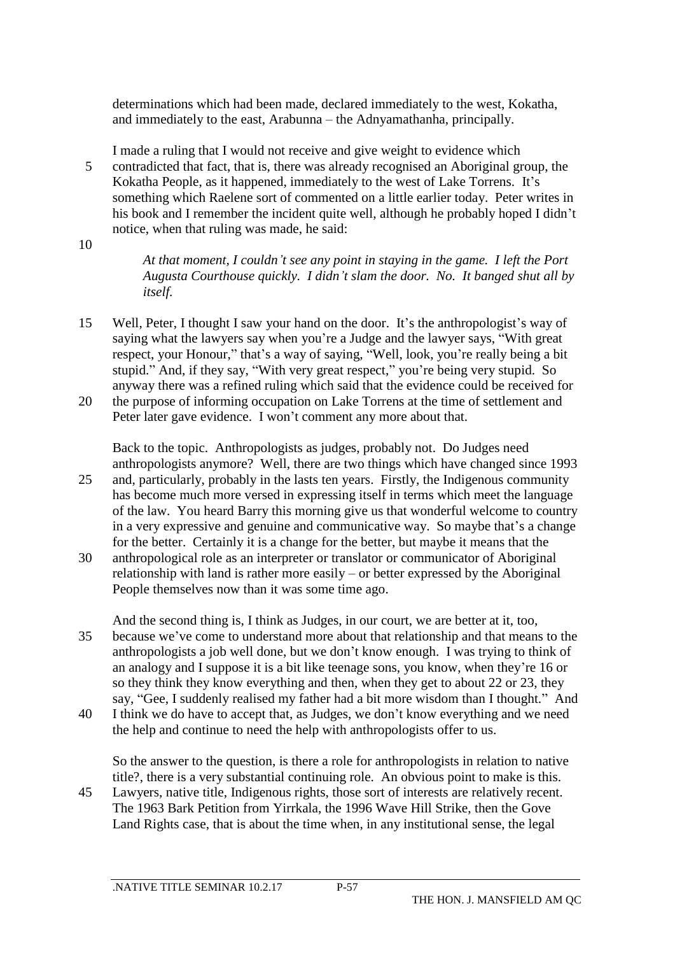determinations which had been made, declared immediately to the west, Kokatha, and immediately to the east, Arabunna – the Adnyamathanha, principally.

I made a ruling that I would not receive and give weight to evidence which 5 contradicted that fact, that is, there was already recognised an Aboriginal group, the Kokatha People, as it happened, immediately to the west of Lake Torrens. It's something which Raelene sort of commented on a little earlier today. Peter writes in his book and I remember the incident quite well, although he probably hoped I didn't notice, when that ruling was made, he said:

10

*At that moment, I couldn't see any point in staying in the game. I left the Port Augusta Courthouse quickly. I didn't slam the door. No. It banged shut all by itself.*

15 Well, Peter, I thought I saw your hand on the door. It's the anthropologist's way of saying what the lawyers say when you're a Judge and the lawyer says, "With great respect, your Honour," that's a way of saying, "Well, look, you're really being a bit stupid." And, if they say, "With very great respect," you're being very stupid. So anyway there was a refined ruling which said that the evidence could be received for

20 the purpose of informing occupation on Lake Torrens at the time of settlement and Peter later gave evidence. I won't comment any more about that.

Back to the topic. Anthropologists as judges, probably not. Do Judges need anthropologists anymore? Well, there are two things which have changed since 1993

- 25 and, particularly, probably in the lasts ten years. Firstly, the Indigenous community has become much more versed in expressing itself in terms which meet the language of the law. You heard Barry this morning give us that wonderful welcome to country in a very expressive and genuine and communicative way. So maybe that's a change for the better. Certainly it is a change for the better, but maybe it means that the
- 30 anthropological role as an interpreter or translator or communicator of Aboriginal relationship with land is rather more easily – or better expressed by the Aboriginal People themselves now than it was some time ago.
- And the second thing is, I think as Judges, in our court, we are better at it, too, 35 because we've come to understand more about that relationship and that means to the anthropologists a job well done, but we don't know enough. I was trying to think of an analogy and I suppose it is a bit like teenage sons, you know, when they're 16 or so they think they know everything and then, when they get to about 22 or 23, they say, "Gee, I suddenly realised my father had a bit more wisdom than I thought." And
- 40 I think we do have to accept that, as Judges, we don't know everything and we need the help and continue to need the help with anthropologists offer to us.

So the answer to the question, is there a role for anthropologists in relation to native title?, there is a very substantial continuing role. An obvious point to make is this.

45 Lawyers, native title, Indigenous rights, those sort of interests are relatively recent. The 1963 Bark Petition from Yirrkala, the 1996 Wave Hill Strike, then the Gove Land Rights case, that is about the time when, in any institutional sense, the legal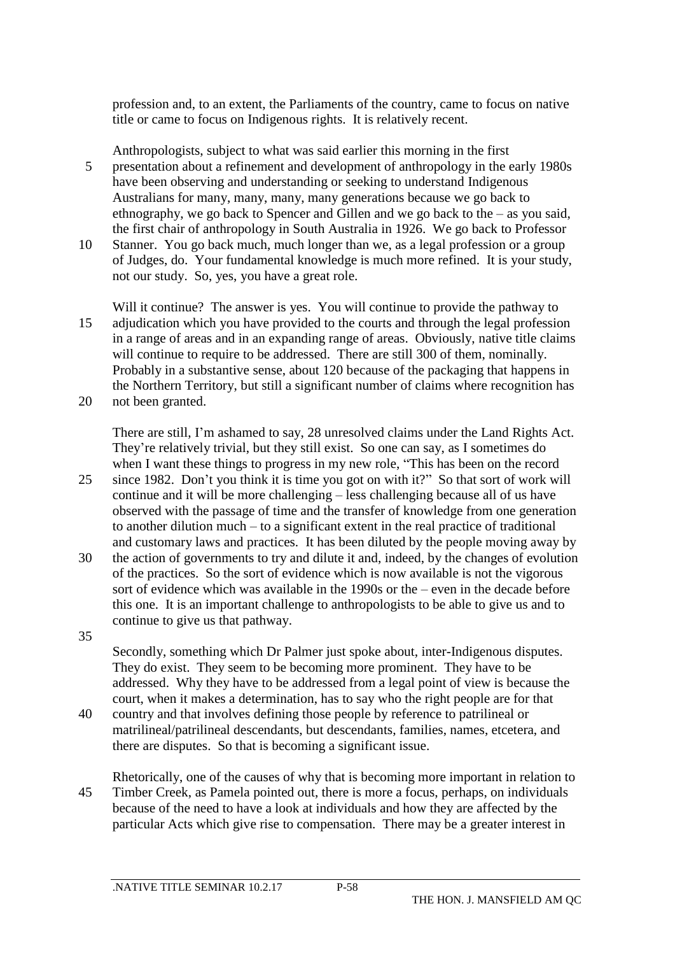profession and, to an extent, the Parliaments of the country, came to focus on native title or came to focus on Indigenous rights. It is relatively recent.

Anthropologists, subject to what was said earlier this morning in the first 5 presentation about a refinement and development of anthropology in the early 1980s have been observing and understanding or seeking to understand Indigenous Australians for many, many, many, many generations because we go back to ethnography, we go back to Spencer and Gillen and we go back to the – as you said, the first chair of anthropology in South Australia in 1926. We go back to Professor

10 Stanner. You go back much, much longer than we, as a legal profession or a group of Judges, do. Your fundamental knowledge is much more refined. It is your study, not our study. So, yes, you have a great role.

Will it continue? The answer is yes. You will continue to provide the pathway to 15 adjudication which you have provided to the courts and through the legal profession in a range of areas and in an expanding range of areas. Obviously, native title claims will continue to require to be addressed. There are still 300 of them, nominally. Probably in a substantive sense, about 120 because of the packaging that happens in the Northern Territory, but still a significant number of claims where recognition has 20 not been granted.

There are still, I'm ashamed to say, 28 unresolved claims under the Land Rights Act. They're relatively trivial, but they still exist. So one can say, as I sometimes do when I want these things to progress in my new role, "This has been on the record 25 since 1982. Don't you think it is time you got on with it?" So that sort of work will continue and it will be more challenging – less challenging because all of us have

- observed with the passage of time and the transfer of knowledge from one generation to another dilution much – to a significant extent in the real practice of traditional and customary laws and practices. It has been diluted by the people moving away by
- 30 the action of governments to try and dilute it and, indeed, by the changes of evolution of the practices. So the sort of evidence which is now available is not the vigorous sort of evidence which was available in the 1990s or the – even in the decade before this one. It is an important challenge to anthropologists to be able to give us and to continue to give us that pathway.
- 35

Secondly, something which Dr Palmer just spoke about, inter-Indigenous disputes. They do exist. They seem to be becoming more prominent. They have to be addressed. Why they have to be addressed from a legal point of view is because the court, when it makes a determination, has to say who the right people are for that

- 40 country and that involves defining those people by reference to patrilineal or matrilineal/patrilineal descendants, but descendants, families, names, etcetera, and there are disputes. So that is becoming a significant issue.
- Rhetorically, one of the causes of why that is becoming more important in relation to 45 Timber Creek, as Pamela pointed out, there is more a focus, perhaps, on individuals because of the need to have a look at individuals and how they are affected by the particular Acts which give rise to compensation. There may be a greater interest in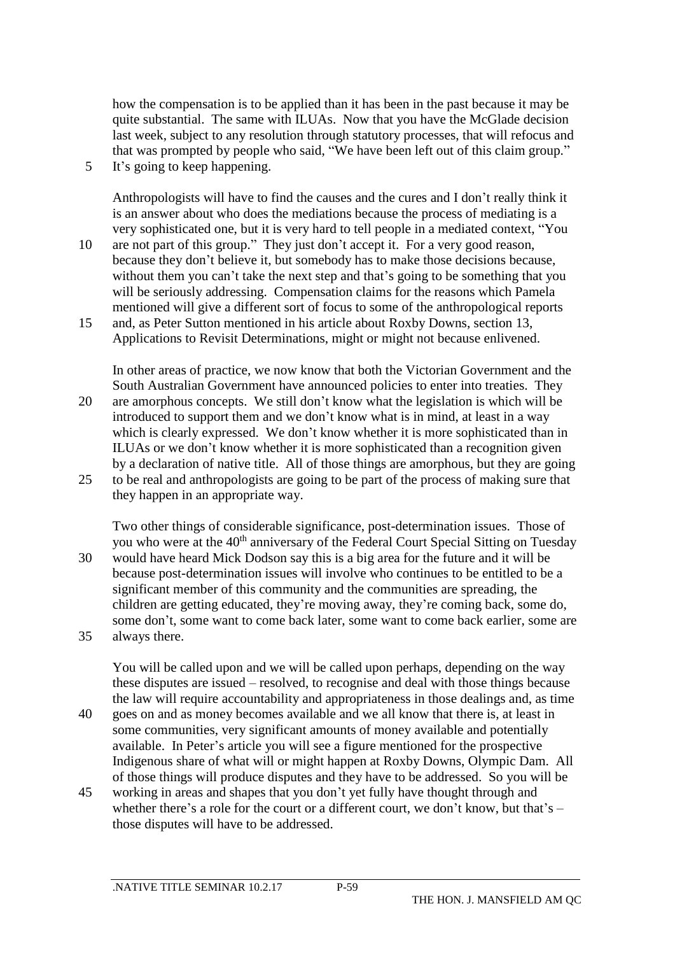how the compensation is to be applied than it has been in the past because it may be quite substantial. The same with ILUAs. Now that you have the McGlade decision last week, subject to any resolution through statutory processes, that will refocus and that was prompted by people who said, "We have been left out of this claim group." 5 It's going to keep happening.

Anthropologists will have to find the causes and the cures and I don't really think it is an answer about who does the mediations because the process of mediating is a very sophisticated one, but it is very hard to tell people in a mediated context, "You

- 10 are not part of this group." They just don't accept it. For a very good reason, because they don't believe it, but somebody has to make those decisions because, without them you can't take the next step and that's going to be something that you will be seriously addressing. Compensation claims for the reasons which Pamela mentioned will give a different sort of focus to some of the anthropological reports
- 15 and, as Peter Sutton mentioned in his article about Roxby Downs, section 13, Applications to Revisit Determinations, might or might not because enlivened.

In other areas of practice, we now know that both the Victorian Government and the South Australian Government have announced policies to enter into treaties. They 20 are amorphous concepts. We still don't know what the legislation is which will be introduced to support them and we don't know what is in mind, at least in a way which is clearly expressed. We don't know whether it is more sophisticated than in ILUAs or we don't know whether it is more sophisticated than a recognition given by a declaration of native title. All of those things are amorphous, but they are going 25 to be real and anthropologists are going to be part of the process of making sure that they happen in an appropriate way.

Two other things of considerable significance, post-determination issues. Those of you who were at the 40<sup>th</sup> anniversary of the Federal Court Special Sitting on Tuesday 30 would have heard Mick Dodson say this is a big area for the future and it will be because post-determination issues will involve who continues to be entitled to be a significant member of this community and the communities are spreading, the children are getting educated, they're moving away, they're coming back, some do, some don't, some want to come back later, some want to come back earlier, some are 35 always there.

You will be called upon and we will be called upon perhaps, depending on the way these disputes are issued – resolved, to recognise and deal with those things because the law will require accountability and appropriateness in those dealings and, as time

- 40 goes on and as money becomes available and we all know that there is, at least in some communities, very significant amounts of money available and potentially available. In Peter's article you will see a figure mentioned for the prospective Indigenous share of what will or might happen at Roxby Downs, Olympic Dam. All of those things will produce disputes and they have to be addressed. So you will be
- 45 working in areas and shapes that you don't yet fully have thought through and whether there's a role for the court or a different court, we don't know, but that's  $$ those disputes will have to be addressed.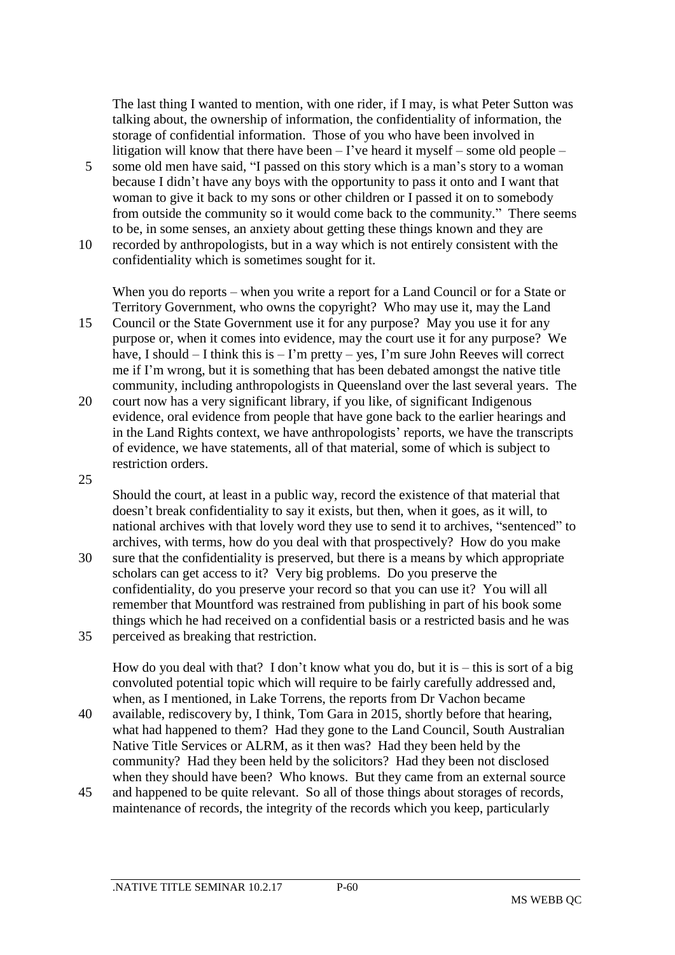The last thing I wanted to mention, with one rider, if I may, is what Peter Sutton was talking about, the ownership of information, the confidentiality of information, the storage of confidential information. Those of you who have been involved in litigation will know that there have been  $-$  I've heard it myself – some old people –

- 5 some old men have said, "I passed on this story which is a man's story to a woman because I didn't have any boys with the opportunity to pass it onto and I want that woman to give it back to my sons or other children or I passed it on to somebody from outside the community so it would come back to the community." There seems to be, in some senses, an anxiety about getting these things known and they are
- 10 recorded by anthropologists, but in a way which is not entirely consistent with the confidentiality which is sometimes sought for it.

When you do reports – when you write a report for a Land Council or for a State or Territory Government, who owns the copyright? Who may use it, may the Land

- 15 Council or the State Government use it for any purpose? May you use it for any purpose or, when it comes into evidence, may the court use it for any purpose? We have, I should  $-$  I think this is  $-$  I'm pretty  $-$  yes, I'm sure John Reeves will correct me if I'm wrong, but it is something that has been debated amongst the native title community, including anthropologists in Queensland over the last several years. The
- 20 court now has a very significant library, if you like, of significant Indigenous evidence, oral evidence from people that have gone back to the earlier hearings and in the Land Rights context, we have anthropologists' reports, we have the transcripts of evidence, we have statements, all of that material, some of which is subject to restriction orders.
- 25

Should the court, at least in a public way, record the existence of that material that doesn't break confidentiality to say it exists, but then, when it goes, as it will, to national archives with that lovely word they use to send it to archives, "sentenced" to archives, with terms, how do you deal with that prospectively? How do you make

30 sure that the confidentiality is preserved, but there is a means by which appropriate scholars can get access to it? Very big problems. Do you preserve the confidentiality, do you preserve your record so that you can use it? You will all remember that Mountford was restrained from publishing in part of his book some things which he had received on a confidential basis or a restricted basis and he was 35 perceived as breaking that restriction.

How do you deal with that? I don't know what you do, but it is – this is sort of a big convoluted potential topic which will require to be fairly carefully addressed and, when, as I mentioned, in Lake Torrens, the reports from Dr Vachon became

- 40 available, rediscovery by, I think, Tom Gara in 2015, shortly before that hearing, what had happened to them? Had they gone to the Land Council, South Australian Native Title Services or ALRM, as it then was? Had they been held by the community? Had they been held by the solicitors? Had they been not disclosed when they should have been? Who knows. But they came from an external source
- 45 and happened to be quite relevant. So all of those things about storages of records, maintenance of records, the integrity of the records which you keep, particularly